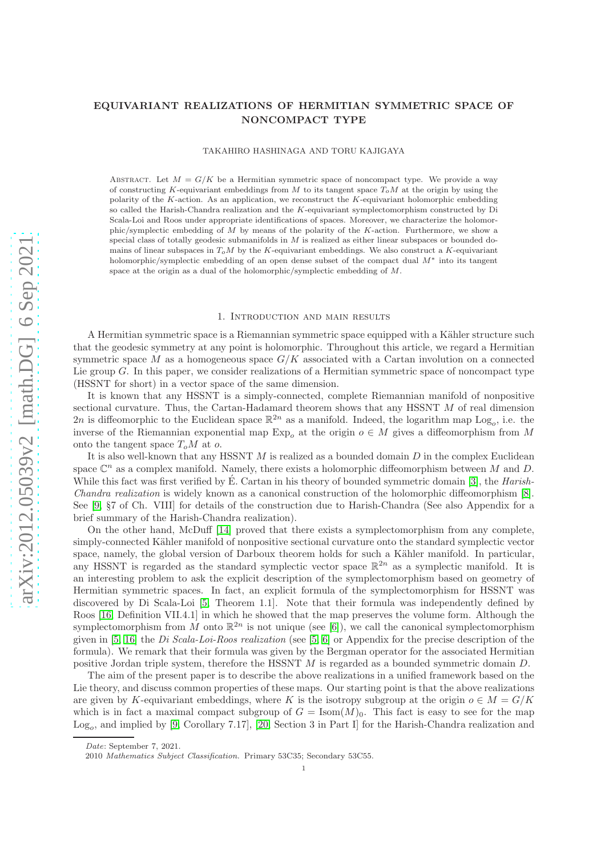# EQUIVARIANT REALIZATIONS OF HERMITIAN SYMMETRIC SPACE OF NONCOMPACT TYPE

TAKAHIRO HASHINAGA AND TORU KAJIGAYA

ABSTRACT. Let  $M = G/K$  be a Hermitian symmetric space of noncompact type. We provide a way of constructing K-equivariant embeddings from M to its tangent space  $T_0M$  at the origin by using the polarity of the K-action. As an application, we reconstruct the K-equivariant holomorphic embedding so called the Harish-Chandra realization and the K-equivariant symplectomorphism constructed by Di Scala-Loi and Roos under appropriate identifications of spaces. Moreover, we characterize the holomorphic/symplectic embedding of M by means of the polarity of the K-action. Furthermore, we show a special class of totally geodesic submanifolds in  $M$  is realized as either linear subspaces or bounded domains of linear subspaces in  $T_0M$  by the K-equivariant embeddings. We also construct a K-equivariant holomorphic/symplectic embedding of an open dense subset of the compact dual M<sup>∗</sup> into its tangent space at the origin as a dual of the holomorphic/symplectic embedding of M.

### 1. Introduction and main results

A Hermitian symmetric space is a Riemannian symmetric space equipped with a Kähler structure such that the geodesic symmetry at any point is holomorphic. Throughout this article, we regard a Hermitian symmetric space M as a homogeneous space  $G/K$  associated with a Cartan involution on a connected Lie group  $G$ . In this paper, we consider realizations of a Hermitian symmetric space of noncompact type (HSSNT for short) in a vector space of the same dimension.

It is known that any HSSNT is a simply-connected, complete Riemannian manifold of nonpositive sectional curvature. Thus, the Cartan-Hadamard theorem shows that any HSSNT M of real dimension 2n is diffeomorphic to the Euclidean space  $\mathbb{R}^{2n}$  as a manifold. Indeed, the logarithm map  $Log_o$ , i.e. the inverse of the Riemannian exponential map  $Exp_0$  at the origin  $o \in M$  gives a diffeomorphism from M onto the tangent space  $T_oM$  at o.

It is also well-known that any HSSNT  $M$  is realized as a bounded domain  $D$  in the complex Euclidean space  $\mathbb{C}^n$  as a complex manifold. Namely, there exists a holomorphic diffeomorphism between M and D. While this fact was first verified by  $\dot{E}$ . Cartan in his theory of bounded symmetric domain [\[3\]](#page-35-0), the *Harish*-Chandra realization is widely known as a canonical construction of the holomorphic diffeomorphism [\[8\]](#page-36-0). See [\[9,](#page-36-1) §7 of Ch. VIII] for details of the construction due to Harish-Chandra (See also Appendix for a brief summary of the Harish-Chandra realization).

On the other hand, McDuff [\[14\]](#page-36-2) proved that there exists a symplectomorphism from any complete, simply-connected Kähler manifold of nonpositive sectional curvature onto the standard symplectic vector space, namely, the global version of Darboux theorem holds for such a Kähler manifold. In particular, any HSSNT is regarded as the standard symplectic vector space  $\mathbb{R}^{2n}$  as a symplectic manifold. It is an interesting problem to ask the explicit description of the symplectomorphism based on geometry of Hermitian symmetric spaces. In fact, an explicit formula of the symplectomorphism for HSSNT was discovered by Di Scala-Loi [\[5,](#page-35-1) Theorem 1.1]. Note that their formula was independently defined by Roos [\[16,](#page-36-3) Definition VII.4.1] in which he showed that the map preserves the volume form. Although the symplectomorphism from M onto  $\mathbb{R}^{2n}$  is not unique (see [\[6\]](#page-35-2)), we call the canonical symplectomorphism given in [\[5,](#page-35-1) [16\]](#page-36-3) the Di Scala-Loi-Roos realization (see [5, [6\]](#page-35-2) or Appendix for the precise description of the formula). We remark that their formula was given by the Bergman operator for the associated Hermitian positive Jordan triple system, therefore the HSSNT M is regarded as a bounded symmetric domain D.

The aim of the present paper is to describe the above realizations in a unified framework based on the Lie theory, and discuss common properties of these maps. Our starting point is that the above realizations are given by K-equivariant embeddings, where K is the isotropy subgroup at the origin  $o \in M = G/K$ which is in fact a maximal compact subgroup of  $G = \text{Isom}(M)_0$ . This fact is easy to see for the map  $Log<sub>o</sub>$ , and implied by [\[9,](#page-36-1) Corollary 7.17], [\[20,](#page-36-4) Section 3 in Part I] for the Harish-Chandra realization and

Date: September 7, 2021.

<sup>2010</sup> Mathematics Subject Classification. Primary 53C35; Secondary 53C55.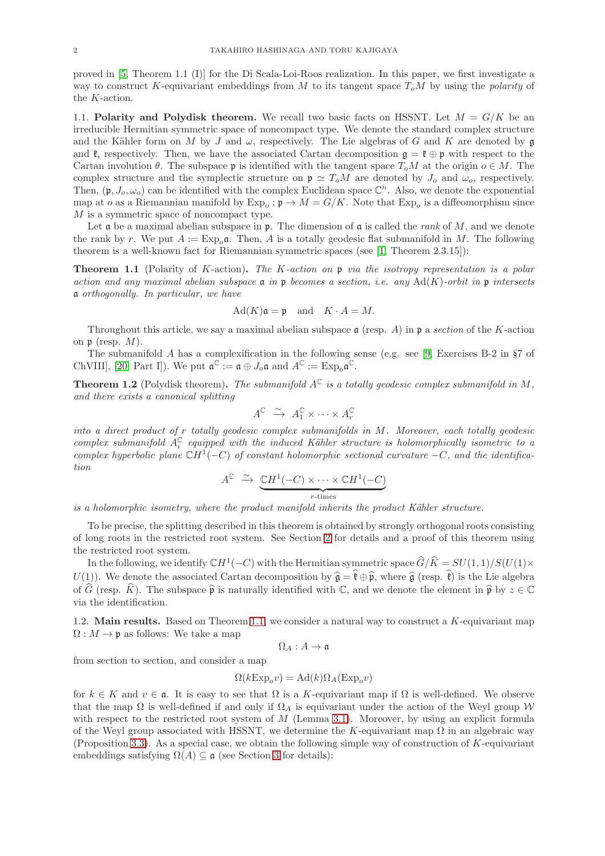proved in [\[5,](#page-35-1) Theorem 1.1 (I)] for the Di Scala-Loi-Roos realization. In this paper, we first investigate a way to construct K-equivariant embeddings from M to its tangent space  $T_0M$  by using the *polarity* of the  $K\mbox{-action}.$ 

1.1. Polarity and Polydisk theorem. We recall two basic facts on HSSNT. Let  $M = G/K$  be an irreducible Hermitian symmetric space of noncompact type. We denote the standard complex structure and the Kähler form on M by J and  $\omega$ , respectively. The Lie algebras of G and K are denoted by g and  $\mathfrak{k}$ , respectively. Then, we have the associated Cartan decomposition  $\mathfrak{g} = \mathfrak{k} \oplus \mathfrak{p}$  with respect to the Cartan involution  $\theta$ . The subspace p is identified with the tangent space  $T_oM$  at the origin  $o \in M$ . The complex structure and the symplectic structure on  $\mathfrak{p} \simeq T_oM$  are denoted by  $J_o$  and  $\omega_o$ , respectively. Then,  $(\mathfrak{p}, J_o, \omega_o)$  can be identified with the complex Euclidean space  $\mathbb{C}^n$ . Also, we denote the exponential map at *o* as a Riemannian manifold by  $Exp_o : \mathfrak{p} \to M = G/K$ . Note that  $Exp_o$  is a diffeomorphism since  ${\cal M}$  is a symmetric space of noncompact type.

Let  $\mathfrak a$  be a maximal abelian subspace in  $\mathfrak p$ . The dimension of  $\mathfrak a$  is called the *rank* of M, and we denote the rank by r. We put  $A := \text{Exp}_{o} \mathfrak{a}$ . Then, A is a totally geodesic flat submanifold in M. The following theorem is a well-known fact for Riemannian symmetric spaces (see [\[1,](#page-35-3) Theorem 2.3.15]):

<span id="page-1-0"></span>**Theorem 1.1** (Polarity of K-action). The K-action on  $\mathfrak{p}$  via the isotropy representation is a polar action and any maximal abelian subspace  $\mathfrak a$  in  $\mathfrak p$  becomes a section, i.e. any Ad(K)-orbit in  $\mathfrak p$  intersects a orthogonally. In particular, we have

$$
\mathrm{Ad}(K)\mathfrak{a} = \mathfrak{p} \quad \text{and} \quad K \cdot A = M.
$$

Throughout this article, we say a maximal abelian subspace  $\mathfrak a$  (resp. A) in  $\mathfrak p$  a section of the K-action on  $\mathfrak p$  (resp.  $M$ ).

The submanifold A has a complexification in the following sense (e.g. see [\[9,](#page-36-1) Exercises B-2 in §7 of ChVIII], [\[20,](#page-36-4) Part I]). We put  $\mathfrak{a}^{\mathbb{C}} := \mathfrak{a} \oplus J_o \mathfrak{a}$  and  $A^{\mathbb{C}} := \mathrm{Exp}_o \mathfrak{a}^{\mathbb{C}}$ .

<span id="page-1-1"></span>**Theorem 1.2** (Polydisk theorem). The submanifold  $A^C$  is a totally geodesic complex submanifold in M, and there exists a canonical splitting

$$
A^{\mathbb{C}} \stackrel{\sim}{\to} A_1^{\mathbb{C}} \times \cdots \times A_r^{\mathbb{C}}
$$

into a direct product of r totally geodesic complex submanifolds in M. Moreover, each totally geodesic complex submanifold  $A_i^{\mathbb{C}}$  equipped with the induced Kähler structure is holomorphically isometric to a complex hyperbolic plane  $\mathbb{C}H^1(-C)$  of constant holomorphic sectional curvature  $-C$ , and the identification

$$
A^{\mathbb{C}} \stackrel{\sim}{\to} \underbrace{\mathbb{C}H^1(-C) \times \cdots \times \mathbb{C}H^1(-C)}_{r \text{-times}}
$$

is a holomorphic isometry, where the product manifold inherits the product Kähler structure.

To be precise, the splitting described in this theorem is obtained by strongly orthogonal roots consisting of long roots in the restricted root system. See Section [2](#page-5-0) for details and a proof of this theorem using the restricted root system.

In the following, we identify  $\mathbb{C}H^1(-C)$  with the Hermitian symmetric space  $\widehat{G}/\widehat{K} = SU(1, 1)/S(U(1)\times$  $U(1)$ . We denote the associated Cartan decomposition by  $\hat{\mathfrak{g}} = \hat{\mathfrak{k}} \oplus \hat{\mathfrak{p}}$ , where  $\hat{\mathfrak{g}}$  (resp.  $\hat{\mathfrak{k}}$ ) is the Lie algebra of G (resp. K). The subspace  $\hat{\mathfrak{p}}$  is naturally identified with C, and we denote the element in  $\hat{\mathfrak{p}}$  by  $z \in \mathbb{C}$ via the identification.

1.2. **Main results.** Based on Theorem [1.1,](#page-1-0) we consider a natural way to construct a  $K$ -equivariant map  $\Omega: M \to \mathfrak{p}$  as follows: We take a map

 $\Omega_A: A \rightarrow \mathfrak{a}$ 

from section to section, and consider a map

$$
\Omega(k\mathrm{Exp}_o v) = \mathrm{Ad}(k)\Omega_A(\mathrm{Exp}_o v)
$$

for  $k \in K$  and  $v \in \mathfrak{a}$ . It is easy to see that  $\Omega$  is a K-equivariant map if  $\Omega$  is well-defined. We observe that the map  $\Omega$  is well-defined if and only if  $\Omega_A$  is equivariant under the action of the Weyl group W with respect to the restricted root system of  $M$  (Lemma [3.1\)](#page-11-0). Moreover, by using an explicit formula of the Weyl group associated with HSSNT, we determine the K-equivariant map  $\Omega$  in an algebraic way (Proposition [3.3\)](#page-13-0). As a special case, we obtain the following simple way of construction of  $K$ -equivariant embeddings satisfying  $\Omega(A) \subseteq \mathfrak{a}$  (see Section [3](#page-11-1) for details):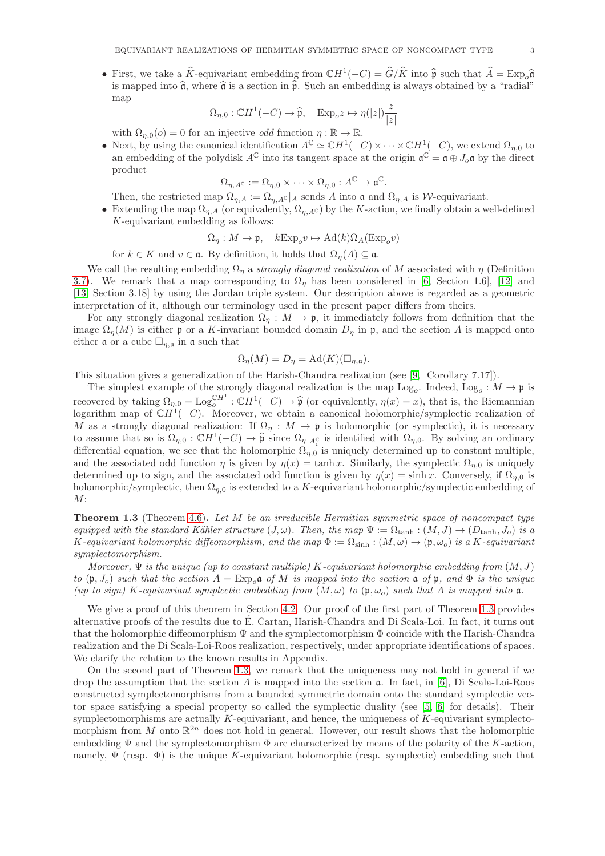• First, we take a  $\widehat{K}$ -equivariant embedding from  $\mathbb{C}H^{1}(-C) = \widehat{G}/\widehat{K}$  into  $\widehat{\mathfrak{p}}$  such that  $\widehat{A} = \mathrm{Exp}_{o}\widehat{\mathfrak{q}}$ is mapped into  $\hat{a}$ , where  $\hat{a}$  is a section in  $\hat{p}$ . Such an embedding is always obtained by a "radial" map

$$
\Omega_{\eta,0}:\mathbb{C}H^1(-C)\rightarrow \widehat{\mathfrak{p}},\quad\mathrm{Exp}_o z\mapsto \eta(|z|)\frac{z}{|z|}
$$

with  $\Omega_{n,0}(o) = 0$  for an injective *odd* function  $\eta : \mathbb{R} \to \mathbb{R}$ .

• Next, by using the canonical identification  $A^{\mathbb{C}} \simeq \mathbb{C}H^{1}(-C) \times \cdots \times \mathbb{C}H^{1}(-C)$ , we extend  $\Omega_{\eta,0}$  to an embedding of the polydisk  $A^{\mathbb{C}}$  into its tangent space at the origin  $\mathfrak{a}^{\mathbb{C}} = \mathfrak{a} \oplus J_o \mathfrak{a}$  by the direct product

$$
\Omega_{\eta,A}\mathbf{C} := \Omega_{\eta,0} \times \cdots \times \Omega_{\eta,0} : A^{\mathbb{C}} \to \mathfrak{a}^{\mathbb{C}}.
$$

Then, the restricted map  $\Omega_{\eta,A} := \Omega_{\eta,A} c|_A$  sends A into a and  $\Omega_{\eta,A}$  is W-equivariant.

• Extending the map  $\Omega_{n,A}$  (or equivalently,  $\Omega_{n,A}$ c) by the K-action, we finally obtain a well-defined K-equivariant embedding as follows:

$$
\Omega_{\eta}: M \to \mathfrak{p}, \quad k \to \mathfrak{p}_{o} v \mapsto \mathrm{Ad}(k)\Omega_{A}(\mathrm{Exp}_{o}v)
$$

for  $k \in K$  and  $v \in \mathfrak{a}$ . By definition, it holds that  $\Omega_n(A) \subseteq \mathfrak{a}$ .

We call the resulting embedding  $\Omega_n$  a strongly diagonal realization of M associated with  $\eta$  (Definition [3.7\)](#page-15-0). We remark that a map corresponding to  $\Omega_n$  has been considered in [\[6,](#page-35-2) Section 1.6], [\[12\]](#page-36-5) and [\[13,](#page-36-6) Section 3.18] by using the Jordan triple system. Our description above is regarded as a geometric interpretation of it, although our terminology used in the present paper differs from theirs.

For any strongly diagonal realization  $\Omega_n : M \to \mathfrak{p}$ , it immediately follows from definition that the image  $\Omega_n(M)$  is either p or a K-invariant bounded domain  $D_n$  in p, and the section A is mapped onto either  $\mathfrak a$  or a cube  $\Box_{\eta,\mathfrak a}$  in  $\mathfrak a$  such that

$$
\Omega_{\eta}(M) = D_{\eta} = \text{Ad}(K)(\Box_{\eta,\mathfrak{a}}).
$$

This situation gives a generalization of the Harish-Chandra realization (see [\[9,](#page-36-1) Corollary 7.17]).

The simplest example of the strongly diagonal realization is the map  $Log_o$ . Indeed,  $Log_o : M \to \mathfrak{p}$  is recovered by taking  $\Omega_{\eta,0} = \text{Log}_{\alpha}^{\mathbb{C}H^1} : \mathbb{C}H^1(-C) \to \hat{\mathfrak{p}}$  (or equivalently,  $\eta(x) = x$ ), that is, the Riemannian logarithm map of  $\mathbb{C}H^{1}(-C)$ . Moreover, we obtain a canonical holomorphic/symplectic realization of M as a strongly diagonal realization: If  $\Omega_{\eta}: M \to \mathfrak{p}$  is holomorphic (or symplectic), it is necessary to assume that so is  $\Omega_{\eta,0} : \mathbb{C}H^1(-C) \to \hat{\mathfrak{p}}$  since  $\Omega_{\eta}\vert_{A_i^{\mathbb{C}}}$  is identified with  $\Omega_{\eta,0}$ . By solving an ordinary differential equation, we see that the holomorphic  $\Omega_{\eta,0}$  is uniquely determined up to constant multiple, and the associated odd function  $\eta$  is given by  $\eta(x) = \tanh x$ . Similarly, the symplectic  $\Omega_{n,0}$  is uniquely determined up to sign, and the associated odd function is given by  $\eta(x) = \sinh x$ . Conversely, if  $\Omega_{n,0}$  is holomorphic/symplectic, then  $\Omega_{\eta,0}$  is extended to a K-equivariant holomorphic/symplectic embedding of  $M$ :

<span id="page-2-0"></span>**Theorem 1.3** (Theorem [4.6\)](#page-21-0). Let  $M$  be an irreducible Hermitian symmetric space of noncompact type equipped with the standard Kähler structure  $(J, \omega)$ . Then, the map  $\Psi := \Omega_{\tanh} : (M, J) \to (D_{\tanh}, J_o)$  is a K-equivariant holomorphic diffeomorphism, and the map  $\Phi := \Omega_{\text{sinh}} : (M, \omega) \to (\mathfrak{p}, \omega_o)$  is a K-equivariant symplectomorphism.

Moreover,  $\Psi$  is the unique (up to constant multiple) K-equivariant holomorphic embedding from  $(M, J)$ to  $(\mathfrak{p}, J_o)$  such that the section  $A = \text{Exp}_o \mathfrak{a}$  of M is mapped into the section  $\mathfrak{a}$  of  $\mathfrak{p}$ , and  $\Phi$  is the unique (up to sign) K-equivariant symplectic embedding from  $(M, \omega)$  to  $(\mathfrak{p}, \omega_o)$  such that A is mapped into  $\mathfrak{a}$ .

We give a proof of this theorem in Section [4.2.](#page-20-0) Our proof of the first part of Theorem [1.3](#page-2-0) provides alternative proofs of the results due to E. Cartan, Harish-Chandra and Di Scala-Loi. In fact, it turns out ´ that the holomorphic diffeomorphism Ψ and the symplectomorphism Φ coincide with the Harish-Chandra realization and the Di Scala-Loi-Roos realization, respectively, under appropriate identifications of spaces. We clarify the relation to the known results in Appendix.

On the second part of Theorem [1.3,](#page-2-0) we remark that the uniqueness may not hold in general if we drop the assumption that the section  $A$  is mapped into the section  $\mathfrak{a}$ . In fact, in [\[6\]](#page-35-2), Di Scala-Loi-Roos constructed symplectomorphisms from a bounded symmetric domain onto the standard symplectic vector space satisfying a special property so called the symplectic duality (see [\[5,](#page-35-1) [6\]](#page-35-2) for details). Their symplectomorphisms are actually  $K$ -equivariant, and hence, the uniqueness of  $K$ -equivariant symplectomorphism from M onto  $\mathbb{R}^{2n}$  does not hold in general. However, our result shows that the holomorphic embedding  $\Psi$  and the symplectomorphism  $\Phi$  are characterized by means of the polarity of the K-action, namely,  $\Psi$  (resp.  $\Phi$ ) is the unique K-equivariant holomorphic (resp. symplectic) embedding such that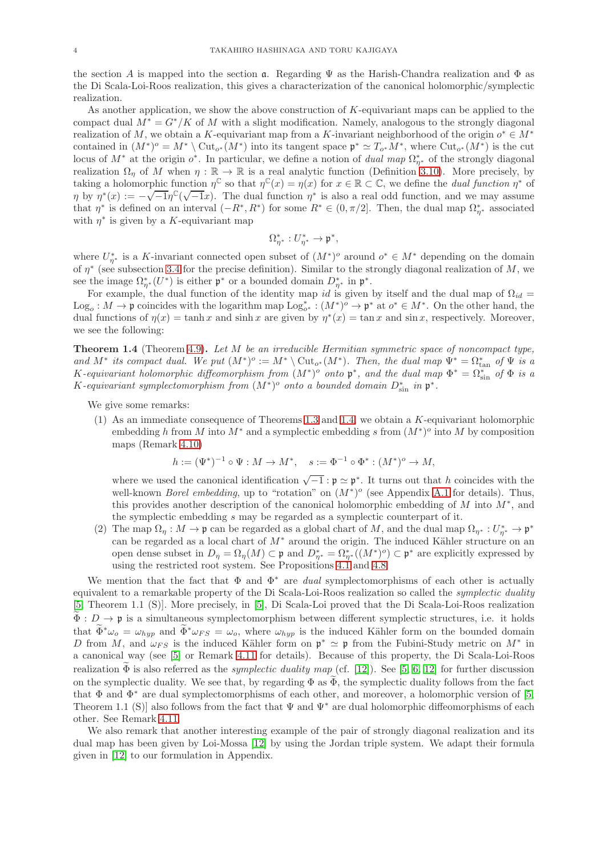the section A is mapped into the section  $\mathfrak a$ . Regarding  $\Psi$  as the Harish-Chandra realization and  $\Phi$  as the Di Scala-Loi-Roos realization, this gives a characterization of the canonical holomorphic/symplectic realization.

As another application, we show the above construction of K-equivariant maps can be applied to the compact dual  $M^* = G^*/K$  of M with a slight modification. Namely, analogous to the strongly diagonal realization of M, we obtain a K-equivariant map from a K-invariant neighborhood of the origin  $o^* \in M^*$ contained in  $(M^*)^o = M^* \setminus \text{Cut}_{o^*}(M^*)$  into its tangent space  $\mathfrak{p}^* \simeq T_{o^*}M^*$ , where  $\text{Cut}_{o^*}(M^*)$  is the cut locus of  $M^*$  at the origin  $o^*$ . In particular, we define a notion of *dual map*  $\Omega_{\eta^*}^*$  of the strongly diagonal realization  $\Omega_{\eta}$  of M when  $\eta : \mathbb{R} \to \mathbb{R}$  is a real analytic function (Definition [3.10\)](#page-17-0). More precisely, by taking a holomorphic function  $\eta^{\mathbb{C}}$  so that  $\eta^{\mathbb{C}}(x) = \eta(x)$  for  $x \in \mathbb{R} \subset \mathbb{C}$ , we define the *dual function*  $\eta^*$  of  $\eta$  by  $\eta^*(x) := -\sqrt{-1}\eta^{\mathbb{C}}(\sqrt{-1}x)$ . The dual function  $\eta^*$  is also a real odd function, and we may assume that  $\eta^*$  is defined on an interval  $(-R^*, R^*)$  for some  $R^* \in (0, \pi/2]$ . Then, the dual map  $\Omega_{\eta^*}^*$  associated with  $\eta^*$  is given by a K-equivariant map

$$
\Omega_{\eta^*}^*: U_{\eta^*}^* \to \mathfrak{p}^*,
$$

where  $U_{\eta^*}^*$  is a K-invariant connected open subset of  $(M^*)^o$  around  $o^* \in M^*$  depending on the domain of  $\eta^*$  (see subsection [3.4](#page-15-1) for the precise definition). Similar to the strongly diagonal realization of M, we see the image  $\Omega^*_{\eta^*}(U^*)$  is either  $\mathfrak{p}^*$  or a bounded domain  $D^*_{\eta^*}$  in  $\mathfrak{p}^*$ .

For example, the dual function of the identity map id is given by itself and the dual map of  $\Omega_{id}$  = Log<sub>o</sub>:  $M \to \mathfrak{p}$  coincides with the logarithm map  $\text{Log}_{o^*}^* : (M^*)^o \to \mathfrak{p}^*$  at  $o^* \in M^*$ . On the other hand, the dual functions of  $\eta(x) = \tanh x$  and sinh x are given by  $\eta^*(x) = \tan x$  and sin x, respectively. Moreover, we see the following:

<span id="page-3-0"></span>Theorem 1.4 (Theorem [4.9\)](#page-23-0). Let M be an irreducible Hermitian symmetric space of noncompact type, and  $M^*$  its compact dual. We put  $(M^*)^o := M^* \setminus \text{Cut}_{o^*}(M^*)$ . Then, the dual map  $\Psi^* = \Omega_{\text{tan}}^*$  of  $\Psi$  is a K-equivariant holomorphic diffeomorphism from  $(M^*)^o$  onto  $\mathfrak{p}^*$ , and the dual map  $\Phi^* = \Omega_{\sin}^*$  of  $\Phi$  is a K-equivariant symplectomorphism from  $(M^*)^o$  onto a bounded domain  $D_{\sin}^*$  in  $\mathfrak{p}^*$ .

We give some remarks:

(1) As an immediate consequence of Theorems [1.3](#page-2-0) and [1.4,](#page-3-0) we obtain a K-equivariant holomorphic embedding h from M into  $M^*$  and a symplectic embedding s from  $(M^*)^o$  into M by composition maps (Remark [4.10\)](#page-23-1)

$$
h := (\Psi^*)^{-1} \circ \Psi : M \to M^*, \quad s := \Phi^{-1} \circ \Phi^* : (M^*)^o \to M,
$$

where we used the canonical identification  $\sqrt{-1} : \mathfrak{p} \simeq \mathfrak{p}^*$ . It turns out that h coincides with the well-known *Borel embedding*, up to "rotation" on  $(M^*)^o$  (see Appendix [A.1](#page-30-0) for details). Thus, this provides another description of the canonical holomorphic embedding of  $M$  into  $M^*$ , and the symplectic embedding s may be regarded as a symplectic counterpart of it.

(2) The map  $\Omega_{\eta}: M \to \mathfrak{p}$  can be regarded as a global chart of M, and the dual map  $\Omega_{\eta^*}: U_{\eta^*}^* \to \mathfrak{p}^*$ can be regarded as a local chart of  $M^*$  around the origin. The induced Kähler structure on an open dense subset in  $D_{\eta} = \Omega_{\eta}(M) \subset \mathfrak{p}$  and  $D_{\eta^*}^* = \Omega_{\eta^*}^*((M^*)^o) \subset \mathfrak{p}^*$  are explicitly expressed by using the restricted root system. See Propositions [4.1](#page-18-0) and [4.8.](#page-23-2)

We mention that the fact that  $\Phi$  and  $\Phi^*$  are *dual* symplectomorphisms of each other is actually equivalent to a remarkable property of the Di Scala-Loi-Roos realization so called the symplectic duality [\[5,](#page-35-1) Theorem 1.1 (S)]. More precisely, in [\[5\]](#page-35-1), Di Scala-Loi proved that the Di Scala-Loi-Roos realization  $\widetilde{\Phi}: D \to \mathfrak{p}$  is a simultaneous symplectomorphism between different symplectic structures, i.e. it holds that  $\widetilde{\Phi}^*\omega_o = \omega_{hyp}$  and  $\widetilde{\Phi}^*\omega_{FS} = \omega_o$ , where  $\omega_{hyp}$  is the induced Kähler form on the bounded domain D from M, and  $\omega_{FS}$  is the induced Kähler form on  $\mathfrak{p}^* \simeq \mathfrak{p}$  from the Fubini-Study metric on  $M^*$  in a canonical way (see [\[5\]](#page-35-1) or Remark [4.11](#page-24-0) for details). Because of this property, the Di Scala-Loi-Roos realization  $\widetilde{\Phi}$  is also referred as the *symplectic duality map* (cf. [\[12\]](#page-36-5)). See [\[5,](#page-35-1) [6,](#page-35-2) [12\]](#page-36-5) for further discussion on the symplectic duality. We see that, by regarding  $\Phi$  as  $\bar{\Phi}$ , the symplectic duality follows from the fact that  $\Phi$  and  $\Phi^*$  are dual symplectomorphisms of each other, and moreover, a holomorphic version of [\[5,](#page-35-1) Theorem 1.1 (S)] also follows from the fact that  $\Psi$  and  $\Psi^*$  are dual holomorphic diffeomorphisms of each other. See Remark [4.11.](#page-24-0)

We also remark that another interesting example of the pair of strongly diagonal realization and its dual map has been given by Loi-Mossa [\[12\]](#page-36-5) by using the Jordan triple system. We adapt their formula given in [\[12\]](#page-36-5) to our formulation in Appendix.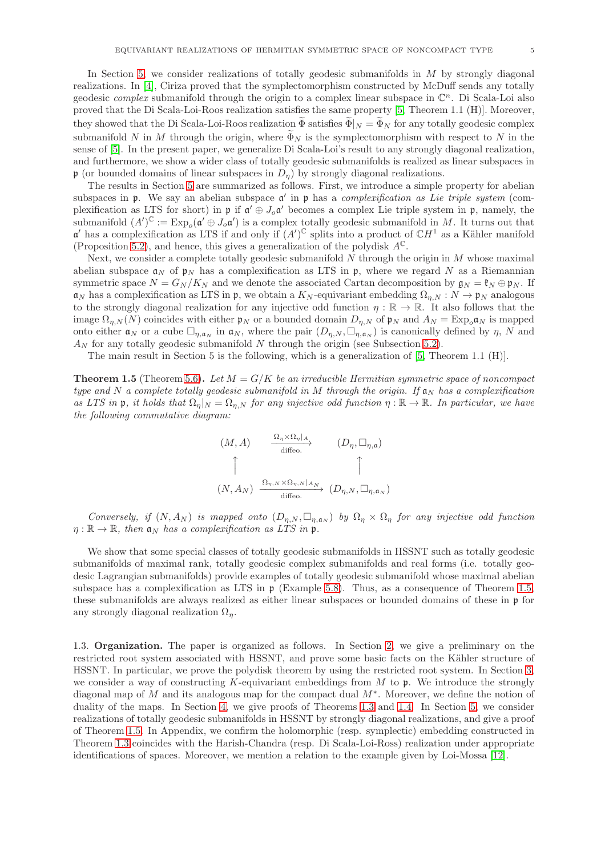In Section [5,](#page-25-0) we consider realizations of totally geodesic submanifolds in  $M$  by strongly diagonal realizations. In [\[4\]](#page-35-4), Ciriza proved that the symplectomorphism constructed by McDuff sends any totally geodesic *complex* submanifold through the origin to a complex linear subspace in  $\mathbb{C}^n$ . Di Scala-Loi also proved that the Di Scala-Loi-Roos realization satisfies the same property [\[5,](#page-35-1) Theorem 1.1 (H)]. Moreover, they showed that the Di Scala-Loi-Roos realization  $\widetilde{\Phi}$  satisfies  $\widetilde{\Phi}|_N = \widetilde{\Phi}_N$  for any totally geodesic complex submanifold N in M through the origin, where  $\tilde{\Phi}_N$  is the symplectomorphism with respect to N in the sense of [\[5\]](#page-35-1). In the present paper, we generalize Di Scala-Loi's result to any strongly diagonal realization, and furthermore, we show a wider class of totally geodesic submanifolds is realized as linear subspaces in p (or bounded domains of linear subspaces in  $D_n$ ) by strongly diagonal realizations.

The results in Section [5](#page-25-0) are summarized as follows. First, we introduce a simple property for abelian subspaces in  $\mathfrak p$ . We say an abelian subspace  $\mathfrak a'$  in  $\mathfrak p$  has a *complexification as Lie triple system* (complexification as LTS for short) in  $\mathfrak{p}$  if  $\mathfrak{a}' \oplus J_o \mathfrak{a}'$  becomes a complex Lie triple system in  $\mathfrak{p}$ , namely, the submanifold  $(A')^{\mathbb{C}} := \text{Exp}_o(\mathfrak{a}' \oplus J_o \mathfrak{a}')$  is a complex totally geodesic submanifold in M. It turns out that  $\mathfrak{a}'$  has a complexification as LTS if and only if  $(A')^{\mathbb{C}}$  splits into a product of  $\mathbb{C}H^1$  as a Kähler manifold (Proposition [5.2\)](#page-25-1), and hence, this gives a generalization of the polydisk  $A^{\mathbb{C}}$ .

Next, we consider a complete totally geodesic submanifold  $N$  through the origin in  $M$  whose maximal abelian subspace  $a_N$  of  $p_N$  has a complexification as LTS in p, where we regard N as a Riemannian symmetric space  $N = G_N/K_N$  and we denote the associated Cartan decomposition by  $\mathfrak{g}_N = \mathfrak{k}_N \oplus \mathfrak{p}_N$ . If  $\mathfrak{a}_N$  has a complexification as LTS in p, we obtain a  $K_N$ -equivariant embedding  $\Omega_{n,N}: N \to \mathfrak{p}_N$  analogous to the strongly diagonal realization for any injective odd function  $\eta : \mathbb{R} \to \mathbb{R}$ . It also follows that the image  $\Omega_{n,N}(N)$  coincides with either  $\mathfrak{p}_N$  or a bounded domain  $D_{n,N}$  of  $\mathfrak{p}_N$  and  $A_N = \text{Exp}_o\mathfrak{a}_N$  is mapped onto either  $a_N$  or a cube  $\Box_{\eta,a_N}$  in  $a_N$ , where the pair  $(D_{\eta,N},\Box_{\eta,a_N})$  is canonically defined by  $\eta$ , N and  $A_N$  for any totally geodesic submanifold N through the origin (see Subsection [5.2\)](#page-26-0).

The main result in Section 5 is the following, which is a generalization of [\[5,](#page-35-1) Theorem 1.1 (H)].

<span id="page-4-0"></span>**Theorem 1.5** (Theorem [5.6\)](#page-27-0). Let  $M = G/K$  be an irreducible Hermitian symmetric space of noncompact type and N a complete totally geodesic submanifold in M through the origin. If  $a_N$  has a complexification as LTS in p, it holds that  $\Omega_{\eta}|_N = \Omega_{\eta,N}$  for any injective odd function  $\eta : \mathbb{R} \to \mathbb{R}$ . In particular, we have the following commutative diagram:

$$
(M, A) \qquad \xrightarrow{\Omega_{\eta} \times \Omega_{\eta} | A} \qquad (D_{\eta}, \Box_{\eta, \mathfrak{a}})
$$
  

$$
\uparrow \qquad \qquad \uparrow
$$
  

$$
(N, A_N) \xrightarrow{\Omega_{\eta, N} \times \Omega_{\eta, N} | A_N} (D_{\eta, N}, \Box_{\eta, \mathfrak{a}_N})
$$

Conversely, if  $(N, A_N)$  is mapped onto  $(D_{\eta,N}, \Box_{\eta,\alpha_N})$  by  $\Omega_{\eta} \times \Omega_{\eta}$  for any injective odd function  $\eta : \mathbb{R} \to \mathbb{R}$ , then  $\mathfrak{a}_N$  has a complexification as LTS in p.

We show that some special classes of totally geodesic submanifolds in HSSNT such as totally geodesic submanifolds of maximal rank, totally geodesic complex submanifolds and real forms (i.e. totally geodesic Lagrangian submanifolds) provide examples of totally geodesic submanifold whose maximal abelian subspace has a complexification as LTS in  $\mathfrak{p}$  (Example [5.8\)](#page-28-0). Thus, as a consequence of Theorem [1.5,](#page-4-0) these submanifolds are always realized as either linear subspaces or bounded domains of these in p for any strongly diagonal realization  $\Omega_n$ .

1.3. Organization. The paper is organized as follows. In Section [2,](#page-5-0) we give a preliminary on the restricted root system associated with HSSNT, and prove some basic facts on the Kähler structure of HSSNT. In particular, we prove the polydisk theorem by using the restricted root system. In Section [3,](#page-11-1) we consider a way of constructing  $K$ -equivariant embeddings from  $M$  to  $\mathfrak{p}$ . We introduce the strongly diagonal map of M and its analogous map for the compact dual  $M^*$ . Moreover, we define the notion of duality of the maps. In Section [4,](#page-18-1) we give proofs of Theorems [1.3](#page-2-0) and [1.4.](#page-3-0) In Section [5,](#page-25-0) we consider realizations of totally geodesic submanifolds in HSSNT by strongly diagonal realizations, and give a proof of Theorem [1.5.](#page-4-0) In Appendix, we confirm the holomorphic (resp. symplectic) embedding constructed in Theorem [1.3](#page-2-0) coincides with the Harish-Chandra (resp. Di Scala-Loi-Ross) realization under appropriate identifications of spaces. Moreover, we mention a relation to the example given by Loi-Mossa [\[12\]](#page-36-5).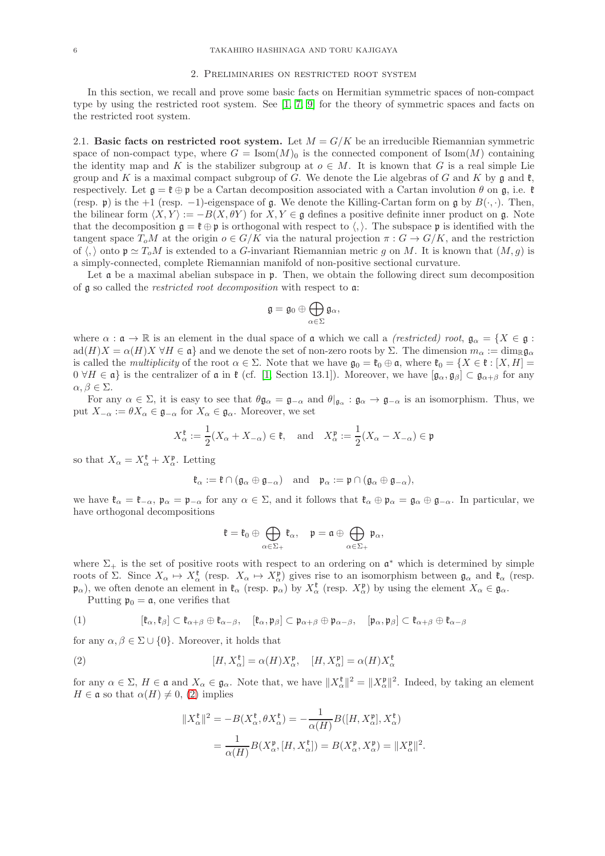#### 2. Preliminaries on restricted root system

<span id="page-5-0"></span>In this section, we recall and prove some basic facts on Hermitian symmetric spaces of non-compact type by using the restricted root system. See [\[1,](#page-35-3) [7,](#page-35-5) [9\]](#page-36-1) for the theory of symmetric spaces and facts on the restricted root system.

<span id="page-5-3"></span>2.1. Basic facts on restricted root system. Let  $M = G/K$  be an irreducible Riemannian symmetric space of non-compact type, where  $G = \text{Isom}(M)_{0}$  is the connected component of Isom $(M)$  containing the identity map and K is the stabilizer subgroup at  $o \in M$ . It is known that G is a real simple Lie group and K is a maximal compact subgroup of G. We denote the Lie algebras of G and K by  $\mathfrak g$  and  $\mathfrak k$ , respectively. Let  $\mathfrak{g} = \mathfrak{k} \oplus \mathfrak{p}$  be a Cartan decomposition associated with a Cartan involution  $\theta$  on  $\mathfrak{g}$ , i.e.  $\mathfrak{k}$ (resp. p) is the +1 (resp. -1)-eigenspace of g. We denote the Killing-Cartan form on g by  $B(\cdot, \cdot)$ . Then, the bilinear form  $\langle X, Y \rangle := -B(X, \theta Y)$  for  $X, Y \in \mathfrak{g}$  defines a positive definite inner product on g. Note that the decomposition  $g = \ell \oplus p$  is orthogonal with respect to  $\langle , \rangle$ . The subspace p is identified with the tangent space  $T_oM$  at the origin  $o \in G/K$  via the natural projection  $\pi : G \to G/K$ , and the restriction of  $\langle, \rangle$  onto  $\mathfrak{p} \simeq T_oM$  is extended to a G-invariant Riemannian metric g on M. It is known that  $(M, g)$  is a simply-connected, complete Riemannian manifold of non-positive sectional curvature.

Let  $\mathfrak a$  be a maximal abelian subspace in  $\mathfrak p$ . Then, we obtain the following direct sum decomposition of g so called the restricted root decomposition with respect to a:

$$
\mathfrak{g}=\mathfrak{g}_0\oplus\bigoplus_{\alpha\in\Sigma}\mathfrak{g}_\alpha,
$$

where  $\alpha : \mathfrak{a} \to \mathbb{R}$  is an element in the dual space of  $\mathfrak{a}$  which we call a *(restricted) root*,  $\mathfrak{g}_{\alpha} = \{X \in \mathfrak{g} :$  $\text{ad}(H)X = \alpha(H)X \forall H \in \mathfrak{a}$  and we denote the set of non-zero roots by  $\Sigma$ . The dimension  $m_{\alpha} := \dim_{\mathbb{R}} \mathfrak{g}_{\alpha}$ is called the *multiplicity* of the root  $\alpha \in \Sigma$ . Note that we have  $\mathfrak{g}_0 = \mathfrak{k}_0 \oplus \mathfrak{a}$ , where  $\mathfrak{k}_0 = \{X \in \mathfrak{k} : [X, H] =$  $0 \forall H \in \mathfrak{a}$  is the centralizer of  $\mathfrak a$  in  $\mathfrak k$  (cf. [\[1,](#page-35-3) Section 13.1]). Moreover, we have  $[\mathfrak{g}_{\alpha}, \mathfrak{g}_{\beta}] \subset \mathfrak{g}_{\alpha+\beta}$  for any  $\alpha, \beta \in \Sigma$ .

For any  $\alpha \in \Sigma$ , it is easy to see that  $\theta \mathfrak{g}_{\alpha} = \mathfrak{g}_{-\alpha}$  and  $\theta|_{\mathfrak{g}_{\alpha}} : \mathfrak{g}_{\alpha} \to \mathfrak{g}_{-\alpha}$  is an isomorphism. Thus, we put  $X_{-\alpha} := \theta X_{\alpha} \in \mathfrak{g}_{-\alpha}$  for  $X_{\alpha} \in \mathfrak{g}_{\alpha}$ . Moreover, we set

$$
X_{\alpha}^{\mathfrak{k}} := \frac{1}{2}(X_{\alpha} + X_{-\alpha}) \in \mathfrak{k}, \quad \text{and} \quad X_{\alpha}^{\mathfrak{p}} := \frac{1}{2}(X_{\alpha} - X_{-\alpha}) \in \mathfrak{p}
$$

so that  $X_{\alpha} = X_{\alpha}^{\mathfrak{k}} + X_{\alpha}^{\mathfrak{p}}$ . Letting

$$
\mathfrak{k}_{\alpha} := \mathfrak{k} \cap (\mathfrak{g}_{\alpha} \oplus \mathfrak{g}_{-\alpha}) \quad \text{and} \quad \mathfrak{p}_{\alpha} := \mathfrak{p} \cap (\mathfrak{g}_{\alpha} \oplus \mathfrak{g}_{-\alpha}),
$$

we have  $\mathfrak{k}_{\alpha} = \mathfrak{k}_{-\alpha}$ ,  $\mathfrak{p}_{\alpha} = \mathfrak{p}_{-\alpha}$  for any  $\alpha \in \Sigma$ , and it follows that  $\mathfrak{k}_{\alpha} \oplus \mathfrak{p}_{\alpha} = \mathfrak{g}_{\alpha} \oplus \mathfrak{g}_{-\alpha}$ . In particular, we have orthogonal decompositions

$$
\mathfrak{k}=\mathfrak{k}_0\oplus\bigoplus_{\alpha\in\Sigma_+}\mathfrak{k}_\alpha,\quad \mathfrak{p}=\mathfrak{a}\oplus\bigoplus_{\alpha\in\Sigma_+}\mathfrak{p}_\alpha,
$$

where  $\Sigma_{+}$  is the set of positive roots with respect to an ordering on  $\mathfrak{a}^*$  which is determined by simple roots of  $\Sigma$ . Since  $X_{\alpha} \mapsto X_{\alpha}^{\mathfrak{k}}$  (resp.  $X_{\alpha} \mapsto X_{\alpha}^{\mathfrak{p}}$ ) gives rise to an isomorphism between  $\mathfrak{g}_{\alpha}$  and  $\mathfrak{k}_{\alpha}$  (resp.  $(\mathfrak{p}_{\alpha})$ , we often denote an element in  $\mathfrak{k}_{\alpha}$  (resp.  $\mathfrak{p}_{\alpha}$ ) by  $X_{\alpha}^{\mathfrak{k}}$  (resp.  $X_{\alpha}^{\mathfrak{p}}$ ) by using the element  $X_{\alpha} \in \mathfrak{g}_{\alpha}$ .

Putting  $\mathfrak{p}_0 = \mathfrak{a}$ , one verifies that

<span id="page-5-2"></span>
$$
(1) \qquad \qquad [\mathfrak{k}_{\alpha},\mathfrak{k}_{\beta}]\subset\mathfrak{k}_{\alpha+\beta}\oplus\mathfrak{k}_{\alpha-\beta},\quad [\mathfrak{k}_{\alpha},\mathfrak{p}_{\beta}]\subset\mathfrak{p}_{\alpha+\beta}\oplus\mathfrak{p}_{\alpha-\beta},\quad [\mathfrak{p}_{\alpha},\mathfrak{p}_{\beta}]\subset\mathfrak{k}_{\alpha+\beta}\oplus\mathfrak{k}_{\alpha-\beta}
$$

for any  $\alpha, \beta \in \Sigma \cup \{0\}$ . Moreover, it holds that

<span id="page-5-1"></span>(2) 
$$
[H, X_{\alpha}^{\mathfrak{k}}] = \alpha(H)X_{\alpha}^{\mathfrak{p}}, \quad [H, X_{\alpha}^{\mathfrak{p}}] = \alpha(H)X_{\alpha}^{\mathfrak{k}}
$$

for any  $\alpha \in \Sigma$ ,  $H \in \mathfrak{a}$  and  $X_{\alpha} \in \mathfrak{g}_{\alpha}$ . Note that, we have  $||X_{\alpha}^{\mathfrak{k}}||^2 = ||X_{\alpha}^{\mathfrak{p}}||^2$ . Indeed, by taking an element  $H \in \mathfrak{a}$  so that  $\alpha(H) \neq 0$ , [\(2\)](#page-5-1) implies

$$
||X_{\alpha}^{\mathfrak{k}}||^{2} = -B(X_{\alpha}^{\mathfrak{k}}, \theta X_{\alpha}^{\mathfrak{k}}) = -\frac{1}{\alpha(H)}B([H, X_{\alpha}^{\mathfrak{p}}], X_{\alpha}^{\mathfrak{k}})
$$
  
= 
$$
\frac{1}{\alpha(H)}B(X_{\alpha}^{\mathfrak{p}}, [H, X_{\alpha}^{\mathfrak{k}}]) = B(X_{\alpha}^{\mathfrak{p}}, X_{\alpha}^{\mathfrak{p}}) = ||X_{\alpha}^{\mathfrak{p}}||^{2}.
$$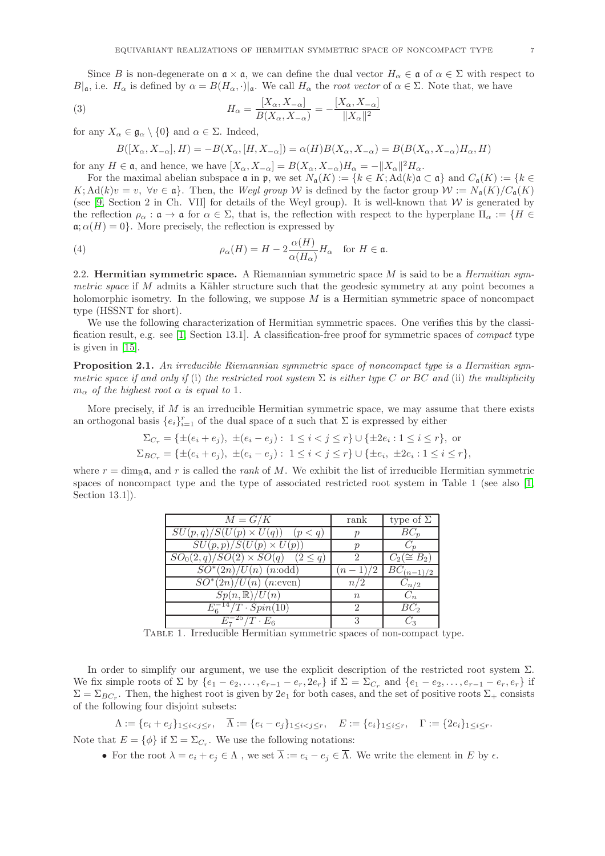Since B is non-degenerate on  $\mathfrak{a} \times \mathfrak{a}$ , we can define the dual vector  $H_{\alpha} \in \mathfrak{a}$  of  $\alpha \in \Sigma$  with respect to  $B|_{\mathfrak{a}}$ , i.e.  $H_{\alpha}$  is defined by  $\alpha = B(H_{\alpha}, \cdot)|_{\mathfrak{a}}$ . We call  $H_{\alpha}$  the root vector of  $\alpha \in \Sigma$ . Note that, we have

<span id="page-6-0"></span>(3) 
$$
H_{\alpha} = \frac{[X_{\alpha}, X_{-\alpha}]}{B(X_{\alpha}, X_{-\alpha})} = -\frac{[X_{\alpha}, X_{-\alpha}]}{\|X_{\alpha}\|^2}
$$

for any  $X_{\alpha} \in \mathfrak{g}_{\alpha} \setminus \{0\}$  and  $\alpha \in \Sigma$ . Indeed,

$$
B([X_{\alpha}, X_{-\alpha}], H) = -B(X_{\alpha}, [H, X_{-\alpha}]) = \alpha(H)B(X_{\alpha}, X_{-\alpha}) = B(B(X_{\alpha}, X_{-\alpha})H_{\alpha}, H)
$$

for any  $H \in \mathfrak{a}$ , and hence, we have  $[X_{\alpha}, X_{-\alpha}] = B(X_{\alpha}, X_{-\alpha})H_{\alpha} = -||X_{\alpha}||^2H_{\alpha}$ .

For the maximal abelian subspace  $\mathfrak a$  in  $\mathfrak p$ , we set  $N_{\mathfrak a}(K) := \{k \in K; \operatorname{Ad}(k) \mathfrak a \subset \mathfrak a\}$  and  $C_{\mathfrak a}(K) := \{k \in K\}$  $K; \mathrm{Ad}(k)v = v, \ \forall v \in \mathfrak{a}$ . Then, the Weyl group W is defined by the factor group  $W := N_{\mathfrak{a}}(K)/C_{\mathfrak{a}}(K)$ (see [\[9,](#page-36-1) Section 2 in Ch. VII] for details of the Weyl group). It is well-known that  $W$  is generated by the reflection  $\rho_{\alpha} : \mathfrak{a} \to \mathfrak{a}$  for  $\alpha \in \Sigma$ , that is, the reflection with respect to the hyperplane  $\Pi_{\alpha} := \{ H \in$  $\mathfrak{a}; \alpha(H) = 0$ . More precisely, the reflection is expressed by

<span id="page-6-1"></span>(4) 
$$
\rho_{\alpha}(H) = H - 2 \frac{\alpha(H)}{\alpha(H_{\alpha})} H_{\alpha} \text{ for } H \in \mathfrak{a}.
$$

2.2. Hermitian symmetric space. A Riemannian symmetric space  $M$  is said to be a *Hermitian sym*metric space if  $M$  admits a Kähler structure such that the geodesic symmetry at any point becomes a holomorphic isometry. In the following, we suppose  $M$  is a Hermitian symmetric space of noncompact type (HSSNT for short).

We use the following characterization of Hermitian symmetric spaces. One verifies this by the classification result, e.g. see [\[1,](#page-35-3) Section 13.1]. A classification-free proof for symmetric spaces of compact type is given in [\[15\]](#page-36-7).

<span id="page-6-2"></span>Proposition 2.1. An irreducible Riemannian symmetric space of noncompact type is a Hermitian symmetric space if and only if (i) the restricted root system  $\Sigma$  is either type C or BC and (ii) the multiplicity  $m_{\alpha}$  of the highest root  $\alpha$  is equal to 1.

More precisely, if  $M$  is an irreducible Hermitian symmetric space, we may assume that there exists an orthogonal basis  $\{e_i\}_{i=1}^r$  of the dual space of  $\mathfrak a$  such that  $\Sigma$  is expressed by either

$$
\Sigma_{C_r} = \{ \pm (e_i + e_j), \ \pm (e_i - e_j) : 1 \le i < j \le r \} \cup \{ \pm 2e_i : 1 \le i \le r \},
$$
 or  
\n
$$
\Sigma_{BC_r} = \{ \pm (e_i + e_j), \ \pm (e_i - e_j) : 1 \le i < j \le r \} \cup \{ \pm e_i, \ \pm 2e_i : 1 \le i \le r \},
$$

where  $r = \dim_{\mathbb{R}} \mathfrak{a}$ , and r is called the rank of M. We exhibit the list of irreducible Hermitian symmetric spaces of noncompact type and the type of associated restricted root system in Table 1 (see also [\[1,](#page-35-3) Section 13.1]).

| $M = G/K$                                 | rank                 | type of $\Sigma$ |
|-------------------------------------------|----------------------|------------------|
| $SU(p,q)/S(U(p)\times U(q))$<br>(p < q)   | $\mathcal{p}$        | $BC_p$           |
| $SU(p,p)/S(U(p)\times U(p))$              | $\mathcal{p}$        |                  |
| $SO_0(2,q)/SO(2)\times SO(q)$ $(2\leq q)$ | ິ                    | $C_2(\cong B_2)$ |
| $SO^*(2n)/U(n)$ ( <i>n</i> :odd)          | $(n-1)/2$            | $BC_{(n-1)/2}$   |
| $SO^*(2n)/U(n)$ ( <i>n</i> :even)         | n/2                  | $C_{n/2}$        |
| $Sp(n,\mathbb{R})/U(n)$                   | $\boldsymbol{n}$     | $C_n$            |
| $E_6^{-14}/T \cdot Spin(10)$              | $\ddot{\phantom{0}}$ | $BC_2$           |
| 25<br>$\overline{U}/T \cdot E_6$          |                      |                  |

Table 1. Irreducible Hermitian symmetric spaces of non-compact type.

In order to simplify our argument, we use the explicit description of the restricted root system  $\Sigma$ . We fix simple roots of  $\Sigma$  by  $\{e_1 - e_2, \ldots, e_{r-1} - e_r, 2e_r\}$  if  $\Sigma = \Sigma_{C_r}$  and  $\{e_1 - e_2, \ldots, e_{r-1} - e_r, e_r\}$  if  $\Sigma = \Sigma_{BC_r}$ . Then, the highest root is given by  $2e_1$  for both cases, and the set of positive roots  $\Sigma_+$  consists of the following four disjoint subsets:

$$
\Lambda := \{e_i + e_j\}_{1 \leq i < j \leq r}, \quad \overline{\Lambda} := \{e_i - e_j\}_{1 \leq i < j \leq r}, \quad E := \{e_i\}_{1 \leq i \leq r}, \quad \Gamma := \{2e_i\}_{1 \leq i \leq r}.
$$

Note that  $E = \{\phi\}$  if  $\Sigma = \Sigma_{C_r}$ . We use the following notations:

• For the root  $\lambda = e_i + e_j \in \Lambda$ , we set  $\overline{\lambda} := e_i - e_j \in \overline{\Lambda}$ . We write the element in E by  $\epsilon$ .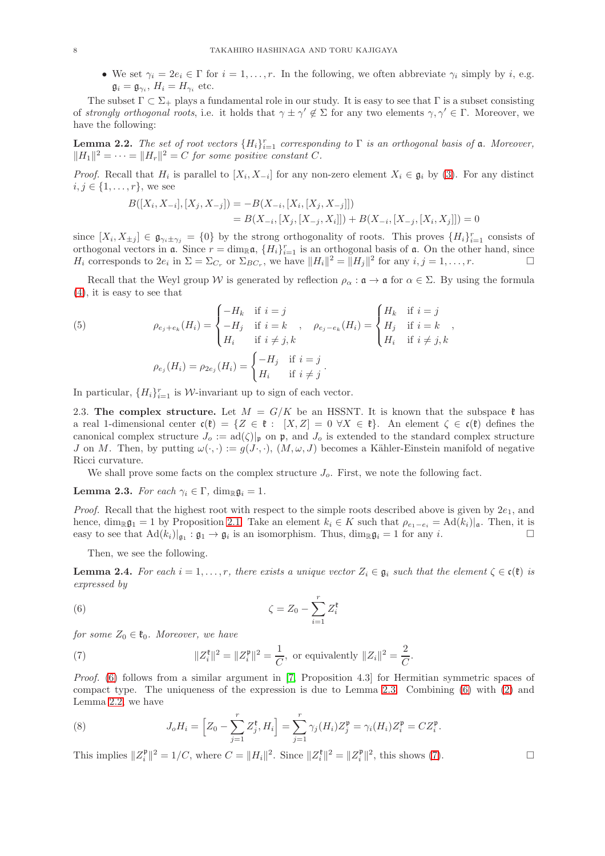• We set  $\gamma_i = 2e_i \in \Gamma$  for  $i = 1, \ldots, r$ . In the following, we often abbreviate  $\gamma_i$  simply by i, e.g.  $\mathfrak{g}_i = \mathfrak{g}_{\gamma_i}, H_i = H_{\gamma_i}$  etc.

The subset  $\Gamma \subset \Sigma_{+}$  plays a fundamental role in our study. It is easy to see that  $\Gamma$  is a subset consisting of strongly orthogonal roots, i.e. it holds that  $\gamma \pm \gamma' \notin \Sigma$  for any two elements  $\gamma, \gamma' \in \Gamma$ . Moreover, we have the following:

<span id="page-7-2"></span>**Lemma 2.2.** The set of root vectors  $\{H_i\}_{i=1}^r$  corresponding to  $\Gamma$  is an orthogonal basis of  $\mathfrak{a}$ . Moreover,  $||H_1||^2 = \cdots = ||H_r||^2 = C$  for some positive constant C.

*Proof.* Recall that  $H_i$  is parallel to  $[X_i, X_{-i}]$  for any non-zero element  $X_i \in \mathfrak{g}_i$  by [\(3\)](#page-6-0). For any distinct  $i, j \in \{1, ..., r\}$ , we see

$$
B([X_i, X_{-i}], [X_j, X_{-j}]) = -B(X_{-i}, [X_i, [X_j, X_{-j}]])
$$
  
=  $B(X_{-i}, [X_j, [X_{-j}, X_i]]) + B(X_{-i}, [X_{-j}, [X_i, X_j]]) = 0$ 

since  $[X_i, X_{\pm j}] \in \mathfrak{g}_{\gamma_i \pm \gamma_j} = \{0\}$  by the strong orthogonality of roots. This proves  $\{H_i\}_{i=1}^r$  consists of orthogonal vectors in  $\mathfrak{a}$ . Since  $r = \dim_{\mathbb{R}} \mathfrak{a}$ ,  $\{H_i\}_{i=1}^r$  is an orthogonal basis of  $\mathfrak{a}$ . On the other hand, since  $H_i$  corresponds to  $2e_i$  in  $\Sigma = \Sigma_{C_r}$  or  $\Sigma_{BC_r}$ , we have  $||H_i||^2 = ||H_j||^2$  for any  $i, j = 1, ..., r$ .

Recall that the Weyl group W is generated by reflection  $\rho_{\alpha} : \mathfrak{a} \to \mathfrak{a}$  for  $\alpha \in \Sigma$ . By using the formula [\(4\)](#page-6-1), it is easy to see that

<span id="page-7-6"></span>(5) 
$$
\rho_{e_j+e_k}(H_i) = \begin{cases}\n-H_k & \text{if } i = j \\
-H_j & \text{if } i = k \\
H_i & \text{if } i \neq j, k\n\end{cases}, \quad \rho_{e_j-e_k}(H_i) = \begin{cases}\nH_k & \text{if } i = j \\
H_j & \text{if } i = k \\
H_i & \text{if } i \neq j, k\n\end{cases},
$$

$$
\rho_{e_j}(H_i) = \rho_{2e_j}(H_i) = \begin{cases}\n-H_j & \text{if } i = j \\
H_i & \text{if } i \neq j\n\end{cases}.
$$

In particular,  $\{H_i\}_{i=1}^r$  is W-invariant up to sign of each vector.

2.3. The complex structure. Let  $M = G/K$  be an HSSNT. It is known that the subspace  $\ell$  has a real 1-dimensional center  $\mathfrak{c}(\mathfrak{k}) = \{Z \in \mathfrak{k} : |X, Z| = 0 \ \forall X \in \mathfrak{k}\}\$ . An element  $\zeta \in \mathfrak{c}(\mathfrak{k})$  defines the canonical complex structure  $J_o := \text{ad}(\zeta)|_{\mathfrak{p}}$  on  $\mathfrak{p}$ , and  $J_o$  is extended to the standard complex structure J on M. Then, by putting  $\omega(\cdot, \cdot) := g(J \cdot, \cdot)$ ,  $(M, \omega, J)$  becomes a Kähler-Einstein manifold of negative Ricci curvature.

We shall prove some facts on the complex structure  $J<sub>o</sub>$ . First, we note the following fact.

<span id="page-7-1"></span>**Lemma 2.3.** For each  $\gamma_i \in \Gamma$ , dim<sub>R</sub>g<sub>i</sub> = 1.

*Proof.* Recall that the highest root with respect to the simple roots described above is given by  $2e_1$ , and hence,  $\dim_{\mathbb{R}} \mathfrak{g}_1 = 1$  by Proposition [2.1.](#page-6-2) Take an element  $k_i \in K$  such that  $\rho_{e_1-e_i} = \text{Ad}(k_i)|_{\mathfrak{a}}$ . Then, it is easy to see that  $\text{Ad}(k_i)|_{\mathfrak{a}} \cdot \mathfrak{a}_1 \to \mathfrak{a}_i$  is an isomorphism. Thus,  $\dim_{\mathbb{R}} \mathfrak$ easy to see that  $Ad(k_i)|_{\mathfrak{g}_1} : \mathfrak{g}_1 \to \mathfrak{g}_i$  is an isomorphism. Thus,  $\dim_{\mathbb{R}} \mathfrak{g}_i = 1$  for any i.

Then, we see the following.

<span id="page-7-5"></span>**Lemma 2.4.** For each  $i = 1, \ldots, r$ , there exists a unique vector  $Z_i \in \mathfrak{g}_i$  such that the element  $\zeta \in \mathfrak{c}(\mathfrak{k})$  is expressed by

<span id="page-7-0"></span>
$$
\zeta = Z_0 - \sum_{i=1}^r Z_i^{\mathfrak{k}}
$$

for some  $Z_0 \in \mathfrak{k}_0$ . Moreover, we have

<span id="page-7-3"></span>(7) 
$$
||Z_i^{\ell}||^2 = ||Z_i^{\mathfrak{p}}||^2 = \frac{1}{C}, \text{ or equivalently } ||Z_i||^2 = \frac{2}{C}.
$$

Proof. [\(6\)](#page-7-0) follows from a similar argument in [\[7,](#page-35-5) Proposition 4.3] for Hermitian symmetric spaces of compact type. The uniqueness of the expression is due to Lemma [2.3.](#page-7-1) Combining [\(6\)](#page-7-0) with [\(2\)](#page-5-1) and Lemma [2.2,](#page-7-2) we have

<span id="page-7-4"></span>(8) 
$$
J_o H_i = \left[ Z_0 - \sum_{j=1}^r Z_j^{\{t\}} , H_i \right] = \sum_{j=1}^r \gamma_j (H_i) Z_j^{\{t\}} = \gamma_i (H_i) Z_i^{\{t\}} = C Z_i^{\{t\}}.
$$

This implies  $||Z_i^{\mathfrak{p}}||^2 = 1/C$ , where  $C = ||H_i||^2$ . Since  $||Z_i^{\mathfrak{k}}||^2 = ||Z_i^{\mathfrak{p}}||^2$ , this shows [\(7\)](#page-7-3).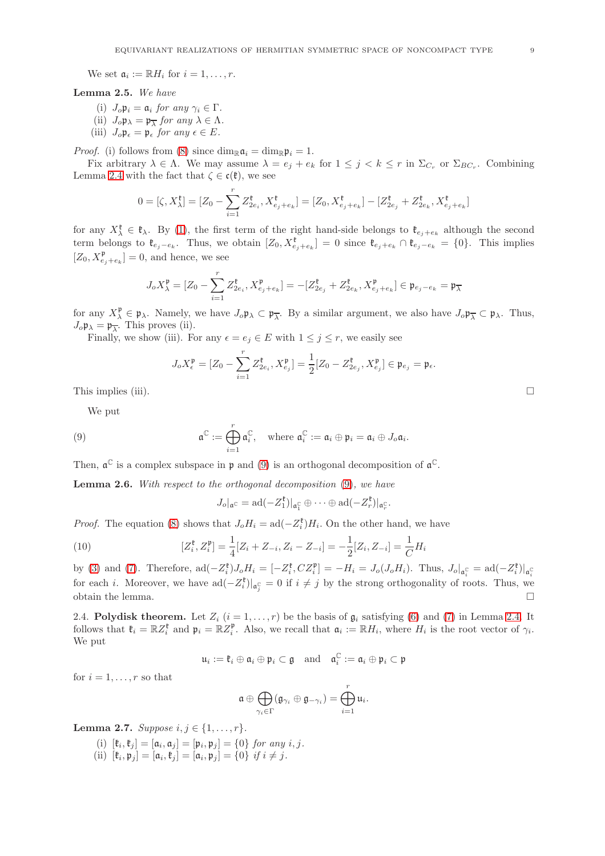We set  $\mathfrak{a}_i := \mathbb{R} H_i$  for  $i = 1, \ldots, r$ .

<span id="page-8-2"></span>Lemma 2.5. We have

- (i)  $J_o \mathfrak{p}_i = \mathfrak{a}_i$  for any  $\gamma_i \in \Gamma$ .
- (ii)  $J_o \mathfrak{p}_{\lambda} = \mathfrak{p}_{\overline{\lambda}}$  for any  $\lambda \in \Lambda$ .
- (iii)  $J_o \mathfrak{p}_{\epsilon} = \mathfrak{p}_{\epsilon}$  for any  $\epsilon \in E$ .

*Proof.* (i) follows from [\(8\)](#page-7-4) since  $\dim_{\mathbb{R}} \mathfrak{a}_i = \dim_{\mathbb{R}} \mathfrak{p}_i = 1$ .

Fix arbitrary  $\lambda \in \Lambda$ . We may assume  $\lambda = e_j + e_k$  for  $1 \leq j \leq k \leq r$  in  $\Sigma_{C_r}$  or  $\Sigma_{BC_r}$ . Combining Lemma [2.4](#page-7-5) with the fact that  $\zeta \in \mathfrak{c}(\mathfrak{k})$ , we see

$$
0=[\zeta,X_{\lambda}^{\mathfrak{k}}]=[Z_0-\sum_{i=1}^{r}Z_{2e_i}^{\mathfrak{k}},X_{e_j+e_k}^{\mathfrak{k}}]=[Z_0,X_{e_j+e_k}^{\mathfrak{k}}]-[Z_{2e_j}^{\mathfrak{k}}+Z_{2e_k}^{\mathfrak{k}},X_{e_j+e_k}^{\mathfrak{k}}]
$$

for any  $X_{\lambda}^{\ell} \in \ell_{\lambda}$ . By [\(1\)](#page-5-2), the first term of the right hand-side belongs to  $\ell_{e_j+e_k}$  although the second term belongs to  $\mathfrak{k}_{e_j-e_k}$ . Thus, we obtain  $[Z_0, X_{e_j+e_k}^{\mathfrak{k}}] = 0$  since  $\mathfrak{k}_{e_j+e_k} \cap \mathfrak{k}_{e_j-e_k} = \{0\}$ . This implies  $[Z_0, X_{e_j+e_k}^{\mathfrak{p}}] = 0$ , and hence, we see

$$
J_o X_{\lambda}^{\mathfrak{p}} = [Z_0 - \sum_{i=1}^{r} Z_{2e_i}^{\mathfrak{k}}, X_{e_j + e_k}^{\mathfrak{p}}] = -[Z_{2e_j}^{\mathfrak{k}} + Z_{2e_k}^{\mathfrak{k}}, X_{e_j + e_k}^{\mathfrak{p}}] \in \mathfrak{p}_{e_j - e_k} = \mathfrak{p}_{\overline{\lambda}}
$$

for any  $X_{\lambda}^{\mathfrak{p}} \in \mathfrak{p}_{\lambda}$ . Namely, we have  $J_{o}\mathfrak{p}_{\lambda} \subset \mathfrak{p}_{\overline{\lambda}}$ . By a similar argument, we also have  $J_{o}\mathfrak{p}_{\overline{\lambda}} \subset \mathfrak{p}_{\lambda}$ . Thus,  $J_o \mathfrak{p}_{\lambda} = \mathfrak{p}_{\overline{\lambda}}$ . This proves (ii).

Finally, we show (iii). For any  $\epsilon = e_j \in E$  with  $1 \leq j \leq r$ , we easily see

$$
J_oX_{\epsilon}^{\mathfrak{p}} = [Z_0 - \sum_{i=1}^{r} Z_{2e_i}^{\mathfrak{k}}, X_{e_j}^{\mathfrak{p}}] = \frac{1}{2} [Z_0 - Z_{2e_j}^{\mathfrak{k}}, X_{e_j}^{\mathfrak{p}}] \in \mathfrak{p}_{e_j} = \mathfrak{p}_{\epsilon}.
$$

This implies (iii).  $\Box$ 

We put

<span id="page-8-0"></span>(9) 
$$
\mathfrak{a}^{\mathbb{C}} := \bigoplus_{i=1}^{r} \mathfrak{a}_{i}^{\mathbb{C}}, \quad \text{where } \mathfrak{a}_{i}^{\mathbb{C}} := \mathfrak{a}_{i} \oplus \mathfrak{p}_{i} = \mathfrak{a}_{i} \oplus J_{o} \mathfrak{a}_{i}.
$$

Then,  $\mathfrak{a}^{\mathbb{C}}$  is a complex subspace in  $\mathfrak{p}$  and [\(9\)](#page-8-0) is an orthogonal decomposition of  $\mathfrak{a}^{\mathbb{C}}$ .

<span id="page-8-3"></span>Lemma 2.6. With respect to the orthogonal decomposition [\(9\)](#page-8-0), we have

$$
J_o|_{\mathfrak{a}^\mathbb{C}} = \mathrm{ad}(-Z_1^{\mathfrak{k}})|_{\mathfrak{a}_1^\mathbb{C}} \oplus \cdots \oplus \mathrm{ad}(-Z_r^{\mathfrak{k}})|_{\mathfrak{a}_r^\mathbb{C}}.
$$

*Proof.* The equation [\(8\)](#page-7-4) shows that  $J_o H_i = \text{ad}(-Z_i^{\mathfrak{h}})H_i$ . On the other hand, we have

<span id="page-8-1"></span>(10) 
$$
[Z_i^{\mathfrak{k}}, Z_i^{\mathfrak{p}}] = \frac{1}{4}[Z_i + Z_{-i}, Z_i - Z_{-i}] = -\frac{1}{2}[Z_i, Z_{-i}] = \frac{1}{C}H_i
$$

by [\(3\)](#page-6-0) and [\(7\)](#page-7-3). Therefore,  $ad(-Z_i^{\mathfrak{k}})J_oH_i = [-Z_i^{\mathfrak{k}}, CZ_i^{\mathfrak{p}}] = -H_i = J_o(J_oH_i)$ . Thus,  $J_o|_{\mathfrak{a}_i^{\mathbb{C}}} = ad(-Z_i^{\mathfrak{k}})|_{\mathfrak{a}_i^{\mathbb{C}}}$ for each *i*. Moreover, we have  $ad(-Z_i^{\mathfrak{k}})|_{\mathfrak{a}_j^{\mathbb{C}}} = 0$  if  $i \neq j$  by the strong orthogonality of roots. Thus, we obtain the lemma.  $\hfill \square$ 

<span id="page-8-4"></span>2.4. Polydisk theorem. Let  $Z_i$   $(i = 1, ..., r)$  be the basis of  $\mathfrak{g}_i$  satisfying [\(6\)](#page-7-0) and [\(7\)](#page-7-3) in Lemma [2.4.](#page-7-5) It follows that  $\mathfrak{k}_i = \mathbb{R}Z_i^{\mathfrak{k}}$  and  $\mathfrak{p}_i = \mathbb{R}Z_i^{\mathfrak{p}}$ . Also, we recall that  $\mathfrak{a}_i := \mathbb{R}H_i$ , where  $H_i$  is the root vector of  $\gamma_i$ . We put

$$
\mathfrak{u}_i := \mathfrak{k}_i \oplus \mathfrak{a}_i \oplus \mathfrak{p}_i \subset \mathfrak{g} \quad \text{and} \quad \mathfrak{a}_i^{\mathbb{C}} := \mathfrak{a}_i \oplus \mathfrak{p}_i \subset \mathfrak{p}
$$

for  $i = 1, \ldots, r$  so that

$$
\mathfrak{a} \oplus \bigoplus_{\gamma_i \in \Gamma} (\mathfrak{g}_{\gamma_i} \oplus \mathfrak{g}_{-\gamma_i}) = \bigoplus_{i=1}^r \mathfrak{u}_i.
$$

<span id="page-8-5"></span>Lemma 2.7. Suppose  $i, j \in \{1, ..., r\}$ .

- (i)  $[\mathfrak{k}_i, \mathfrak{k}_j] = [\mathfrak{a}_i, \mathfrak{a}_j] = [\mathfrak{p}_i, \mathfrak{p}_j] = \{0\}$  for any  $i, j$ .
- (ii)  $[\mathfrak{k}_i, \mathfrak{p}_j] = [\mathfrak{a}_i, \mathfrak{k}_j] = [\mathfrak{a}_i, \mathfrak{p}_j] = \{0\}$  if  $i \neq j$ .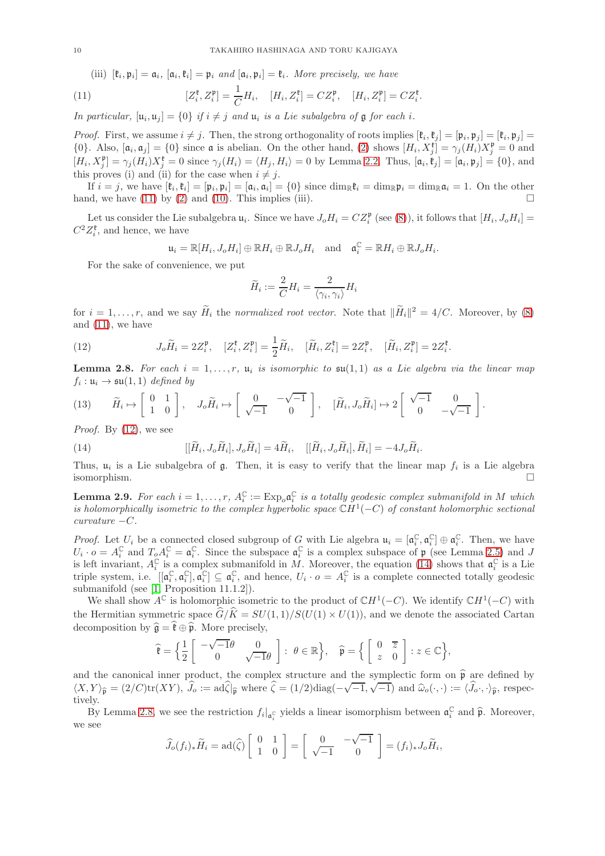(iii)  $[\mathfrak{k}_i, \mathfrak{p}_i] = \mathfrak{a}_i$ ,  $[\mathfrak{a}_i, \mathfrak{k}_i] = \mathfrak{p}_i$  and  $[\mathfrak{a}_i, \mathfrak{p}_i] = \mathfrak{k}_i$ . More precisely, we have

<span id="page-9-0"></span>(11) 
$$
[Z_i^{\mathfrak{k}}, Z_i^{\mathfrak{p}}] = \frac{1}{C} H_i, \quad [H_i, Z_i^{\mathfrak{k}}] = C Z_i^{\mathfrak{p}}, \quad [H_i, Z_i^{\mathfrak{p}}] = C Z_i^{\mathfrak{k}}.
$$

In particular,  $[\mathfrak{u}_i, \mathfrak{u}_j] = \{0\}$  if  $i \neq j$  and  $\mathfrak{u}_i$  is a Lie subalgebra of  $\mathfrak g$  for each i.

*Proof.* First, we assume  $i \neq j$ . Then, the strong orthogonality of roots implies  $[\mathfrak{k}_i, \mathfrak{k}_j] = [\mathfrak{p}_i, \mathfrak{p}_j] = [\mathfrak{k}_i, \mathfrak{p}_j]$ {0}. Also,  $[\mathfrak{a}_i, \mathfrak{a}_j] = \{0\}$  since  $\mathfrak{a}$  is abelian. On the other hand, [\(2\)](#page-5-1) shows  $[H_i, X_j^{\mathfrak{k}}] = \gamma_j(H_i)X_j^{\mathfrak{k}} = 0$  and  $[H_i, X_j^{\mathfrak{p}}] = \gamma_j(H_i)X_j^{\mathfrak{k}} = 0$  since  $\gamma_j(H_i) = \langle H_j, H_i \rangle = 0$  by Lemma [2.2.](#page-7-2) Thus,  $[\mathfrak{a}_i, \mathfrak{k}_j] = [\mathfrak{a}_i, \mathfrak{p}_j] = \{0\}$ , and this proves (i) and (ii) for the case when  $i \neq j$ .

If  $i = j$ , we have  $[\mathfrak{k}_i, \mathfrak{k}_i] = [\mathfrak{p}_i, \mathfrak{p}_i] = [\mathfrak{a}_i, \mathfrak{a}_i] = \{0\}$  since  $\dim_{\mathbb{R}} \mathfrak{k}_i = \dim_{\mathbb{R}} \mathfrak{p}_i = \dim_{\mathbb{R}} \mathfrak{a}_i = 1$ . On the other hand, we have  $(11)$  by  $(2)$  and  $(10)$ . This implies (iii).

Let us consider the Lie subalgebra  $u_i$ . Since we have  $J_o H_i = C Z_i^{\mathfrak{p}}$  (see [\(8\)](#page-7-4)), it follows that  $[H_i, J_o H_i] =$  $C^2Z_i^{\mathfrak{k}}$ , and hence, we have

$$
\mathfrak{u}_i = \mathbb{R}[H_i, J_o H_i] \oplus \mathbb{R} H_i \oplus \mathbb{R} J_o H_i \text{ and } \mathfrak{a}_i^{\mathbb{C}} = \mathbb{R} H_i \oplus \mathbb{R} J_o H_i.
$$

For the sake of convenience, we put

$$
\widetilde{H}_i := \frac{2}{C} H_i = \frac{2}{\langle \gamma_i, \gamma_i \rangle} H_i
$$

for  $i = 1, \ldots, r$ , and we say  $\tilde{H}_i$  the normalized root vector. Note that  $\|\tilde{H}_i\|^2 = 4/C$ . Moreover, by [\(8\)](#page-7-4) and  $(11)$ , we have

<span id="page-9-1"></span>(12) 
$$
J_o \widetilde{H}_i = 2Z_i^{\mathfrak{p}}, \quad [Z_i^{\mathfrak{k}}, Z_i^{\mathfrak{p}}] = \frac{1}{2} \widetilde{H}_i, \quad [\widetilde{H}_i, Z_i^{\mathfrak{k}}] = 2Z_i^{\mathfrak{p}}, \quad [\widetilde{H}_i, Z_i^{\mathfrak{p}}] = 2Z_i^{\mathfrak{k}}.
$$

<span id="page-9-3"></span>**Lemma 2.8.** For each  $i = 1, \ldots, r$ ,  $\mu_i$  is isomorphic to  $\mathfrak{su}(1,1)$  as a Lie algebra via the linear map  $f_i: \mathfrak{u}_i \to \mathfrak{su}(1,1)$  defined by

<span id="page-9-4"></span>(13) 
$$
\widetilde{H}_i \mapsto \begin{bmatrix} 0 & 1 \\ 1 & 0 \end{bmatrix}, \quad J_o \widetilde{H}_i \mapsto \begin{bmatrix} 0 & -\sqrt{-1} \\ \sqrt{-1} & 0 \end{bmatrix}, \quad [\widetilde{H}_i, J_o \widetilde{H}_i] \mapsto 2 \begin{bmatrix} \sqrt{-1} & 0 \\ 0 & -\sqrt{-1} \end{bmatrix}.
$$

*Proof.* By  $(12)$ , we see

<span id="page-9-2"></span>(14) 
$$
[[\widetilde{H}_i, J_o \widetilde{H}_i], J_o \widetilde{H}_i] = 4\widetilde{H}_i, \quad [[\widetilde{H}_i, J_o \widetilde{H}_i], \widetilde{H}_i] = -4J_o \widetilde{H}_i.
$$

Thus,  $u_i$  is a Lie subalgebra of  $\mathfrak g$ . Then, it is easy to verify that the linear map  $f_i$  is a Lie algebra isomorphism.

<span id="page-9-5"></span>**Lemma 2.9.** For each  $i = 1, \ldots, r$ ,  $A_i^{\mathbb{C}} := \text{Exp}_o \mathfrak{a}_i^{\mathbb{C}}$  is a totally geodesic complex submanifold in M which is holomorphically isometric to the complex hyperbolic space  $\mathbb{C}H^1(-C)$  of constant holomorphic sectional  $curvature -C.$ 

*Proof.* Let  $U_i$  be a connected closed subgroup of G with Lie algebra  $\mathfrak{u}_i = [\mathfrak{a}_i^{\mathbb{C}}, \mathfrak{a}_i^{\mathbb{C}}] \oplus \mathfrak{a}_i^{\mathbb{C}}$ . Then, we have *i*  $\log$ . Let  $C_i$  be a connected closed subgroup of G with Lie algebra  $\mathfrak{u}_i = [\mathfrak{u}_i, \mathfrak{u}_i] \oplus \mathfrak{u}_i$ . Then, we have  $U_i \cdot o = A_i^c$  and  $T_o A_i^c = \mathfrak{a}_i^c$ . Since the subspace  $\mathfrak{a}_i^c$  is a complex subspace o is left invariant,  $A_i^{\mathbb{C}}$  is a complex submanifold in M. Moreover, the equation [\(14\)](#page-9-2) shows that  $\mathfrak{a}_i^{\mathbb{C}}$  is a Lie triple system, i.e.  $[[\mathfrak{a}_i^{\mathbb{C}}, \mathfrak{a}_i^{\mathbb{C}}] \subseteq \mathfrak{a}_i^{\mathbb{C}}$ , and hence,  $U_i \cdot o = A_i^{\mathbb{C}}$  is a complete connected totally geodesic submanifold (see [\[1,](#page-35-3) Proposition 11.1.2]).

We shall show  $A^{\mathbb{C}}$  is holomorphic isometric to the product of  $\mathbb{C}H^{1}(-C)$ . We identify  $\mathbb{C}H^{1}(-C)$  with the Hermitian symmetric space  $\hat{G}/\hat{K} = SU(1, 1)/S(U(1) \times U(1))$ , and we denote the associated Cartan decomposition by  $\hat{\mathfrak{g}} = \hat{\mathfrak{k}} \oplus \hat{\mathfrak{p}}$ . More precisely,

$$
\widehat{\mathfrak{k}} = \Big\{\frac{1}{2} \left[\begin{array}{cc} -\sqrt{-1}\theta & 0 \\ 0 & \sqrt{-1}\theta \end{array}\right] : \ \theta \in \mathbb{R} \Big\}, \quad \widehat{\mathfrak{p}} = \Big\{ \left[\begin{array}{cc} 0 & \overline{z} \\ z & 0 \end{array}\right] : z \in \mathbb{C} \Big\},
$$

and the canonical inner product, the complex structure and the symplectic form on  $\hat{\mathfrak{p}}$  are defined by  $\langle X, Y \rangle_{\widehat{\mathfrak{p}}} = (2/C)\text{tr}(XY), \hat{J}_o := \text{ad}\widehat{\zeta}|\widehat{\mathfrak{p}}$  where  $\widehat{\zeta} = (1/2)\text{diag}(-\sqrt{-1}, \sqrt{-1})$  and  $\widehat{\omega}_o(\cdot, \cdot) := \langle \widehat{J}_o \cdot, \cdot \rangle_{\widehat{\mathfrak{p}}}$ , respectively.

By Lemma [2.8,](#page-9-3) we see the restriction  $f_i|_{\mathfrak{a}_i^{\mathbb{C}}}$  yields a linear isomorphism between  $\mathfrak{a}_i^{\mathbb{C}}$  and  $\widehat{\mathfrak{p}}$ . Moreover, we see

$$
\widehat{J}_o(f_i)_*\widetilde{H}_i = \mathrm{ad}(\widehat{\zeta}) \left[ \begin{array}{cc} 0 & 1 \\ 1 & 0 \end{array} \right] = \left[ \begin{array}{cc} 0 & -\sqrt{-1} \\ \sqrt{-1} & 0 \end{array} \right] = (f_i)_* J_o \widetilde{H}_i,
$$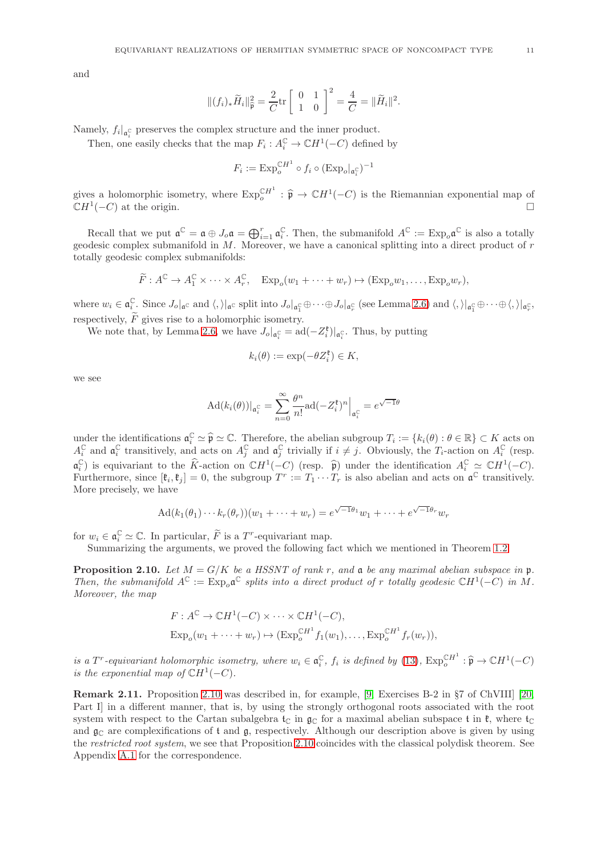and

$$
||(f_i)_*\widetilde{H}_i||_{\widehat{\mathfrak{p}}}^2 = \frac{2}{C}\text{tr}\begin{bmatrix} 0 & 1\\ 1 & 0 \end{bmatrix}^2 = \frac{4}{C} = ||\widetilde{H}_i||^2.
$$

Namely,  $f_i|_{\mathfrak{a}_i^{\mathbb{C}}}$  preserves the complex structure and the inner product.

Then, one easily checks that the map  $F_i: A_i^{\mathbb{C}} \to \mathbb{C}H^1(-C)$  defined by

$$
F_i := \mathrm{Exp}_{o}^{\mathbb{C}H^1} \circ f_i \circ (\mathrm{Exp}_{o}|_{\mathfrak{a}_i^{\mathbb{C}}})^{-1}
$$

gives a holomorphic isometry, where  $\text{Exp}_{o}^{\text{CH}1}$ :  $\hat{\mathfrak{p}} \to \mathbb{C}H^1(-C)$  is the Riemannian exponential map of  $\mathbb{C}H^1(-C)$  at the origin.  $(-C)$  at the origin.

Recall that we put  $\mathfrak{a}^{\mathbb{C}} = \mathfrak{a} \oplus J_o \mathfrak{a} = \bigoplus_{i=1}^r \mathfrak{a}_i^{\mathbb{C}}$ . Then, the submanifold  $A^{\mathbb{C}} := \operatorname{Exp}_o \mathfrak{a}^{\mathbb{C}}$  is also a totally geodesic complex submanifold in  $M$ . Moreover, we have a canonical splitting into a direct product of  $r$ totally geodesic complex submanifolds:

$$
\widetilde{F}: A^{\mathbb{C}} \to A_1^{\mathbb{C}} \times \cdots \times A_r^{\mathbb{C}}, \quad \text{Exp}_o(w_1 + \cdots + w_r) \mapsto (\text{Exp}_o w_1, \ldots, \text{Exp}_o w_r),
$$

where  $w_i \in \mathfrak{a}_i^{\mathbb{C}}$ . Since  $J_o|_{\mathfrak{a}^{\mathbb{C}}}$  and  $\langle, \rangle|_{\mathfrak{a}^{\mathbb{C}}}$  split into  $J_o|_{\mathfrak{a}_1^{\mathbb{C}}} \oplus \cdots \oplus J_o|_{\mathfrak{a}_r^{\mathbb{C}}}$  (see Lemma [2.6\)](#page-8-3) and  $\langle, \rangle|_{\mathfrak{a}_1^{\mathbb{C}}} \oplus \cdots \oplus \langle, \rangle|_{\mathfrak{a}_r^{\mathbb{C}}}$ , respectively,  $\widetilde{F}$  gives rise to a holomorphic isometry.

We note that, by Lemma [2.6,](#page-8-3) we have  $J_o|_{\mathfrak{a}_{i}^{\mathbb{C}}} = \text{ad}(-Z_i^{\mathfrak{k}})|_{\mathfrak{a}_{i}^{\mathbb{C}}}$ . Thus, by putting

$$
k_i(\theta) := \exp(-\theta Z_i^{\mathfrak{k}}) \in K,
$$

we see

$$
\mathrm{Ad}(k_i(\theta))|_{\mathfrak{a}_i^{\mathbb{C}}} = \sum_{n=0}^{\infty} \frac{\theta^n}{n!} \mathrm{ad}(-Z_i^{\mathfrak{k}})^n \Big|_{\mathfrak{a}_i^{\mathbb{C}}} = e^{\sqrt{-1}\theta}
$$

under the identifications  $\mathfrak{a}_i^{\mathbb{C}} \simeq \widehat{\mathfrak{p}} \simeq \mathbb{C}$ . Therefore, the abelian subgroup  $T_i := \{k_i(\theta) : \theta \in \mathbb{R}\} \subset K$  acts on  $A_i^{\mathbb{C}}$  and  $\mathfrak{a}_i^{\mathbb{C}}$  transitively, and acts on  $A_j^{\mathbb{C}}$  and  $\mathfrak{a}_j^{\mathbb{C}}$  trivially if  $i \neq j$ . Obviously, the  $T_i$ -action on  $A_i^{\mathbb{C}}$  (resp.  $\mathfrak{a}_{i}^{\mathbb{C}}$ ) is equivariant to the  $\widehat{K}$ -action on  $\mathbb{C}H^{1}(-C)$  (resp.  $\widehat{p}$ ) under the identification  $A_{i}^{\mathbb{C}} \simeq \mathbb{C}H^{1}(-C)$ . Furthermore, since  $[\mathfrak{k}_i, \mathfrak{k}_j] = 0$ , the subgroup  $T^r := T_1 \cdots T_r$  is also abelian and acts on  $\mathfrak{a}^{\mathbb{C}}$  transitively. More precisely, we have

$$
Ad(k_1(\theta_1)\cdots k_r(\theta_r))(w_1+\cdots+w_r)=e^{\sqrt{-1}\theta_1}w_1+\cdots+e^{\sqrt{-1}\theta_r}w_r
$$

for  $w_i \in \mathfrak{a}_i^{\mathbb{C}} \simeq \mathbb{C}$ . In particular,  $\widetilde{F}$  is a  $T^r$ -equivariant map.

Summarizing the arguments, we proved the following fact which we mentioned in Theorem [1.2.](#page-1-1)

<span id="page-10-0"></span>**Proposition 2.10.** Let  $M = G/K$  be a HSSNT of rank r, and a be any maximal abelian subspace in p. Then, the submanifold  $A^{\mathbb{C}} := \operatorname{Exp}_{o} \mathfrak{a}^{\mathbb{C}}$  splits into a direct product of r totally geodesic  $\mathbb{C}H^{1}(-C)$  in M. Moreover, the map

$$
F: A^{\mathbb{C}} \to \mathbb{C}H^{1}(-C) \times \cdots \times \mathbb{C}H^{1}(-C),
$$
  
\n
$$
Exp_o(w_1 + \cdots + w_r) \mapsto (Exp_o^{\mathbb{C}H^1} f_1(w_1), \dots, Exp_o^{\mathbb{C}H^1} f_r(w_r)),
$$

is a  $T^r$ -equivariant holomorphic isometry, where  $w_i \in \mathfrak{a}_i^{\mathbb{C}}$ ,  $f_i$  is defined by [\(13\)](#page-9-4),  $\text{Exp}_{o}^{\mathbb{C}H^1} : \widehat{\mathfrak{p}} \to \mathbb{C}H^1(-C)$ is the exponential map of  $\mathbb{C}H^1(-C)$ .

Remark 2.11. Proposition [2.10](#page-10-0) was described in, for example, [\[9,](#page-36-1) Exercises B-2 in §7 of ChVIII] [\[20,](#page-36-4) Part I in a different manner, that is, by using the strongly orthogonal roots associated with the root system with respect to the Cartan subalgebra  $t_{\text{C}}$  in  $\mathfrak{a}_{\text{C}}$  for a maximal abelian subspace t in  $\mathfrak{k}$ , where  $t_{\text{C}}$ and  $\mathfrak{g}_{\mathbb{C}}$  are complexifications of t and  $\mathfrak{g}_{\mathbb{C}}$ , respectively. Although our description above is given by using the restricted root system, we see that Proposition [2.10](#page-10-0) coincides with the classical polydisk theorem. See Appendix [A.1](#page-30-0) for the correspondence.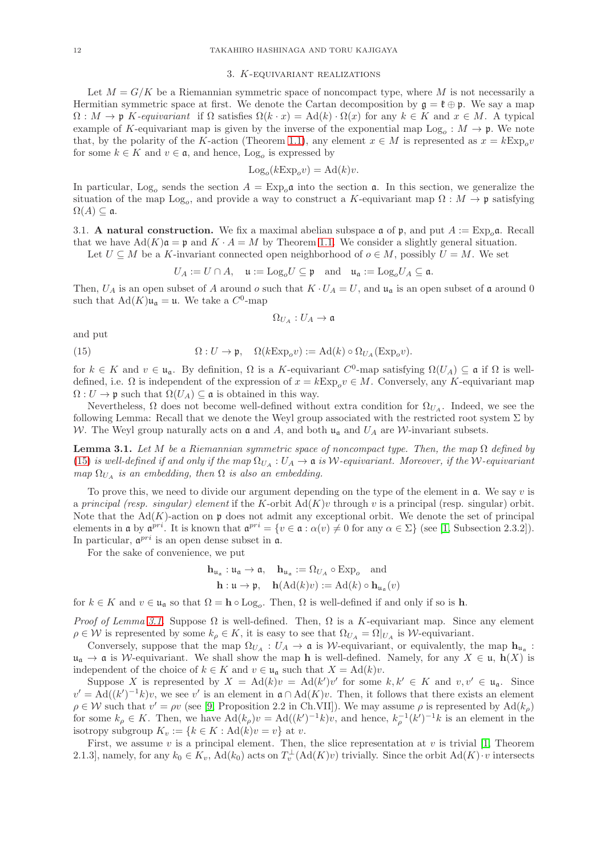### 3. K-equivariant realizations

<span id="page-11-1"></span>Let  $M = G/K$  be a Riemannian symmetric space of noncompact type, where M is not necessarily a Hermitian symmetric space at first. We denote the Cartan decomposition by  $\mathfrak{g} = \mathfrak{k} \oplus \mathfrak{p}$ . We say a map  $\Omega: M \to \mathfrak{p}$  K-equivariant if  $\Omega$  satisfies  $\Omega(k \cdot x) = \text{Ad}(k) \cdot \Omega(x)$  for any  $k \in K$  and  $x \in M$ . A typical example of K-equivariant map is given by the inverse of the exponential map  $Log_o: M \to \mathfrak{p}$ . We note that, by the polarity of the K-action (Theorem [1.1\)](#page-1-0), any element  $x \in M$  is represented as  $x = k \to \infty$ for some  $k \in K$  and  $v \in \mathfrak{a}$ , and hence,  $\text{Log}_o$  is expressed by

$$
Log_o(kExp_o v) = Ad(k)v.
$$

In particular, Log<sub>o</sub> sends the section  $A = \text{Exp}_{o} \mathfrak{a}$  into the section  $\mathfrak{a}$ . In this section, we generalize the situation of the map  $Log_o$ , and provide a way to construct a K-equivariant map  $\Omega : M \to \mathfrak{p}$  satisfying  $\Omega(A) \subseteq \mathfrak{a}.$ 

3.1. A natural construction. We fix a maximal abelian subspace  $\mathfrak a$  of  $\mathfrak p$ , and put  $A := \text{Exp}_{\alpha} \mathfrak a$ . Recall that we have  $\text{Ad}(K)\mathfrak{a} = \mathfrak{p}$  and  $K \cdot A = M$  by Theorem [1.1.](#page-1-0) We consider a slightly general situation.

Let  $U \subseteq M$  be a K-invariant connected open neighborhood of  $o \in M$ , possibly  $U = M$ . We set

$$
U_A := U \cap A, \quad \mathfrak{u} := \mathrm{Log}_o U \subseteq \mathfrak{p} \quad \text{and} \quad \mathfrak{u}_{\mathfrak{a}} := \mathrm{Log}_o U_A \subseteq \mathfrak{a}.
$$

Then,  $U_A$  is an open subset of A around o such that  $K \cdot U_A = U$ , and  $\mathfrak{u}_\mathfrak{a}$  is an open subset of  $\mathfrak{a}$  around 0 such that  $\text{Ad}(K)\mathfrak{u}_{\mathfrak{a}} = \mathfrak{u}$ . We take a  $C^0$ -map

$$
\Omega_{U_A}:U_A\to\mathfrak{a}
$$

and put

<span id="page-11-2"></span>(15) 
$$
\Omega: U \to \mathfrak{p}, \quad \Omega(k \to \mathfrak{p}_o v) := \mathrm{Ad}(k) \circ \Omega_{U_A}(\mathrm{Exp}_o v).
$$

for  $k \in K$  and  $v \in \mathfrak{u}_{\mathfrak{a}}$ . By definition,  $\Omega$  is a K-equivariant  $C^0$ -map satisfying  $\Omega(U_A) \subseteq \mathfrak{a}$  if  $\Omega$  is welldefined, i.e.  $\Omega$  is independent of the expression of  $x = k \to \infty$ ,  $v \in M$ . Conversely, any K-equivariant map  $\Omega: U \to \mathfrak{p}$  such that  $\Omega(U_A) \subseteq \mathfrak{a}$  is obtained in this way.

Nevertheless,  $\Omega$  does not become well-defined without extra condition for  $\Omega_{U_A}$ . Indeed, we see the following Lemma: Recall that we denote the Weyl group associated with the restricted root system  $\Sigma$  by W. The Weyl group naturally acts on  $\mathfrak a$  and A, and both  $\mathfrak u_{\mathfrak a}$  and  $U_A$  are W-invariant subsets.

<span id="page-11-0"></span>**Lemma 3.1.** Let M be a Riemannian symmetric space of noncompact type. Then, the map  $\Omega$  defined by [\(15\)](#page-11-2) is well-defined if and only if the map  $\Omega_{U_A}: U_A \to \mathfrak{a}$  is W-equivariant. Moreover, if the W-equivariant map  $\Omega_{U_A}$  is an embedding, then  $\Omega$  is also an embedding.

To prove this, we need to divide our argument depending on the type of the element in  $a$ . We say v is a principal (resp. singular) element if the K-orbit  $\text{Ad}(K)v$  through v is a principal (resp. singular) orbit. Note that the  $Ad(K)$ -action on p does not admit any exceptional orbit. We denote the set of principal elements in **a** by  $\mathfrak{a}^{pri}$ . It is known that  $\mathfrak{a}^{pri} = \{v \in \mathfrak{a} : \alpha(v) \neq 0 \text{ for any } \alpha \in \Sigma\}$  (see [\[1,](#page-35-3) Subsection 2.3.2]). In particular,  $\mathfrak{a}^{pri}$  is an open dense subset in  $\mathfrak{a}$ .

For the sake of convenience, we put

$$
\mathbf{h}_{\mathfrak{u}_{\mathfrak{a}}} : \mathfrak{u}_{\mathfrak{a}} \to \mathfrak{a}, \quad \mathbf{h}_{\mathfrak{u}_{\mathfrak{a}}} := \Omega_{U_A} \circ \text{Exp}_o \quad \text{and}
$$
\n
$$
\mathbf{h} : \mathfrak{u} \to \mathfrak{p}, \quad \mathbf{h}(\text{Ad}(k)v) := \text{Ad}(k) \circ \mathbf{h}_{\mathfrak{u}_{\mathfrak{a}}}(v)
$$

for  $k \in K$  and  $v \in \mathfrak{u}_\mathfrak{a}$  so that  $\Omega = \mathbf{h} \circ \text{Log}_o$ . Then,  $\Omega$  is well-defined if and only if so is  $\mathbf{h}$ .

*Proof of Lemma [3.1.](#page-11-0)* Suppose  $\Omega$  is well-defined. Then,  $\Omega$  is a K-equivariant map. Since any element  $\rho \in \mathcal{W}$  is represented by some  $k_{\rho} \in K$ , it is easy to see that  $\Omega_{U_A} = \Omega|_{U_A}$  is W-equivariant.

Conversely, suppose that the map  $\Omega_{U_A}: U_A \to \mathfrak{a}$  is W-equivariant, or equivalently, the map  $h_{\mathfrak{u}_\mathfrak{a}}$ :  $u_{\mathfrak{a}} \to \mathfrak{a}$  is W-equivariant. We shall show the map h is well-defined. Namely, for any  $X \in \mathfrak{u}$ ,  $h(X)$  is independent of the choice of  $k \in K$  and  $v \in \mathfrak{u}_\mathfrak{a}$  such that  $X = \mathrm{Ad}(k)v$ .

Suppose X is represented by  $X = \text{Ad}(k)v = \text{Ad}(k')v'$  for some  $k, k' \in K$  and  $v, v' \in \mathfrak{u}_\mathfrak{a}$ . Since  $v' = \text{Ad}((k')^{-1}k)v$ , we see v' is an element in  $\mathfrak{a} \cap \text{Ad}(K)v$ . Then, it follows that there exists an element  $\rho \in \mathcal{W}$  such that  $v' = \rho v$  (see [\[9,](#page-36-1) Proposition 2.2 in Ch.VII]). We may assume  $\rho$  is represented by  $\text{Ad}(k_{\rho})$ for some  $k_{\rho} \in K$ . Then, we have  $\text{Ad}(k_{\rho})v = \text{Ad}((k')^{-1}k)v$ , and hence,  $k_{\rho}^{-1}(k')^{-1}k$  is an element in the isotropy subgroup  $K_v := \{k \in K : \mathrm{Ad}(k)v = v\}$  at v.

First, we assume  $v$  is a principal element. Then, the slice representation at  $v$  is trivial [\[1,](#page-35-3) Theorem 2.1.3], namely, for any  $k_0 \in K_v$ ,  $\text{Ad}(k_0)$  acts on  $T_v^{\perp}(\text{Ad}(K)v)$  trivially. Since the orbit  $\text{Ad}(K) \cdot v$  intersects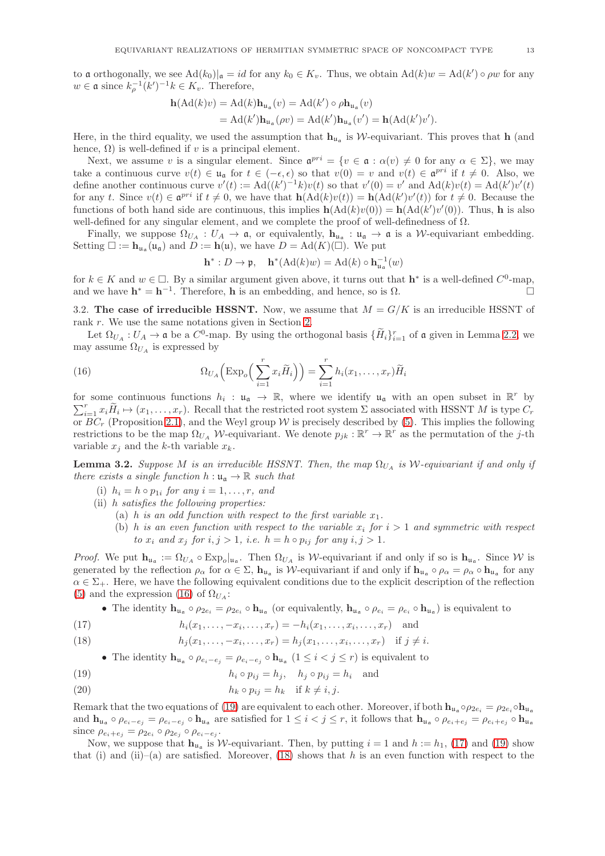to a orthogonally, we see  $Ad(k_0)|_{\mathfrak{a}} = id$  for any  $k_0 \in K_v$ . Thus, we obtain  $Ad(k)w = Ad(k') \circ \rho w$  for any  $w \in \mathfrak{a}$  since  $k_{\rho}^{-1}(k')^{-1}k \in K_v$ . Therefore,

$$
\begin{aligned} \mathbf{h}(\mathrm{Ad}(k)v) &= \mathrm{Ad}(k)\mathbf{h}_{\mathfrak{u}_\mathfrak{a}}(v) = \mathrm{Ad}(k') \circ \rho \mathbf{h}_{\mathfrak{u}_\mathfrak{a}}(v) \\ &= \mathrm{Ad}(k')\mathbf{h}_{\mathfrak{u}_\mathfrak{a}}(\rho v) = \mathrm{Ad}(k')\mathbf{h}_{\mathfrak{u}_\mathfrak{a}}(v') = \mathbf{h}(\mathrm{Ad}(k')v'). \end{aligned}
$$

Here, in the third equality, we used the assumption that  $h_{u_a}$  is W-equivariant. This proves that h (and hence,  $\Omega$ ) is well-defined if v is a principal element.

Next, we assume v is a singular element. Since  $\mathfrak{a}^{pri} = \{v \in \mathfrak{a} : \alpha(v) \neq 0 \text{ for any } \alpha \in \Sigma\}$ , we may take a continuous curve  $v(t) \in \mathfrak{u}_{\mathfrak{a}}$  for  $t \in (-\epsilon, \epsilon)$  so that  $v(0) = v$  and  $v(t) \in \mathfrak{a}^{pri}$  if  $t \neq 0$ . Also, we define another continuous curve  $v'(t) := \text{Ad}((k')^{-1}k)v(t)$  so that  $v'(0) = v'$  and  $\text{Ad}(k)v(t) = \text{Ad}(k')v'(t)$ for any t. Since  $v(t) \in \mathfrak{a}^{pri}$  if  $t \neq 0$ , we have that  $h(\text{Ad}(k)v(t)) = h(\text{Ad}(k')v'(t))$  for  $t \neq 0$ . Because the functions of both hand side are continuous, this implies  $h(Ad(k)v(0)) = h(Ad(k')v'(0))$ . Thus, h is also well-defined for any singular element, and we complete the proof of well-definedness of  $\Omega$ .

Finally, we suppose  $\Omega_{U_A}: U_A \to \mathfrak{a}$ , or equivalently,  $h_{\mathfrak{u}_\mathfrak{a}} : \mathfrak{u}_\mathfrak{a} \to \mathfrak{a}$  is a *W*-equivariant embedding. Setting  $\square := \mathbf{h}_{\mathfrak{u}_\mathfrak{a}}(\mathfrak{u}_\mathfrak{a})$  and  $\ddot{D} := \mathbf{h}(\mathfrak{u}),$  we have  $D = \mathrm{Ad}(K)(\dot{\square}).$  We put

$$
\mathbf{h}^*: D \to \mathfrak{p}, \quad \mathbf{h}^*(\mathrm{Ad}(k)w) = \mathrm{Ad}(k) \circ \mathbf{h}_{\mathfrak{u}_\mathfrak{a}}^{-1}(w)
$$

for  $k \in K$  and  $w \in \Box$ . By a similar argument given above, it turns out that  $h^*$  is a well-defined  $C^0$ -map, and we have  $\mathbf{h}^* = \mathbf{h}^{-1}$ . Therefore, **h** is an embedding, and hence, so is  $\Omega$ .

3.2. The case of irreducible HSSNT. Now, we assume that  $M = G/K$  is an irreducible HSSNT of rank r. We use the same notations given in Section [2.](#page-5-0)

Let  $\Omega_{U_A}: U_A \to \mathfrak{a}$  be a  $C^0$ -map. By using the orthogonal basis  $\{\tilde{H}_i\}_{i=1}^r$  of  $\mathfrak{a}$  given in Lemma [2.2,](#page-7-2) we may assume  $\Omega_{U_A}$  is expressed by

<span id="page-12-0"></span>(16) 
$$
\Omega_{U_A}\left(\text{Exp}_o\left(\sum_{i=1}^r x_i\widetilde{H}_i\right)\right) = \sum_{i=1}^r h_i(x_1,\ldots,x_r)\widetilde{H}_i
$$

for some continuous functions  $h_i : \mathfrak{u}_\mathfrak{a} \to \mathbb{R}$ , where we identify  $\mathfrak{u}_\mathfrak{a}$  with an open subset in  $\mathbb{R}^r$  by  $\sum_{i=1}^r x_i \widetilde{H}_i \mapsto (x_1, \ldots, x_r)$ . Recall that the restricted root system  $\Sigma$  associated with HSSNT M is type  $C_r$ or  $BC_r$  (Proposition [2.1\)](#page-6-2), and the Weyl group W is precisely described by [\(5\)](#page-7-6). This implies the following restrictions to be the map  $\Omega_{U_A}$  W-equivariant. We denote  $p_{jk} : \mathbb{R}^r \to \mathbb{R}^r$  as the permutation of the j-th variable  $x_j$  and the k-th variable  $x_k$ .

<span id="page-12-5"></span>**Lemma 3.2.** Suppose M is an irreducible HSSNT. Then, the map  $\Omega_{U_A}$  is W-equivariant if and only if there exists a single function  $h: \mathfrak{u}_{\alpha} \to \mathbb{R}$  such that

(i)  $h_i = h \circ p_{1i}$  for any  $i = 1, \ldots, r$ , and

(ii) h satisfies the following properties:

- (a) h is an odd function with respect to the first variable  $x_1$ .
- (b) h is an even function with respect to the variable  $x_i$  for  $i > 1$  and symmetric with respect to  $x_i$  and  $x_j$  for  $i, j > 1$ , i.e.  $h = h \circ p_{ij}$  for any  $i, j > 1$ .

*Proof.* We put  $\mathbf{h}_{\mathfrak{u}_\mathfrak{a}} := \Omega_{U_A} \circ \mathrm{Exp}_o|_{\mathfrak{u}_\mathfrak{a}}$ . Then  $\Omega_{U_A}$  is W-equivariant if and only if so is  $\mathbf{h}_{\mathfrak{u}_\mathfrak{a}}$ . Since W is generated by the reflection  $\rho_{\alpha}$  for  $\alpha \in \Sigma$ ,  $\mathbf{h}_{\mu_{\alpha}}$  is W-equivariant if and only if  $\mathbf{h}_{\mu_{\alpha}} \circ \rho_{\alpha} = \rho_{\alpha} \circ \mathbf{h}_{\mu_{\alpha}}$  for any  $\alpha \in \Sigma_{+}$ . Here, we have the following equivalent conditions due to the explicit description of the reflection [\(5\)](#page-7-6) and the expression [\(16\)](#page-12-0) of  $\Omega_{U_A}$ :

• The identity  $\mathbf{h}_{\mathfrak{u}_\mathfrak{a}} \circ \rho_{2e_i} = \rho_{2e_i} \circ \mathbf{h}_{\mathfrak{u}_\mathfrak{a}}$  (or equivalently,  $\mathbf{h}_{\mathfrak{u}_\mathfrak{a}} \circ \rho_{e_i} = \rho_{e_i} \circ \mathbf{h}_{\mathfrak{u}_\mathfrak{a}}$ ) is equivalent to

<span id="page-12-2"></span>(17) 
$$
h_i(x_1,...,-x_i,...,x_r) = -h_i(x_1,...,x_i,...,x_r)
$$
 and

<span id="page-12-3"></span>(18) 
$$
h_j(x_1,...,-x_i,...,x_r) = h_j(x_1,...,x_i,...,x_r)
$$
 if  $j \neq i$ .

• The identity  $\mathbf{h}_{\mathfrak{u}_\mathfrak{a}} \circ \rho_{e_i-e_j} = \rho_{e_i-e_j} \circ \mathbf{h}_{\mathfrak{u}_\mathfrak{a}} (1 \leq i < j \leq r)$  is equivalent to

- <span id="page-12-1"></span>(19)  $h_i \circ p_{ij} = h_j, \quad h_j \circ p_{ij} = h_i \text{ and}$
- <span id="page-12-4"></span>(20)  $h_k \circ p_{ij} = h_k$  if  $k \neq i, j$ .

Remark that the two equations of [\(19\)](#page-12-1) are equivalent to each other. Moreover, if both  $h_{u_1} \circ \rho_{2e_i} = \rho_{2e_i} \circ h_{u_2}$ and  $h_{\mathfrak{u}_\mathfrak{a}} \circ \rho_{e_i-e_j} = \rho_{e_i-e_j} \circ h_{\mathfrak{u}_\mathfrak{a}}$  are satisfied for  $1 \leq i < j \leq r$ , it follows that  $h_{\mathfrak{u}_\mathfrak{a}} \circ \rho_{e_i+e_j} = \rho_{e_i+e_j} \circ h_{\mathfrak{u}_\mathfrak{a}}$ since  $\rho_{e_i+e_j} = \rho_{2e_i} \circ \rho_{2e_j} \circ \rho_{e_i-e_j}$ .

Now, we suppose that  $h_{\mu_a}$  is W-equivariant. Then, by putting  $i = 1$  and  $h := h_1$ , [\(17\)](#page-12-2) and [\(19\)](#page-12-1) show that (i) and (ii)–(a) are satisfied. Moreover, [\(18\)](#page-12-3) shows that h is an even function with respect to the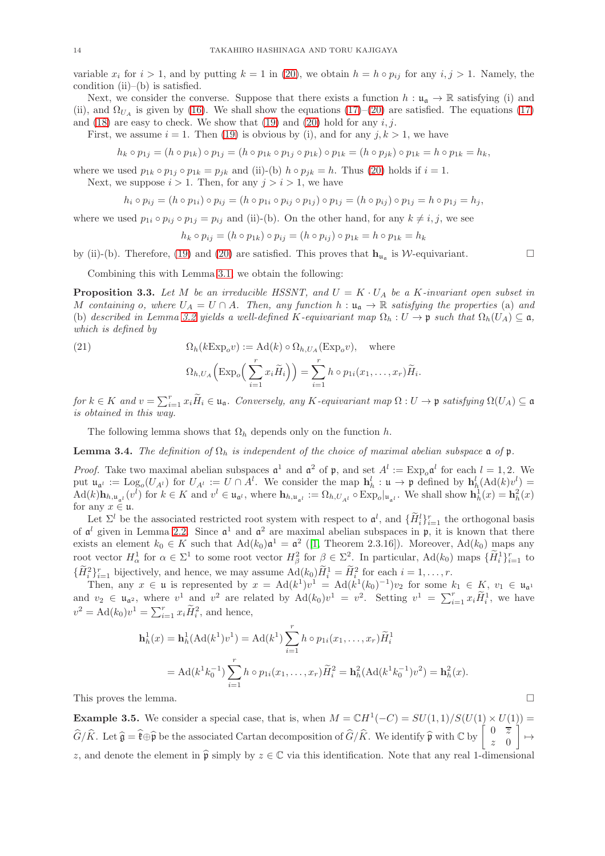variable  $x_i$  for  $i > 1$ , and by putting  $k = 1$  in [\(20\)](#page-12-4), we obtain  $h = h \circ p_{ij}$  for any  $i, j > 1$ . Namely, the condition (ii)–(b) is satisfied.

Next, we consider the converse. Suppose that there exists a function  $h : \mathfrak{u}_{\mathfrak{a}} \to \mathbb{R}$  satisfying (i) and (ii), and  $\Omega_{U_4}$  is given by [\(16\)](#page-12-0). We shall show the equations [\(17\)](#page-12-2)–[\(20\)](#page-12-4) are satisfied. The equations (17) and  $(18)$  are easy to check. We show that  $(19)$  and  $(20)$  hold for any  $i, j$ .

First, we assume  $i = 1$ . Then [\(19\)](#page-12-1) is obvious by (i), and for any  $j, k > 1$ , we have

$$
h_k \circ p_{1j} = (h \circ p_{1k}) \circ p_{1j} = (h \circ p_{1k} \circ p_{1j} \circ p_{1k}) \circ p_{1k} = (h \circ p_{jk}) \circ p_{1k} = h \circ p_{1k} = h_k,
$$

where we used  $p_{1k} \circ p_{1j} \circ p_{1k} = p_{jk}$  and (ii)-(b)  $h \circ p_{jk} = h$ . Thus [\(20\)](#page-12-4) holds if  $i = 1$ .

Next, we suppose  $i > 1$ . Then, for any  $j > i > 1$ , we have

$$
h_i \circ p_{ij} = (h \circ p_{1i}) \circ p_{ij} = (h \circ p_{1i} \circ p_{ij} \circ p_{1j}) \circ p_{1j} = (h \circ p_{ij}) \circ p_{1j} = h \circ p_{1j} = h_j,
$$

where we used  $p_{1i} \circ p_{ij} \circ p_{1j} = p_{ij}$  and (ii)-(b). On the other hand, for any  $k \neq i, j$ , we see

$$
h_k \circ p_{ij} = (h \circ p_{1k}) \circ p_{ij} = (h \circ p_{ij}) \circ p_{1k} = h \circ p_{1k} = h_k
$$

by (ii)-(b). Therefore, [\(19\)](#page-12-1) and [\(20\)](#page-12-4) are satisfied. This proves that  $\mathbf{h}_{\mathfrak{u}_\mathfrak{a}}$  is W-equivariant.

Combining this with Lemma [3.1,](#page-11-0) we obtain the following:

<span id="page-13-0"></span>**Proposition 3.3.** Let M be an irreducible HSSNT, and  $U = K \cdot U_A$  be a K-invariant open subset in M containing o, where  $U_A = U \cap A$ . Then, any function  $h : \mathfrak{u}_\mathfrak{a} \to \mathbb{R}$  satisfying the properties (a) and (b) described in Lemma [3.2](#page-12-5) yields a well-defined K-equivariant map  $\Omega_h : U \to \mathfrak{p}$  such that  $\Omega_h(U_A) \subset \mathfrak{a}$ , which is defined by

<span id="page-13-2"></span>(21) 
$$
\Omega_h(k \operatorname{Exp}_o v) := \operatorname{Ad}(k) \circ \Omega_{h, U_A}(\operatorname{Exp}_o v), \quad \text{where}
$$

$$
\Omega_{h,U_A}\left(\text{Exp}_o\left(\sum_{i=1}^r x_i\widetilde{H}_i\right)\right)=\sum_{i=1}^r h\circ p_{1i}(x_1,\ldots,x_r)\widetilde{H}_i.
$$

for  $k \in K$  and  $v = \sum_{i=1}^r x_i \widetilde{H}_i \in \mathfrak{u}_{\mathfrak{a}}$ . Conversely, any K-equivariant map  $\Omega: U \to \mathfrak{p}$  satisfying  $\Omega(U_A) \subseteq \mathfrak{a}$ is obtained in this way.

The following lemma shows that  $\Omega_h$  depends only on the function h.

<span id="page-13-1"></span>**Lemma 3.4.** The definition of  $\Omega_h$  is independent of the choice of maximal abelian subspace  $\mathfrak{a}$  of  $\mathfrak{p}$ .

*Proof.* Take two maximal abelian subspaces  $\mathfrak{a}^1$  and  $\mathfrak{a}^2$  of  $\mathfrak{p}$ , and set  $A^l := \text{Exp}_o \mathfrak{a}^l$  for each  $l = 1, 2$ . We put  $\mathfrak{u}_{\mathfrak{a}^l} := \mathrm{Log}_o(U_{A^l})$  for  $U_{A^l} := U \cap A^l$ . We consider the map  $\mathbf{h}_h^l : \mathfrak{u} \to \mathfrak{p}$  defined by  $\mathbf{h}_h^l(\mathrm{Ad}(k)v^l) =$  $\operatorname{Ad}(k)$ **h**<sub>h,u<sub>a</sub>l</sup></sub> $(v^l)$  for  $k \in K$  and  $v^l \in \mathfrak{u}_{\mathfrak{a}^l}$ , where  $\mathbf{h}_{h,\mathfrak{u}_{\mathfrak{a}^l}} := \Omega_{h,U_{A^l}} \circ \operatorname{Exp}_o|_{\mathfrak{u}_{\mathfrak{a}^l}}$ . We shall show  $\mathbf{h}_h^1(x) = \mathbf{h}_h^2(x)$ for any  $x \in \mathfrak{u}$ .

Let  $\Sigma^l$  be the associated restricted root system with respect to  $\mathfrak{a}^l$ , and  $\{H_i^l\}_{i=1}^r$  the orthogonal basis of  $\mathfrak{a}^l$  given in Lemma [2.2.](#page-7-2) Since  $\mathfrak{a}^1$  and  $\mathfrak{a}^2$  are maximal abelian subspaces in  $\mathfrak{p}$ , it is known that there exists an element  $k_0 \in K$  such that  $\text{Ad}(k_0) \mathfrak{a}^1 = \mathfrak{a}^2$  ([\[1,](#page-35-3) Theorem 2.3.16]). Moreover,  $\text{Ad}(k_0)$  maps any root vector  $H^1_\alpha$  for  $\alpha \in \Sigma^1$  to some root vector  $H^2_\beta$  for  $\beta \in \Sigma^2$ . In particular,  $\text{Ad}(k_0)$  maps  $\{\tilde{H}^1_i\}_{i=1}^r$  to  $\{\widetilde{H}_i^2\}_{i=1}^r$  bijectively, and hence, we may assume  $\text{Ad}(k_0)\widetilde{H}_i^1 = \widetilde{H}_i^2$  for each  $i = 1, \ldots, r$ .

Then, any  $x \in \mathfrak{u}$  is represented by  $x = \text{Ad}(k^1)v^1 = \text{Ad}(k^1(k_0)^{-1})v_2$  for some  $k_1 \in K$ ,  $v_1 \in \mathfrak{u}_{\mathfrak{a}^1}$ and  $v_2 \in \mathfrak{u}_{\mathfrak{a}^2}$ , where  $v^1$  and  $v^2$  are related by  $\text{Ad}(k_0)v^1 = v^2$ . Setting  $v^1 = \sum_{i=1}^r x_i \widetilde{H}_i^1$ , we have  $v^2 = \text{Ad}(k_0)v^1 = \sum_{i=1}^r x_i \widetilde{H}_i^2$ , and hence,

$$
\mathbf{h}_h^1(x) = \mathbf{h}_h^1(\mathrm{Ad}(k^1)v^1) = \mathrm{Ad}(k^1) \sum_{i=1}^r h \circ p_{1i}(x_1, \dots, x_r) \widetilde{H}_i^1
$$
  
=  $\mathrm{Ad}(k^1 k_0^{-1}) \sum_{i=1}^r h \circ p_{1i}(x_1, \dots, x_r) \widetilde{H}_i^2 = \mathbf{h}_h^2(\mathrm{Ad}(k^1 k_0^{-1})v^2) = \mathbf{h}_h^2(x).$ 

This proves the lemma.  $\Box$ 

**Example 3.5.** We consider a special case, that is, when  $M = \mathbb{C}H^1(-C) = SU(1,1)/S(U(1) \times U(1)) =$  $\widehat{G}/\widehat{K}$ . Let  $\widehat{\mathfrak{g}} = \widehat{\mathfrak{k}} \oplus \widehat{\mathfrak{p}}$  be the associated Cartan decomposition of  $\widehat{G}/\widehat{K}$ . We identify  $\widehat{\mathfrak{p}}$  with  $\mathbb{C}$  by  $\begin{bmatrix} 0 & \overline{z} \\ z & 0 \end{bmatrix}$ z 0 Ĩ  $\mapsto$ z, and denote the element in  $\hat{\mathfrak{p}}$  simply by  $z \in \mathbb{C}$  via this identification. Note that any real 1-dimensional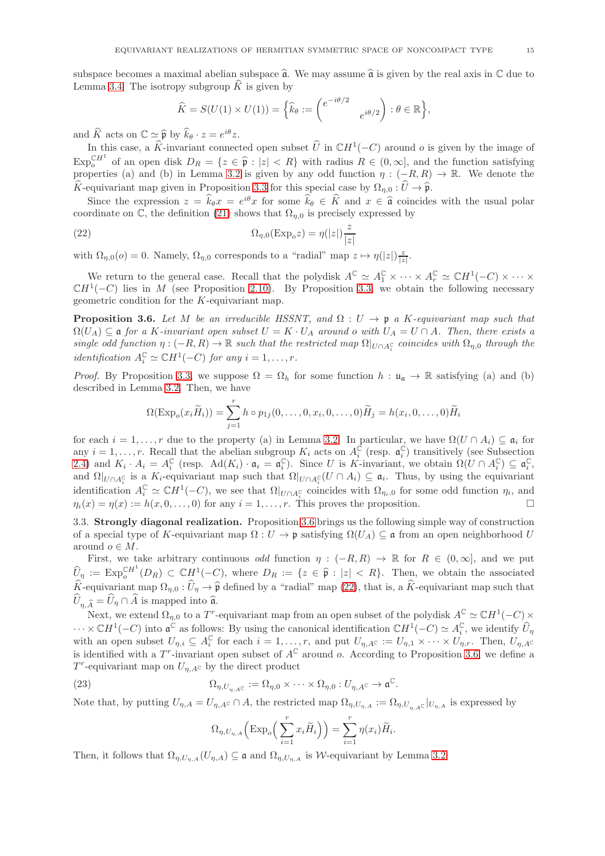subspace becomes a maximal abelian subspace  $\hat{\mathfrak{a}}$ . We may assume  $\hat{\mathfrak{a}}$  is given by the real axis in  $\mathbb C$  due to Lemma [3.4.](#page-13-1) The isotropy subgroup  $\hat{K}$  is given by

$$
\widehat{K} = S(U(1) \times U(1)) = \left\{ \widehat{k}_{\theta} := \begin{pmatrix} e^{-i\theta/2} & \\ & e^{i\theta/2} \end{pmatrix} : \theta \in \mathbb{R} \right\},
$$

and  $\widehat{K}$  acts on  $\mathbb{C} \simeq \widehat{\mathfrak{p}}$  by  $\widehat{k}_{\theta} \cdot z = e^{i\theta}z$ .

In this case, a  $\widehat{K}$ -invariant connected open subset  $\widehat{U}$  in  $\mathbb{C}H^1(-C)$  around  $o$  is given by the image of  $\text{Exp}_{o}^{\mathbb{C}H^{1}}$  of an open disk  $D_{R} = \{z \in \hat{\mathfrak{p}} : |z| < R\}$  with radius  $R \in (0, \infty]$ , and the function satisfying properties (a) and (b) in Lemma [3.2](#page-12-5) is given by any odd function  $\eta : (-R, R) \to \mathbb{R}$ . We denote the  $\widehat{K}$ -equivariant map given in Proposition [3.3](#page-13-0) for this special case by  $\Omega_{n,0} : \widehat{U} \to \widehat{\mathfrak{p}}$ .

Since the expression  $z = k_\theta x = e^{i\theta}x$  for some  $k_\theta \in \hat{K}$  and  $x \in \hat{\mathfrak{a}}$  coincides with the usual polar coordinate on  $\mathbb{C}$ , the definition [\(21\)](#page-13-2) shows that  $\Omega_{n,0}$  is precisely expressed by

<span id="page-14-1"></span>(22) 
$$
\Omega_{\eta,0}(\text{Exp}_o z) = \eta(|z|) \frac{z}{|z|}
$$

with  $\Omega_{\eta,0}(o) = 0$ . Namely,  $\Omega_{\eta,0}$  corresponds to a "radial" map  $z \mapsto \eta(|z|) \frac{z}{|z|}$ .

We return to the general case. Recall that the polydisk  $A^{\mathbb{C}} \simeq A_1^{\mathbb{C}} \times \cdots \times A_r^{\mathbb{C}} \simeq \mathbb{C}H^1(-C) \times \cdots \times$  $\mathbb{C}H^1(-C)$  lies in M (see Proposition [2.10\)](#page-10-0). By Proposition [3.3,](#page-13-0) we obtain the following necessary geometric condition for the K-equivariant map.

<span id="page-14-0"></span>**Proposition 3.6.** Let M be an irreducible HSSNT, and  $\Omega: U \to \mathfrak{p}$  a K-equivariant map such that  $\Omega(U_A) \subseteq \mathfrak{a}$  for a K-invariant open subset  $U = K \cdot U_A$  around o with  $U_A = U \cap A$ . Then, there exists a single odd function  $\eta: (-R, R) \to \mathbb{R}$  such that the restricted map  $\Omega|_{U \cap A_i^{\mathbb{C}}}$  coincides with  $\Omega_{\eta,0}$  through the identification  $A_i^{\mathbb{C}} \simeq \mathbb{C}H^1(-C)$  for any  $i = 1, \ldots, r$ .

*Proof.* By Proposition [3.3,](#page-13-0) we suppose  $\Omega = \Omega_h$  for some function  $h : \mathfrak{u}_\mathfrak{a} \to \mathbb{R}$  satisfying (a) and (b) described in Lemma [3.2.](#page-12-5) Then, we have

$$
\Omega(\text{Exp}_o(x_i\widetilde{H}_i)) = \sum_{j=1}^r h \circ p_{1j}(0,\ldots,0,x_i,0,\ldots,0)\widetilde{H}_j = h(x_i,0,\ldots,0)\widetilde{H}_i
$$

for each  $i = 1, \ldots, r$  due to the property (a) in Lemma [3.2.](#page-12-5) In particular, we have  $\Omega(U \cap A_i) \subseteq \mathfrak{a}_i$  for any  $i = 1, \ldots, r$ . Recall that the abelian subgroup  $K_i$  acts on  $A_i^{\overline{C}}$  (resp.  $\mathfrak{a}_i^{\overline{C}}$ ) transitively (see Subsection [2.4\)](#page-8-4) and  $K_i \cdot A_i = A_i^{\mathbb{C}}$  (resp.  $\text{Ad}(K_i) \cdot \mathfrak{a}_i = \mathfrak{a}_i^{\mathbb{C}}$ ). Since U is K-invariant, we obtain  $\Omega(U \cap A_i^{\mathbb{C}}) \subseteq \mathfrak{a}_i^{\mathbb{C}}$ , and  $\Omega|_{U\cap A_i^{\mathbb{C}}}$  is a K<sub>i</sub>-equivariant map such that  $\Omega|_{U\cap A_i^{\mathbb{C}}}(U\cap A_i) \subseteq \mathfrak{a}_i$ . Thus, by using the equivariant identification  $A_i^{\mathbb{C}} \simeq \mathbb{C}H^1(-C)$ , we see that  $\Omega|_{U \cap A_i^{\mathbb{C}}}$  coincides with  $\Omega_{\eta_i,0}$  for some odd function  $\eta_i$ , and  $\eta_i(x) = \eta(x) := h(x, 0, \ldots, 0)$  for any  $i = 1, \ldots, r$ . This proves the proposition.

<span id="page-14-3"></span>3.3. Strongly diagonal realization. Proposition [3.6](#page-14-0) brings us the following simple way of construction of a special type of K-equivariant map  $\Omega: U \to \mathfrak{p}$  satisfying  $\Omega(U_A) \subseteq \mathfrak{a}$  from an open neighborhood U around  $o \in M$ .

First, we take arbitrary continuous *odd* function  $\eta : (-R, R) \to \mathbb{R}$  for  $R \in (0, \infty]$ , and we put  $\widehat{U}_p := \text{Exp}_{o}^{\text{CH}^1}(D_R) \subset \mathbb{C}H^1(-C)$ , where  $D_R := \{z \in \widehat{\mathfrak{p}} : |z| < R\}$ . Then, we obtain the associated  $\hat{K}$ -equivariant map  $\Omega_{\eta,0} : \hat{U}_{\eta} \to \hat{\mathfrak{p}}$  defined by a "radial" map [\(22\)](#page-14-1), that is, a  $\hat{K}$ -equivariant map such that  $U_{\eta, \widehat{A}} = U_{\eta} \cap A$  is mapped into  $\widehat{\mathfrak{a}}$ .

Next, we extend  $\Omega_{\eta,0}$  to a T<sup>r</sup>-equivariant map from an open subset of the polydisk  $A^{\mathbb{C}} \simeq \mathbb{C}H^{1}(-C) \times$  $\cdots \times \mathbb{C}H^{1}(-C)$  into  $\mathfrak{a}^{\mathbb{C}}$  as follows: By using the canonical identification  $\mathbb{C}H^{1}(-C) \simeq A_{i}^{\mathbb{C}}$ , we identify  $\widehat{U}_{\eta}$ with an open subset  $U_{\eta,i} \subseteq A_i^{\mathbb{C}}$  for each  $i = 1, \ldots, r$ , and put  $U_{\eta,A^{\mathbb{C}}} := U_{\eta,1} \times \cdots \times U_{\eta,r}$ . Then,  $U_{\eta,A^{\mathbb{C}}}$ is identified with a T<sup>r</sup>-invariant open subset of  $A^{\mathbb{C}}$  around o. According to Proposition [3.6,](#page-14-0) we define a  $T^r$ -equivariant map on  $U_{\eta,A}$ c by the direct product

<span id="page-14-2"></span>(23) 
$$
\Omega_{\eta, U_{\eta, AC}} := \Omega_{\eta, 0} \times \cdots \times \Omega_{\eta, 0} : U_{\eta, AC} \to \mathfrak{a}^{\mathbb{C}}.
$$

Note that, by putting  $U_{\eta,A} = U_{\eta,A} c \cap A$ , the restricted map  $\Omega_{\eta,U_{\eta,A}} := \Omega_{\eta,U_{\eta,A} c}|_{U_{\eta,A}}$  is expressed by

$$
\Omega_{\eta, U_{\eta, A}} \left( \operatorname{Exp}_o \left( \sum_{i=1}^r x_i \widetilde{H}_i \right) \right) = \sum_{i=1}^r \eta(x_i) \widetilde{H}_i.
$$

Then, it follows that  $\Omega_{\eta,U_{n,A}}(U_{\eta,A}) \subseteq \mathfrak{a}$  and  $\Omega_{\eta,U_{n,A}}$  is W-equivariant by Lemma [3.2.](#page-12-5)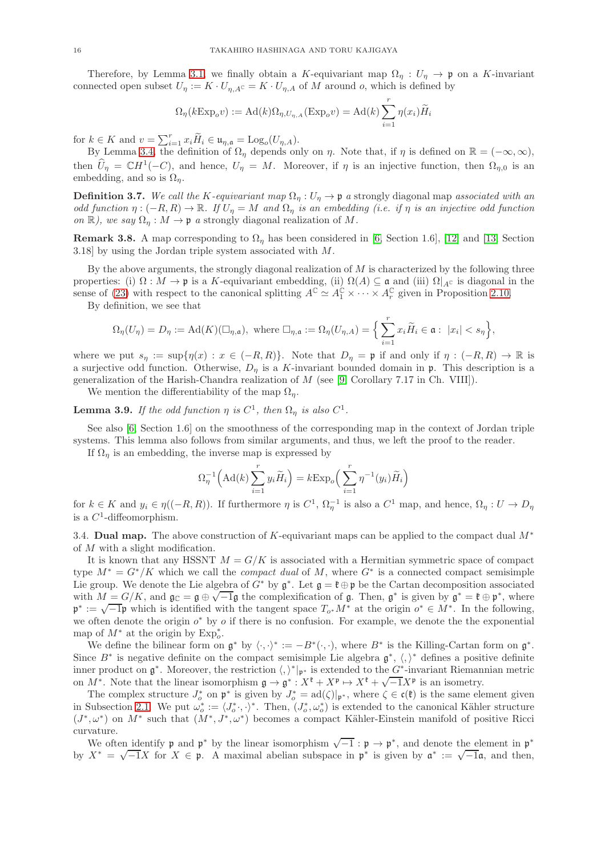Therefore, by Lemma [3.1,](#page-11-0) we finally obtain a K-equivariant map  $\Omega_{\eta}: U_{\eta} \to \mathfrak{p}$  on a K-invariant connected open subset  $U_{\eta} := K \cdot U_{\eta, A} c = K \cdot U_{\eta, A}$  of M around o, which is defined by

$$
\Omega_{\eta}(k \to \mathbf{P}_o v) := \mathrm{Ad}(k)\Omega_{\eta, U_{\eta, A}}(\mathrm{Exp}_o v) = \mathrm{Ad}(k)\sum_{i=1}^r \eta(x_i)\widetilde{H}_i
$$

for  $k \in K$  and  $v = \sum_{i=1}^r x_i \widetilde{H}_i \in \mathfrak{u}_{\eta, \mathfrak{a}} = \text{Log}_o(U_{\eta, A}).$ 

By Lemma [3.4,](#page-13-1) the definition of  $\Omega_{\eta}$  depends only on  $\eta$ . Note that, if  $\eta$  is defined on  $\mathbb{R} = (-\infty, \infty)$ , then  $\widehat{U}_{\eta} = \mathbb{C}H^{1}(-C)$ , and hence,  $U_{\eta} = M$ . Moreover, if  $\eta$  is an injective function, then  $\Omega_{\eta,0}$  is an embedding, and so is  $\Omega_n$ .

<span id="page-15-0"></span>**Definition 3.7.** We call the K-equivariant map  $\Omega_n: U_n \to \mathfrak{p}$  a strongly diagonal map associated with an odd function  $\eta: (-R, R) \to \mathbb{R}$ . If  $U_{\eta} = M$  and  $\Omega_{\eta}$  is an embedding (i.e. if  $\eta$  is an injective odd function on R), we say  $\Omega_n : M \to \mathfrak{p}$  a strongly diagonal realization of M.

**Remark 3.8.** A map corresponding to  $\Omega_n$  has been considered in [\[6,](#page-35-2) Section 1.6], [\[12\]](#page-36-5) and [\[13,](#page-36-6) Section 3.18] by using the Jordan triple system associated with M.

By the above arguments, the strongly diagonal realization of  $M$  is characterized by the following three properties: (i)  $\Omega : M \to \mathfrak{p}$  is a K-equivariant embedding, (ii)  $\Omega(A) \subseteq \mathfrak{a}$  and (iii)  $\Omega|_{A^C}$  is diagonal in the sense of [\(23\)](#page-14-2) with respect to the canonical splitting  $A^{\mathbb{C}} \simeq A_1^{\mathbb{C}} \times \cdots \times A_r^{\mathbb{C}}$  given in Proposition [2.10.](#page-10-0)

By definition, we see that

$$
\Omega_{\eta}(U_{\eta}) = D_{\eta} := \mathrm{Ad}(K)(\Box_{\eta,\mathfrak{a}}), \text{ where } \Box_{\eta,\mathfrak{a}} := \Omega_{\eta}(U_{\eta,A}) = \Big\{\sum_{i=1}^{r} x_{i} \widetilde{H}_{i} \in \mathfrak{a} : |x_{i}| < s_{\eta}\Big\},\
$$

where we put  $s_\eta := \sup\{\eta(x) : x \in (-R, R)\}\.$  Note that  $D_\eta = \mathfrak{p}$  if and only if  $\eta : (-R, R) \to \mathbb{R}$  is a surjective odd function. Otherwise,  $D_{\eta}$  is a K-invariant bounded domain in p. This description is a generalization of the Harish-Chandra realization of M (see [\[9,](#page-36-1) Corollary 7.17 in Ch. VIII]).

We mention the differentiability of the map  $\Omega_{\eta}$ .

**Lemma 3.9.** If the odd function  $\eta$  is  $C^1$ , then  $\Omega_{\eta}$  is also  $C^1$ .

See also [\[6,](#page-35-2) Section 1.6] on the smoothness of the corresponding map in the context of Jordan triple systems. This lemma also follows from similar arguments, and thus, we left the proof to the reader.

If  $\Omega_n$  is an embedding, the inverse map is expressed by

$$
\Omega_{\eta}^{-1} \Big( \mathrm{Ad}(k) \sum_{i=1}^{r} y_{i} \widetilde{H}_{i} \Big) = k \mathrm{Exp}_{o} \Big( \sum_{i=1}^{r} \eta^{-1}(y_{i}) \widetilde{H}_{i} \Big)
$$

for  $k \in K$  and  $y_i \in \eta((-R, R))$ . If furthermore  $\eta$  is  $C^1$ ,  $\Omega_{\eta}^{-1}$  is also a  $C^1$  map, and hence,  $\Omega_{\eta}: U \to D_{\eta}$ is a  $C^1$ -diffeomorphism.

<span id="page-15-1"></span>3.4. **Dual map.** The above construction of K-equivariant maps can be applied to the compact dual  $M^*$ of M with a slight modification.

It is known that any HSSNT  $M = G/K$  is associated with a Hermitian symmetric space of compact type  $M^* = G^* / K$  which we call the *compact dual* of M, where  $G^*$  is a connected compact semisimple Lie group. We denote the Lie algebra of  $G^*$  by  $\mathfrak{g}^*$ . Let  $\mathfrak{g} = \mathfrak{k} \oplus \mathfrak{p}$  be the Cartan decomposition associated with  $M = G/K$ , and  $\mathfrak{g}_\mathbb{C} = \mathfrak{g} \oplus \sqrt{-1}\mathfrak{g}$  the complexification of  $\mathfrak{g}$ . Then,  $\mathfrak{g}^*$  is given by  $\mathfrak{g}^* = \mathfrak{k} \oplus \mathfrak{p}^*$ , where  $\mathfrak{p}^* := \sqrt{-1}\mathfrak{p}$  which is identified with the tangent space  $T_{o^*}M^*$  at the origin  $o^* \in M^*$ . In the following, we often denote the origin  $o^*$  by  $o$  if there is no confusion. For example, we denote the the exponential map of  $M^*$  at the origin by  $\text{Exp}_o^*$ .

We define the bilinear form on  $\mathfrak{g}^*$  by  $\langle \cdot, \cdot \rangle^* := -B^*(\cdot, \cdot)$ , where  $B^*$  is the Killing-Cartan form on  $\mathfrak{g}^*$ . Since  $B^*$  is negative definite on the compact semisimple Lie algebra  $\mathfrak{g}^*, \langle, \rangle^*$  defines a positive definite inner product on  $\mathfrak{g}^*$ . Moreover, the restriction  $\langle, \rangle^*|_{\mathfrak{p}^*}$  is extended to the  $G^*$ -invariant Riemannian metric on  $M^*$ . Note that the linear isomorphism  $\mathfrak{g} \to \mathfrak{g}^*: X^{\mathfrak{k}} + X^{\mathfrak{p}} \mapsto X^{\mathfrak{k}} + \sqrt{-1}X^{\mathfrak{p}}$  is an isometry.

The complex structure  $J_o^*$  on  $\mathfrak{p}^*$  is given by  $J_o^* = \text{ad}(\zeta)|_{\mathfrak{p}^*}$ , where  $\zeta \in \mathfrak{c}(\mathfrak{k})$  is the same element given in Subsection [2.1.](#page-5-3) We put  $\omega_o^* := \langle J_o^*, \cdot \rangle^*$ . Then,  $(J_o^*, \omega_o^*)$  is extended to the canonical Kähler structure  $(J^*,\omega^*)$  on  $M^*$  such that  $(M^*,J^*,\omega^*)$  becomes a compact Kähler-Einstein manifold of positive Ricci curvature.

We often <u>identify</u> p and  $p^*$  by the linear isomorphism  $\sqrt{-1} : p \rightarrow p^*$ , and denote the element in  $p^*$ by  $X^* = \sqrt{-1}X$  for  $X \in \mathfrak{p}$ . A maximal abelian subspace in  $\mathfrak{p}^*$  is given by  $\mathfrak{a}^* := \sqrt{-1}\mathfrak{a}$ , and then,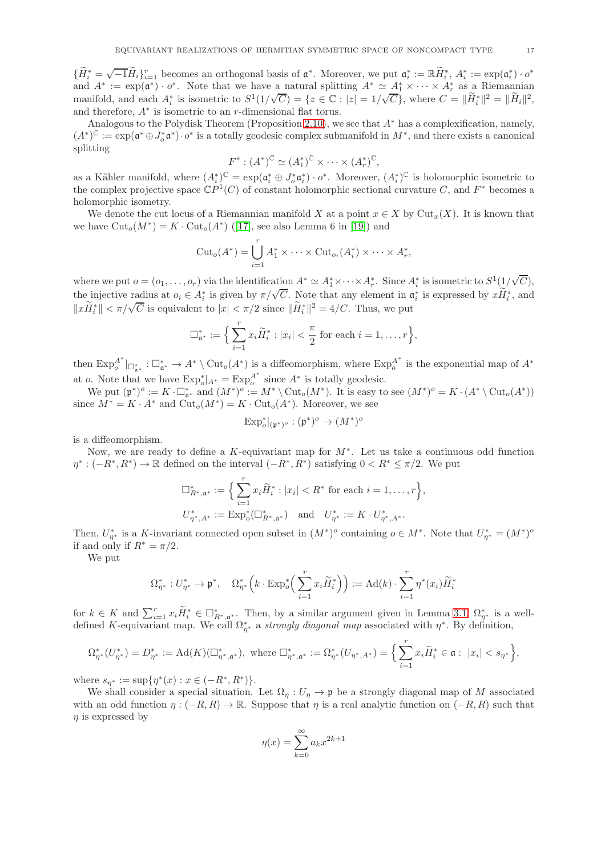$\{\widetilde{H}_{i}^{*}=\sqrt{-1}\widetilde{H}_{i}\}_{i=1}^{r}$  becomes an orthogonal basis of  $\mathfrak{a}^{*}$ . Moreover, we put  $\mathfrak{a}_{i}^{*}:=\mathbb{R}\widetilde{H}_{i}^{*}$ ,  $A_{i}^{*}:=\exp(\mathfrak{a}_{i}^{*})\cdot o^{*}$ and  $A^* := \exp(\mathfrak{a}^*) \cdot o^*$ . Note that we have a natural splitting  $A^* \simeq \underline{A}_1^* \times \cdots \times A_r^*$  as a Riemannian manifold, and each  $A_i^*$  is isometric to  $S^1(1/\sqrt{C}) = \{z \in \mathbb{C} : |z| = 1/\sqrt{C}\}$ , where  $C = ||\widetilde{H}_i^*||^2 = ||\widetilde{H}_i||^2$ , and therefore, A∗ is isometric to an r-dimensional flat torus.

Analogous to the Polydisk Theorem (Proposition [2.10\)](#page-10-0), we see that  $A^*$  has a complexification, namely,  $(A^*)^{\mathbb{C}} := \exp(\mathfrak{a}^* \oplus J_o^* \mathfrak{a}^*) \cdot o^*$  is a totally geodesic complex submanifold in  $M^*$ , and there exists a canonical splitting

$$
F^*: (A^*)^{\mathbb{C}} \simeq (A_1^*)^{\mathbb{C}} \times \cdots \times (A_r^*)^{\mathbb{C}},
$$

as a Kähler manifold, where  $(A_i^*)^{\mathbb{C}} = \exp(\mathfrak{a}_i^* \oplus J_o^* \mathfrak{a}_i^*) \cdot o^*$ . Moreover,  $(A_i^*)^{\mathbb{C}}$  is holomorphic isometric to the complex projective space  $\mathbb{C}P^1(C)$  of constant holomorphic sectional curvature C, and  $F^*$  becomes a holomorphic isometry.

We denote the cut locus of a Riemannian manifold X at a point  $x \in X$  by  $Cut_x(X)$ . It is known that wehave  $\text{Cut}_o(M^*) = K \cdot \text{Cut}_o(A^*)$  ([\[17\]](#page-36-8), see also Lemma 6 in [\[19\]](#page-36-9)) and

$$
\mathrm{Cut}_o(A^*) = \bigcup_{i=1}^r A_1^* \times \cdots \times \mathrm{Cut}_{o_i}(A_i^*) \times \cdots \times A_r^*,
$$

where we put  $o = (o_1, \ldots, o_r)$  via the identification  $A^* \simeq A_1^* \times \cdots \times A_r^*$ . Since  $A_i^*$  is isometric to  $S^1(\frac{1}{\sqrt{C}})$ , the injective radius at  $o_i \in A_i^*$  is given by  $\pi/\sqrt{C}$ . Note that any element in  $\mathfrak{a}_i^*$  is expressed by  $x\widetilde{H}_i^*$ , and  $||x\widetilde{H}_{i}^{*}|| < \pi/\sqrt{C}$  is equivalent to  $|x| < \pi/2$  since  $||\widetilde{H}_{i}^{*}||^{2} = 4/C$ . Thus, we put

$$
\Box_{\mathfrak{a}^*}^* := \Big\{ \sum_{i=1}^r x_i \widetilde{H}_i^* : |x_i| < \frac{\pi}{2} \text{ for each } i = 1, \ldots, r \Big\},
$$

then  $\text{Exp}_o^{A^*}$  $_{o}^{A^*}|_{\Box_{\mathfrak a^*}^*}: \Box_{\mathfrak a^*}^* \to A^* \setminus \mathrm{Cut}_o(A^*)$  is a diffeomorphism, where  $\mathrm{Exp}^{A^*}_o$  $\sigma_o^A$  is the exponential map of  $A^*$ at o. Note that we have  $\text{Exp}_o^*|_{A^*} = \text{Exp}_o^{A^*}$  $A^*$  is totally geodesic.

We put  $(\mathfrak{p}^*)^o := K \cdot \square_{\mathfrak{a}^*}^*$  and  $(M^*)^o := M^* \setminus \text{Cut}_o(M^*)$ . It is easy to see  $(M^*)^o = K \cdot (A^* \setminus \text{Cut}_o(A^*))$ since  $M^* = K \cdot A^*$  and  $\text{Cut}_o(M^*) = K \cdot \text{Cut}_o(A^*)$ . Moreover, we see

$$
\mathrm{Exp}^*_o|_{(\mathfrak{p}^*)^o}: (\mathfrak{p}^*)^o \rightarrow (M^*)^o
$$

is a diffeomorphism.

Now, we are ready to define a K-equivariant map for  $M^*$ . Let us take a continuous odd function  $\eta^*: (-R^*, R^*) \to \mathbb{R}$  defined on the interval  $(-R^*, R^*)$  satisfying  $0 < R^* \leq \pi/2$ . We put

$$
\Box_{R^*, \mathfrak{a}^*}^* := \Big\{ \sum_{i=1}^r x_i \widetilde{H}_i^* : |x_i| < R^* \text{ for each } i = 1, \dots, r \Big\},
$$
\n
$$
U_{\eta^*, A^*}^* := \text{Exp}_o^*(\Box_{R^*, \mathfrak{a}^*}^*) \quad \text{and} \quad U_{\eta^*}^* := K \cdot U_{\eta^*, A^*}^*.
$$

Then,  $U^*_{\eta^*}$  is a K-invariant connected open subset in  $(M^*)^o$  containing  $o \in M^*$ . Note that  $U^*_{\eta^*} = (M^*)^o$ if and only if  $R^* = \pi/2$ .

We put

$$
\Omega_{\eta^*}^*: U_{\eta^*}^* \to \mathfrak{p}^*, \quad \Omega_{\eta^*}^*\Big(k \cdot \text{Exp}_o^*\Big(\sum_{i=1}^r x_i \widetilde{H}_i^*\Big)\Big) := \text{Ad}(k) \cdot \sum_{i=1}^r \eta^*(x_i) \widetilde{H}_i^*
$$

for  $k \in K$  and  $\sum_{i=1}^r x_i \widetilde{H}_i^* \in \Box_{R^*,\mathfrak{a}^*}^*$ . Then, by a similar argument given in Lemma [3.1,](#page-11-0)  $\Omega_{\eta^*}^*$  is a welldefined K-equivariant map. We call  $\Omega_{\eta^*}^*$  a *strongly diagonal map* associated with  $\eta^*$ . By definition,

$$
\Omega_{\eta^*}^*(U_{\eta^*}^*)=D_{\eta^*}^*:=\mathrm{Ad}(K)(\square_{\eta^*,\mathfrak{a}^*}^*),\ \text{where}\ \square_{\eta^*,\mathfrak{a}^*}^*:=\Omega_{\eta^*}^*(U_{\eta^*,A^*})=\Big\{\sum_{i=1}^rx_i\widetilde H_i^*\in\mathfrak{a}: \ |x_i|
$$

where  $s_{\eta^*} := \sup\{\eta^*(x) : x \in (-R^*, R^*)\}.$ 

We shall consider a special situation. Let  $\Omega_n : U_n \to \mathfrak{p}$  be a strongly diagonal map of M associated with an odd function  $\eta$  :  $(-R, R) \to \mathbb{R}$ . Suppose that  $\eta$  is a real analytic function on  $(-R, R)$  such that  $\eta$  is expressed by

$$
\eta(x) = \sum_{k=0}^{\infty} a_k x^{2k+1}
$$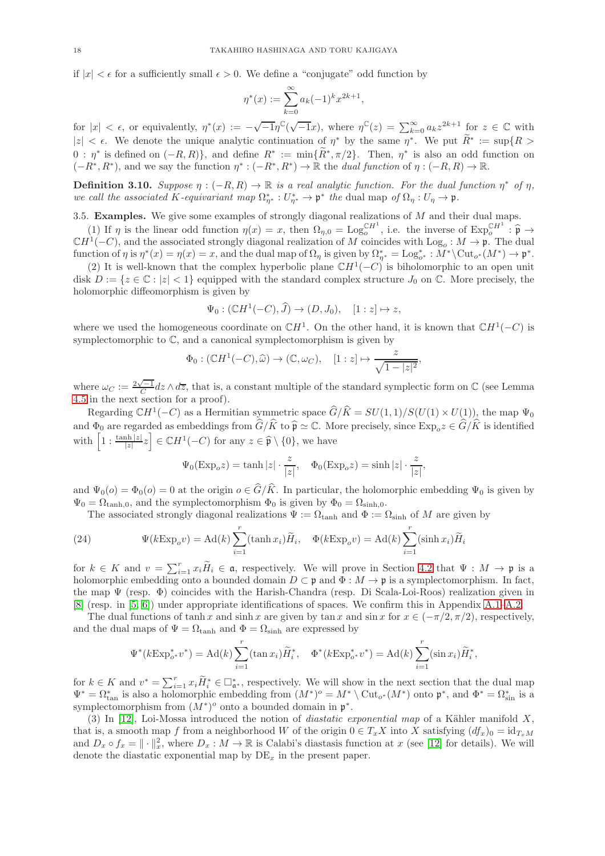if  $|x| < \epsilon$  for a sufficiently small  $\epsilon > 0$ . We define a "conjugate" odd function by

$$
\eta^*(x) := \sum_{k=0}^{\infty} a_k (-1)^k x^{2k+1},
$$

for  $|x| < \epsilon$ , or equivalently,  $\eta^*(x) := -\sqrt{-1}\eta^{\mathbb{C}}(\sqrt{-1}x)$ , where  $\eta^{\mathbb{C}}(z) = \sum_{k=0}^{\infty} a_k z^{2k+1}$  for  $z \in \mathbb{C}$  with  $|z| < \epsilon$ . We denote the unique analytic continuation of  $\eta^*$  by the same  $\eta^*$ . We put  $R^* := \sup\{R > \epsilon\}$  $0 : \eta^*$  is defined on  $(-R, R)$ , and define  $R^* := \min\{R^*, \pi/2\}$ . Then,  $\eta^*$  is also an odd function on  $(-R^*, R^*)$ , and we say the function  $\eta^*: (-R^*, R^*) \to \mathbb{R}$  the *dual function* of  $\eta: (-R, R) \to \mathbb{R}$ .

<span id="page-17-0"></span>**Definition 3.10.** Suppose  $\eta : (-R, R) \to \mathbb{R}$  is a real analytic function. For the dual function  $\eta^*$  of  $\eta$ , we call the associated K-equivariant map  $\Omega_{\eta^*}^*: U_{\eta^*}^* \to \mathfrak{p}^*$  the dual map of  $\Omega_{\eta}: U_{\eta} \to \mathfrak{p}$ .

3.5. Examples. We give some examples of strongly diagonal realizations of  $M$  and their dual maps.

(1) If  $\eta$  is the linear odd function  $\eta(x) = x$ , then  $\Omega_{\eta,0} = \text{Log}_{o}^{\mathbb{C}H^{1}}$ , i.e. the inverse of  $\text{Exp}_{o}^{\mathbb{C}H^{1}} : \hat{\mathfrak{p}} \to \mathbb{C}H^{1}(-C)$ , and the associated strongly diagonal realization of M coincides with function of  $\eta$  is  $\eta^*(x) = \eta(x) = x$ , and the dual map of  $\Omega_{\eta}$  is given by  $\Omega_{\eta^*}^* = \text{Log}_{o^*}^* : M^* \backslash \text{Cut}_{o^*}(M^*) \to \mathfrak{p}^*$ .

(2) It is well-known that the complex hyperbolic plane  $\mathbb{C}H^1(-C)$  is biholomorphic to an open unit disk  $D := \{z \in \mathbb{C} : |z| < 1\}$  equipped with the standard complex structure  $J_0$  on  $\mathbb{C}$ . More precisely, the holomorphic diffeomorphism is given by

$$
\Psi_0: (\mathbb{C}H^1(-C), \widehat{J}) \to (D, J_0), \quad [1:z] \mapsto z,
$$

where we used the homogeneous coordinate on  $\mathbb{C}H^1$ . On the other hand, it is known that  $\mathbb{C}H^1(-C)$  is symplectomorphic to C, and a canonical symplectomorphism is given by

$$
\Phi_0: (\mathbb{C}H^1(-C), \widehat{\omega}) \to (\mathbb{C}, \omega_C), \quad [1:z] \mapsto \frac{z}{\sqrt{1-|z|^2}},
$$

where  $\omega_C := \frac{2\sqrt{-1}}{C} dz \wedge d\overline{z}$ , that is, a constant multiple of the standard symplectic form on  $\mathbb C$  (see Lemma [4.5](#page-21-1) in the next section for a proof).

Regarding  $\mathbb{C}H^1(-C)$  as a Hermitian symmetric space  $\widehat{G}/\widehat{K} = SU(1, 1)/S(U(1) \times U(1))$ , the map  $\Psi_0$ and  $\Phi_0$  are regarded as embeddings from  $\widehat{G}/\widehat{K}$  to  $\widehat{\mathfrak{p}} \simeq \mathbb{C}$ . More precisely, since  $\text{Exp}_o z \in \widehat{G}/\widehat{K}$  is identified with  $\left[1 : \frac{\tanh |z|}{|z|} z\right] \in \mathbb{C}H^1(-C)$  for any  $z \in \widehat{\mathfrak{p}} \setminus \{0\}$ , we have

$$
\Psi_0(\text{Exp}_o z) = \tanh |z| \cdot \frac{z}{|z|}, \quad \Phi_0(\text{Exp}_o z) = \sinh |z| \cdot \frac{z}{|z|},
$$

and  $\Psi_0(\rho) = \Phi_0(\rho) = 0$  at the origin  $\rho \in \widehat{G}/\widehat{K}$ . In particular, the holomorphic embedding  $\Psi_0$  is given by  $\Psi_0 = \Omega_{\tanh,0}$ , and the symplectomorphism  $\Phi_0$  is given by  $\Phi_0 = \Omega_{\sinh,0}$ .

The associated strongly diagonal realizations  $\Psi := \Omega_{\tanh}$  and  $\Phi := \Omega_{\text{sinh}}$  of M are given by

<span id="page-17-1"></span>(24) 
$$
\Psi(k \operatorname{Exp}_o v) = \operatorname{Ad}(k) \sum_{i=1}^r (\tanh x_i) \widetilde{H}_i, \quad \Phi(k \operatorname{Exp}_o v) = \operatorname{Ad}(k) \sum_{i=1}^r (\sinh x_i) \widetilde{H}_i
$$

for  $k \in K$  and  $v = \sum_{i=1}^r x_i \widetilde{H}_i \in \mathfrak{a}$ , respectively. We will prove in Section [4.2](#page-20-0) that  $\Psi : M \to \mathfrak{p}$  is a holomorphic embedding onto a bounded domain  $D \subset \mathfrak{p}$  and  $\Phi : M \to \mathfrak{p}$  is a symplectomorphism. In fact, the map Ψ (resp. Φ) coincides with the Harish-Chandra (resp. Di Scala-Loi-Roos) realization given in [\[8\]](#page-36-0) (resp. in [\[5,](#page-35-1) [6\]](#page-35-2)) under appropriate identifications of spaces. We confirm this in Appendix [A.1–](#page-30-0)[A.2.](#page-33-0)

The dual functions of tanh x and sinh x are given by tan x and sin x for  $x \in (-\pi/2, \pi/2)$ , respectively, and the dual maps of  $\Psi = \Omega_{\tanh}$  and  $\Phi = \Omega_{\sinh}$  are expressed by

$$
\Psi^*(k \to \mathbf{E} x \mathbf{p}_{o^*}^* v^*) = \mathrm{Ad}(k) \sum_{i=1}^r (\tan x_i) \widetilde{H}_i^*, \quad \Phi^*(k \to \mathbf{E} x \mathbf{p}_{o^*}^* v^*) = \mathrm{Ad}(k) \sum_{i=1}^r (\sin x_i) \widetilde{H}_i^*,
$$

for  $k \in K$  and  $v^* = \sum_{i=1}^r x_i \widetilde{H}_i^* \in \Box_{\mathfrak{a}^*}^*$ , respectively. We will show in the next section that the dual map  $\Psi^* = \Omega_{\text{tan}}^*$  is also a holomorphic embedding from  $(M^*)^o = M^* \setminus \text{Cut}_{o^*}(M^*)$  onto  $\mathfrak{p}^*$ , and  $\Phi^* = \Omega_{\text{sin}}^*$  is a symplectomorphism from  $(M^*)^o$  onto a bounded domain in  $\mathfrak{p}^*$ .

(3) In [\[12\]](#page-36-5), Loi-Mossa introduced the notion of *diastatic exponential map* of a Kähler manifold X. that is, a smooth map f from a neighborhood W of the origin  $0 \in T_xX$  into X satisfying  $(df_x)_0 = id_{T_xM}$ and  $D_x \circ f_x = || \cdot ||_x^2$ , where  $D_x : M \to \mathbb{R}$  is Calabi's diastasis function at x (see [\[12\]](#page-36-5) for details). We will denote the diastatic exponential map by  $DE_x$  in the present paper.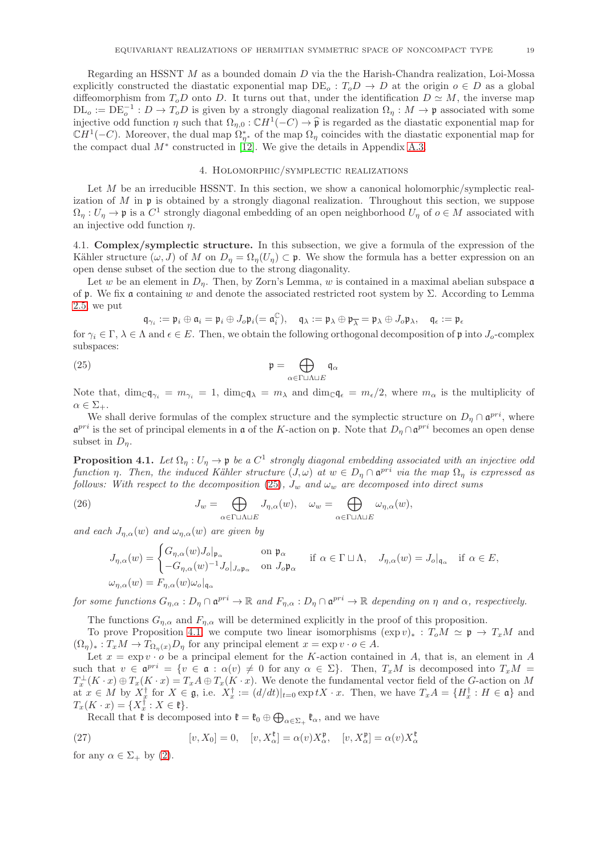Regarding an HSSNT M as a bounded domain D via the the Harish-Chandra realization, Loi-Mossa explicitly constructed the diastatic exponential map  $DE<sub>o</sub>: T<sub>o</sub>D \to D$  at the origin  $o \in D$  as a global diffeomorphism from  $T_oD$  onto D. It turns out that, under the identification  $D \simeq M$ , the inverse map  $\text{DL}_o := \text{DE}_o^{-1} : D \to T_o D$  is given by a strongly diagonal realization  $\Omega_\eta : M \to \mathfrak{p}$  associated with some injective odd function  $\eta$  such that  $\Omega_{\eta,0} : \mathbb{C}H^1(-C) \to \hat{\mathfrak{p}}$  is regarded as the diastatic exponential map for  $\mathbb{C}H^1(-C)$ . Moreover, the dual map  $\Omega_{\eta^*}$  of the map  $\Omega_{\eta}$  coincides with the diastatic exponential map for the compact dual  $M^*$  constructed in [\[12\]](#page-36-5). We give the details in Appendix [A.3.](#page-34-0)

### 4. Holomorphic/symplectic realizations

<span id="page-18-1"></span>Let  $M$  be an irreducible HSSNT. In this section, we show a canonical holomorphic/symplectic realization of  $M$  in  $\mathfrak p$  is obtained by a strongly diagonal realization. Throughout this section, we suppose  $\Omega_{\eta}: U_{\eta} \to \mathfrak{p}$  is a  $C^{1}$  strongly diagonal embedding of an open neighborhood  $U_{\eta}$  of  $o \in M$  associated with an injective odd function  $\eta$ .

<span id="page-18-5"></span>4.1. Complex/symplectic structure. In this subsection, we give a formula of the expression of the Kähler structure  $(\omega, J)$  of M on  $D_{\eta} = \Omega_{\eta}(U_{\eta}) \subset \mathfrak{p}$ . We show the formula has a better expression on an open dense subset of the section due to the strong diagonality.

Let w be an element in  $D_n$ . Then, by Zorn's Lemma, w is contained in a maximal abelian subspace  $\mathfrak a$ of  $\mathfrak p$ . We fix a containing w and denote the associated restricted root system by  $\Sigma$ . According to Lemma [2.5,](#page-8-2) we put

$$
\mathfrak{q}_{\gamma_i}:=\mathfrak{p}_i\oplus\mathfrak{a}_i=\mathfrak{p}_i\oplus J_o\mathfrak{p}_i(=\mathfrak{a}_i^\mathbb{C}),\quad \mathfrak{q}_\lambda:=\mathfrak{p}_\lambda\oplus\mathfrak{p}_{\overline{\lambda}}=\mathfrak{p}_\lambda\oplus J_o\mathfrak{p}_\lambda,\quad \mathfrak{q}_\varepsilon:=\mathfrak{p}_\varepsilon
$$

for  $\gamma_i \in \Gamma$ ,  $\lambda \in \Lambda$  and  $\epsilon \in E$ . Then, we obtain the following orthogonal decomposition of p into  $J_o$ -complex subspaces:

<span id="page-18-2"></span>(25) 
$$
\mathfrak{p} = \bigoplus_{\alpha \in \Gamma \sqcup \Lambda \sqcup E} \mathfrak{q}_{\alpha}
$$

Note that,  $\dim_{\mathbb{C}} \mathfrak{q}_{\gamma_i} = m_{\gamma_i} = 1$ ,  $\dim_{\mathbb{C}} \mathfrak{q}_{\lambda} = m_{\lambda}$  and  $\dim_{\mathbb{C}} \mathfrak{q}_{\epsilon} = m_{\epsilon}/2$ , where  $m_{\alpha}$  is the multiplicity of  $\alpha \in \Sigma_{+}.$ 

We shall derive formulas of the complex structure and the symplectic structure on  $D_{\eta} \cap \mathfrak{a}^{pri}$ , where  $\mathfrak{a}^{pri}$  is the set of principal elements in  $\mathfrak a$  of the K-action on  $\mathfrak p$ . Note that  $D_\eta \cap \mathfrak{a}^{pri}$  becomes an open dense subset in  $D_n$ .

<span id="page-18-0"></span>**Proposition 4.1.** Let  $\Omega_{\eta}: U_{\eta} \to \mathfrak{p}$  be a  $C^1$  strongly diagonal embedding associated with an injective odd function  $\eta$ . Then, the induced Kähler structure  $(J, \omega)$  at  $w \in D_{\eta} \cap \mathfrak{a}^{pri}$  via the map  $\Omega_{\eta}$  is expressed as follows: With respect to the decomposition [\(25\)](#page-18-2),  $J_w$  and  $\omega_w$  are decomposed into direct sums

<span id="page-18-4"></span>(26) 
$$
J_w = \bigoplus_{\alpha \in \Gamma \sqcup \Lambda \sqcup E} J_{\eta,\alpha}(w), \quad \omega_w = \bigoplus_{\alpha \in \Gamma \sqcup \Lambda \sqcup E} \omega_{\eta,\alpha}(w),
$$

and each  $J_{\eta,\alpha}(w)$  and  $\omega_{\eta,\alpha}(w)$  are given by

$$
J_{\eta,\alpha}(w) = \begin{cases} G_{\eta,\alpha}(w)J_o|_{\mathfrak{p}_{\alpha}} & \text{on } \mathfrak{p}_{\alpha} \\ -G_{\eta,\alpha}(w)^{-1}J_o|_{J_o\mathfrak{p}_{\alpha}} & \text{on } J_o\mathfrak{p}_{\alpha} \end{cases} \quad \text{if } \alpha \in \Gamma \sqcup \Lambda, \quad J_{\eta,\alpha}(w) = J_o|_{\mathfrak{q}_{\alpha}} \quad \text{if } \alpha \in E,
$$
  

$$
\omega_{\eta,\alpha}(w) = F_{\eta,\alpha}(w)\omega_o|_{\mathfrak{q}_{\alpha}}
$$

for some functions  $G_{\eta,\alpha}: D_\eta \cap \mathfrak{a}^{pri} \to \mathbb{R}$  and  $F_{\eta,\alpha}: D_\eta \cap \mathfrak{a}^{pri} \to \mathbb{R}$  depending on  $\eta$  and  $\alpha$ , respectively.

The functions  $G_{\eta,\alpha}$  and  $F_{\eta,\alpha}$  will be determined explicitly in the proof of this proposition.

To prove Proposition [4.1,](#page-18-0) we compute two linear isomorphisms  $(\exp v)_*: T_0M \simeq \mathfrak{p} \to T_xM$  and  $(\Omega_{\eta})_* : T_x M \to T_{\Omega_{\eta}(x)} D_{\eta}$  for any principal element  $x = \exp v \cdot o \in A$ .

Let  $x = \exp v \cdot o$  be a principal element for the K-action contained in A, that is, an element in A such that  $v \in \mathfrak{a}^{pri} = \{v \in \mathfrak{a} : \alpha(v) \neq 0 \text{ for any } \alpha \in \Sigma\}$ . Then,  $T_xM$  is decomposed into  $T_xM =$  $T_x^{\perp}(K \cdot x) \oplus T_x(K \cdot x) = T_x A \oplus T_x(K \cdot x)$ . We denote the fundamental vector field of the G-action on M at  $x \in M$  by  $X_{\alpha}^{\dagger}$  for  $X \in \mathfrak{g}$ , i.e.  $X_{x}^{\dagger} := (d/dt)|_{t=0} \exp tX \cdot x$ . Then, we have  $T_xA = \{H_x^{\dagger} : H \in \mathfrak{a}\}\$  and  $T_x(K \cdot x) = \{X_x^{\dagger} : X \in \mathfrak{k}\}.$ 

Recall that  $\mathfrak k$  is decomposed into  $\mathfrak k = \mathfrak k_0 \oplus \bigoplus_{\alpha \in \Sigma_+} \mathfrak k_\alpha$ , and we have

<span id="page-18-3"></span>(27) 
$$
[v, X_0] = 0, \quad [v, X_\alpha^\mathfrak{k}] = \alpha(v) X_\alpha^\mathfrak{p}, \quad [v, X_\alpha^\mathfrak{p}] = \alpha(v) X_\alpha^\mathfrak{k}
$$

for any  $\alpha \in \Sigma_{+}$  by [\(2\)](#page-5-1).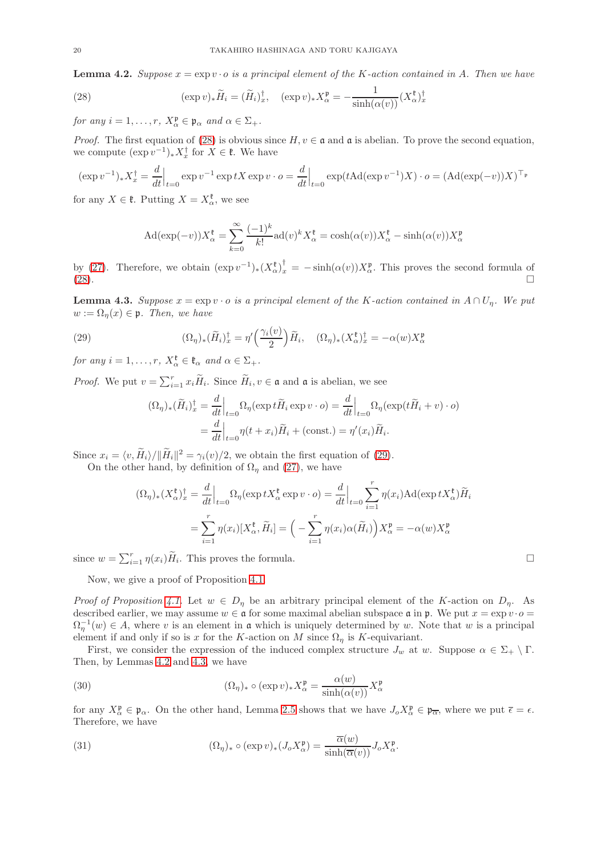<span id="page-19-2"></span>**Lemma 4.2.** Suppose  $x = \exp v \cdot o$  is a principal element of the K-action contained in A. Then we have

<span id="page-19-0"></span>(28) 
$$
(\exp v)_*\widetilde{H}_i = (\widetilde{H}_i)^{\dagger}_x, \quad (\exp v)_*X^{\mathfrak{p}}_\alpha = -\frac{1}{\sinh(\alpha(v))}(X^{\mathfrak{k}}_\alpha)^{\dagger}_x
$$

for any  $i = 1, \ldots, r$ ,  $X_{\alpha}^{\mathfrak{p}} \in \mathfrak{p}_{\alpha}$  and  $\alpha \in \Sigma_{+}$ .

*Proof.* The first equation of [\(28\)](#page-19-0) is obvious since  $H, v \in \mathfrak{a}$  and  $\mathfrak{a}$  is abelian. To prove the second equation, we compute  $(\exp v^{-1})_* X_x^{\dagger}$  for  $X \in \mathfrak{k}$ . We have

$$
(\exp v^{-1})_* X_x^{\dagger} = \frac{d}{dt}\Big|_{t=0} \exp v^{-1} \exp tX \exp v \cdot o = \frac{d}{dt}\Big|_{t=0} \exp(t\mathrm{Ad}(\exp v^{-1})X) \cdot o = (\mathrm{Ad}(\exp(-v))X)^{\top_p}
$$

for any  $X \in \mathfrak{k}$ . Putting  $X = X_{\alpha}^{\mathfrak{k}}$ , we see

$$
Ad(\exp(-v))X_{\alpha}^{\mathfrak{k}} = \sum_{k=0}^{\infty} \frac{(-1)^k}{k!} ad(v)^k X_{\alpha}^{\mathfrak{k}} = \cosh(\alpha(v))X_{\alpha}^{\mathfrak{k}} - \sinh(\alpha(v))X_{\alpha}^{\mathfrak{p}}
$$

by [\(27\)](#page-18-3). Therefore, we obtain  $(\exp v^{-1})_*(X_\alpha^{\mathfrak{k}})_x^{\dagger} = -\sinh(\alpha(v))X_\alpha^{\mathfrak{p}}$ . This proves the second formula of  $(28)$ .

<span id="page-19-3"></span>**Lemma 4.3.** Suppose  $x = \exp v \cdot o$  is a principal element of the K-action contained in  $A \cap U_n$ . We put  $w := \Omega_n(x) \in \mathfrak{p}$ . Then, we have

<span id="page-19-1"></span>(29) 
$$
(\Omega_{\eta})_{*}(\widetilde{H}_{i})_{x}^{\dagger} = \eta' \left(\frac{\gamma_{i}(v)}{2}\right) \widetilde{H}_{i}, \quad (\Omega_{\eta})_{*} (X_{\alpha}^{\dagger})_{x}^{\dagger} = -\alpha(w) X_{\alpha}^{\mathfrak{p}}
$$

for any  $i = 1, \ldots, r$ ,  $X_{\alpha}^{\ell} \in \mathfrak{k}_{\alpha}$  and  $\alpha \in \Sigma_{+}$ .

*Proof.* We put  $v = \sum_{i=1}^r x_i \widetilde{H}_i$ . Since  $\widetilde{H}_i, v \in \mathfrak{a}$  and  $\mathfrak{a}$  is abelian, we see

$$
(\Omega_{\eta})_{*}(\widetilde{H}_{i})_{x}^{\dagger} = \frac{d}{dt}\Big|_{t=0} \Omega_{\eta}(\exp t \widetilde{H}_{i} \exp v \cdot o) = \frac{d}{dt}\Big|_{t=0} \Omega_{\eta}(\exp(t \widetilde{H}_{i} + v) \cdot o)
$$

$$
= \frac{d}{dt}\Big|_{t=0} \eta(t + x_{i}) \widetilde{H}_{i} + (\text{const.}) = \eta'(x_{i}) \widetilde{H}_{i}.
$$

Since  $x_i = \langle v, H_i \rangle / ||H_i||^2 = \gamma_i(v)/2$ , we obtain the first equation of [\(29\)](#page-19-1).

On the other hand, by definition of  $\Omega_n$  and [\(27\)](#page-18-3), we have

$$
(\Omega_{\eta})_{*}(X_{\alpha}^{\mathfrak{k}})^{\dagger}_{x} = \frac{d}{dt}\Big|_{t=0} \Omega_{\eta}(\exp tX_{\alpha}^{\mathfrak{k}} \exp v \cdot o) = \frac{d}{dt}\Big|_{t=0} \sum_{i=1}^{r} \eta(x_{i}) \text{Ad}(\exp tX_{\alpha}^{\mathfrak{k}}) \widetilde{H}_{i}
$$

$$
= \sum_{i=1}^{r} \eta(x_{i})[X_{\alpha}^{\mathfrak{k}}, \widetilde{H}_{i}] = \left(-\sum_{i=1}^{r} \eta(x_{i}) \alpha(\widetilde{H}_{i})\right) X_{\alpha}^{\mathfrak{p}} = -\alpha(w) X_{\alpha}^{\mathfrak{p}}
$$

since  $w = \sum_{i=1}^r \eta(x_i) \widetilde{H}_i$ . This proves the formula.

Now, we give a proof of Proposition [4.1.](#page-18-0)

Proof of Proposition [4.1.](#page-18-0) Let  $w \in D_\eta$  be an arbitrary principal element of the K-action on  $D_\eta$ . As described earlier, we may assume  $w \in \mathfrak{a}$  for some maximal abelian subspace  $\mathfrak{a}$  in  $\mathfrak{p}$ . We put  $x = \exp v \cdot o =$  $\Omega_{\eta}^{-1}(w) \in A$ , where v is an element in **a** which is uniquely determined by w. Note that w is a principal element if and only if so is x for the K-action on M since  $\Omega_{\eta}$  is K-equivariant.

First, we consider the expression of the induced complex structure  $J_w$  at w. Suppose  $\alpha \in \Sigma_+ \setminus \Gamma$ . Then, by Lemmas [4.2](#page-19-2) and [4.3,](#page-19-3) we have

<span id="page-19-4"></span>(30) 
$$
(\Omega_{\eta})_* \circ (\exp v)_* X_{\alpha}^{\mathfrak{p}} = \frac{\alpha(w)}{\sinh(\alpha(v))} X_{\alpha}^{\mathfrak{p}}
$$

for any  $X_{\alpha}^{\mathfrak{p}} \in \mathfrak{p}_{\alpha}$ . On the other hand, Lemma [2.5](#page-8-2) shows that we have  $J_{o}X_{\alpha}^{\mathfrak{p}} \in \mathfrak{p}_{\overline{\alpha}}$ , where we put  $\overline{\epsilon} = \epsilon$ . Therefore, we have

<span id="page-19-5"></span>(31) 
$$
(\Omega_{\eta})_* \circ (\exp v)_*(J_o X_{\alpha}^{\mathfrak{p}}) = \frac{\overline{\alpha}(w)}{\sinh(\overline{\alpha}(v))} J_o X_{\alpha}^{\mathfrak{p}}.
$$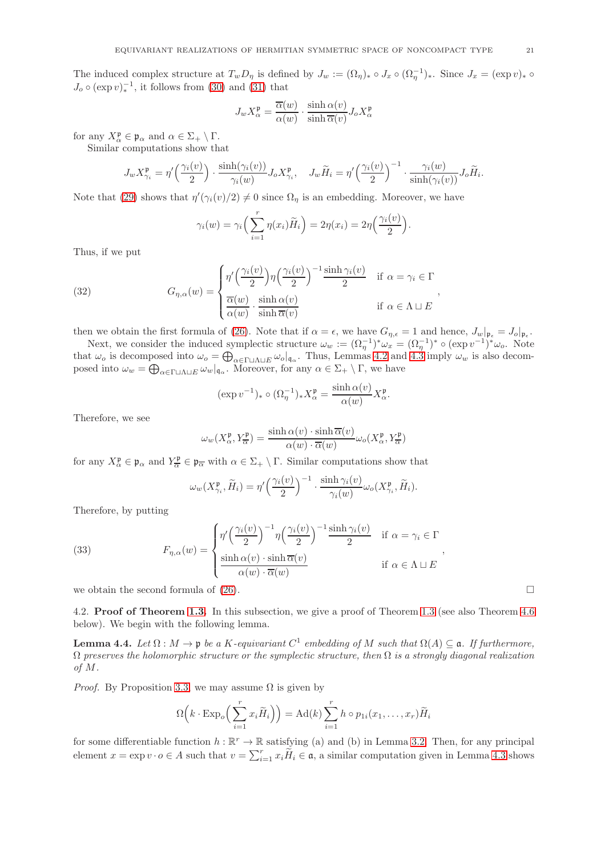The induced complex structure at  $T_w D_\eta$  is defined by  $J_w := (\Omega_\eta)_* \circ J_x \circ (\Omega_\eta^{-1})_*$ . Since  $J_x = (\exp v)_* \circ$  $J_o \circ (\exp v)_*^{-1}$ , it follows from [\(30\)](#page-19-4) and [\(31\)](#page-19-5) that

$$
J_w X_\alpha^\mathfrak{p} = \frac{\overline{\alpha}(w)}{\alpha(w)} \cdot \frac{\sinh \alpha(v)}{\sinh \overline{\alpha}(v)} J_o X_\alpha^\mathfrak{p}
$$

for any  $X_{\alpha}^{\mathfrak{p}} \in \mathfrak{p}_{\alpha}$  and  $\alpha \in \Sigma_{+} \setminus \Gamma$ .

Similar computations show that

$$
J_w X_{\gamma_i}^{\mathfrak{p}} = \eta' \left( \frac{\gamma_i(v)}{2} \right) \cdot \frac{\sinh(\gamma_i(v))}{\gamma_i(w)} J_o X_{\gamma_i}^{\mathfrak{p}}, \quad J_w \widetilde{H}_i = \eta' \left( \frac{\gamma_i(v)}{2} \right)^{-1} \cdot \frac{\gamma_i(w)}{\sinh(\gamma_i(v))} J_o \widetilde{H}_i.
$$

Note that [\(29\)](#page-19-1) shows that  $\eta'(\gamma_i(v)/2) \neq 0$  since  $\Omega_{\eta}$  is an embedding. Moreover, we have

$$
\gamma_i(w) = \gamma_i \left( \sum_{i=1}^r \eta(x_i) \widetilde{H}_i \right) = 2\eta(x_i) = 2\eta \left( \frac{\gamma_i(v)}{2} \right)
$$

.

Thus, if we put

<span id="page-20-1"></span>(32) 
$$
G_{\eta,\alpha}(w) = \begin{cases} \eta' \left(\frac{\gamma_i(v)}{2}\right) \eta \left(\frac{\gamma_i(v)}{2}\right)^{-1} \frac{\sinh \gamma_i(v)}{2} & \text{if } \alpha = \gamma_i \in \Gamma \\ \frac{\overline{\alpha}(w)}{\alpha(w)} \cdot \frac{\sinh \alpha(v)}{\sinh \overline{\alpha}(v)} & \text{if } \alpha \in \Lambda \sqcup E \end{cases}
$$

then we obtain the first formula of [\(26\)](#page-18-4). Note that if  $\alpha = \epsilon$ , we have  $G_{\eta,\epsilon} = 1$  and hence,  $J_w|_{\mathfrak{p}_{\epsilon}} = J_o|_{\mathfrak{p}_{\epsilon}}$ .

Next, we consider the induced symplectic structure  $\omega_w := (\Omega_{\eta}^{-1})^* \omega_x = (\Omega_{\eta}^{-1})^* \circ (\exp v^{-1})^* \omega_o$ . Note that  $\omega_o$  is decomposed into  $\omega_o = \bigoplus_{\alpha \in \Gamma} \text{diag} \omega_o |_{\mathfrak{q}_\alpha}$ . Thus, Lemmas [4.2](#page-19-2) and [4.3](#page-19-3) imply  $\omega_w$  is also decomposed into  $\omega_w = \bigoplus_{\alpha \in \Gamma \sqcup \Lambda \sqcup E} \omega_w|_{\mathfrak{q}_\alpha}$ . Moreover, for any  $\alpha \in \Sigma_+ \setminus \Gamma$ , we have

$$
(\exp v^{-1})_* \circ (\Omega_{\eta}^{-1})_* X_{\alpha}^{\mathfrak{p}} = \frac{\sinh \alpha(v)}{\alpha(w)} X_{\alpha}^{\mathfrak{p}}.
$$

Therefore, we see

$$
\omega_w(X_\alpha^{\mathfrak{p}}, Y_\overline{\alpha}^{\mathfrak{p}}) = \frac{\sinh \alpha(v) \cdot \sinh \overline{\alpha}(v)}{\alpha(w) \cdot \overline{\alpha}(w)} \omega_o(X_\alpha^{\mathfrak{p}}, Y_\overline{\alpha}^{\mathfrak{p}})
$$

for any  $X_{\alpha}^{\mathfrak{p}} \in \mathfrak{p}_{\alpha}$  and  $Y_{\overline{\alpha}}^{\mathfrak{p}} \in \mathfrak{p}_{\overline{\alpha}}$  with  $\alpha \in \Sigma_+ \setminus \Gamma$ . Similar computations show that

$$
\omega_w(X_{\gamma_i}^{\mathfrak{p}}, \widetilde{H}_i) = \eta' \left(\frac{\gamma_i(v)}{2}\right)^{-1} \cdot \frac{\sinh \gamma_i(v)}{\gamma_i(w)} \omega_o(X_{\gamma_i}^{\mathfrak{p}}, \widetilde{H}_i).
$$

Therefore, by putting

<span id="page-20-2"></span>(33) 
$$
F_{\eta,\alpha}(w) = \begin{cases} \eta' \left(\frac{\gamma_i(v)}{2}\right)^{-1} \eta \left(\frac{\gamma_i(v)}{2}\right)^{-1} \frac{\sinh \gamma_i(v)}{2} & \text{if } \alpha = \gamma_i \in \Gamma \\ \frac{\sinh \alpha(v) \cdot \sinh \overline{\alpha}(v)}{\alpha(w) \cdot \overline{\alpha}(w)} & \text{if } \alpha \in \Lambda \sqcup E \end{cases}
$$

we obtain the second formula of  $(26)$ .

<span id="page-20-0"></span>4.2. **Proof of Theorem [1.3.](#page-2-0)** In this subsection, we give a proof of Theorem [1.3](#page-2-0) (see also Theorem [4.6](#page-21-0)) below). We begin with the following lemma.

<span id="page-20-3"></span>**Lemma 4.4.** Let  $\Omega : M \to \mathfrak{p}$  be a K-equivariant  $C^1$  embedding of M such that  $\Omega(A) \subseteq \mathfrak{a}$ . If furthermore,  $\Omega$  preserves the holomorphic structure or the symplectic structure, then  $\Omega$  is a strongly diagonal realization of M.

*Proof.* By Proposition [3.3,](#page-13-0) we may assume  $\Omega$  is given by

$$
\Omega\left(k \cdot \mathrm{Exp}_o\left(\sum_{i=1}^r x_i \widetilde{H}_i\right)\right) = \mathrm{Ad}(k) \sum_{i=1}^r h \circ p_{1i}(x_1,\ldots,x_r) \widetilde{H}_i
$$

for some differentiable function  $h : \mathbb{R}^r \to \mathbb{R}$  satisfying (a) and (b) in Lemma [3.2.](#page-12-5) Then, for any principal element  $x = \exp v \cdot o \in A$  such that  $v = \sum_{i=1}^r x_i \widetilde{H}_i \in \mathfrak{a}$ , a similar computation given in Lemma [4.3](#page-19-3) shows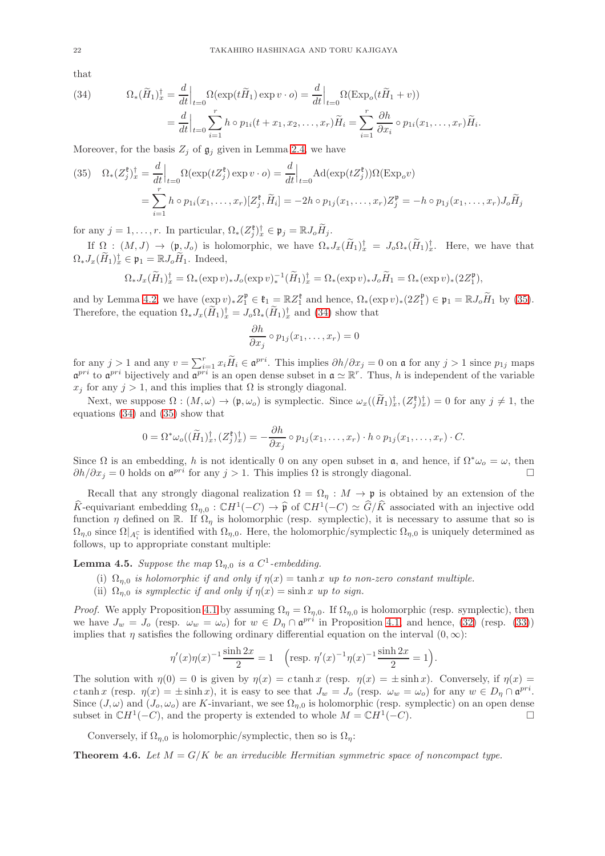that

<span id="page-21-3"></span>(34) 
$$
\Omega_*(\widetilde{H}_1)_x^{\dagger} = \frac{d}{dt}\Big|_{t=0} \Omega(\exp(t\widetilde{H}_1)\exp v \cdot o) = \frac{d}{dt}\Big|_{t=0} \Omega(\exp(t\widetilde{H}_1 + v))
$$

$$
= \frac{d}{dt}\Big|_{t=0} \sum_{i=1}^r h \circ p_{1i}(t + x_1, x_2, \dots, x_r)\widetilde{H}_i = \sum_{i=1}^r \frac{\partial h}{\partial x_i} \circ p_{1i}(x_1, \dots, x_r)\widetilde{H}_i.
$$

Moreover, for the basis  $Z_j$  of  $\mathfrak{g}_j$  given in Lemma [2.4,](#page-7-5) we have

<span id="page-21-2"></span>(35) 
$$
\Omega_*(Z_j^{\mathfrak{k}})_x^{\dagger} = \frac{d}{dt}\Big|_{t=0} \Omega(\exp(tZ_j^{\mathfrak{k}}) \exp v \cdot o) = \frac{d}{dt}\Big|_{t=0} \text{Ad}(\exp(tZ_j^{\mathfrak{k}}))\Omega(\text{Exp}_o v)
$$
  

$$
= \sum_{i=1}^r h \circ p_{1i}(x_1,\ldots,x_r)[Z_j^{\mathfrak{k}},\widetilde{H}_i] = -2h \circ p_{1j}(x_1,\ldots,x_r)Z_j^{\mathfrak{p}} = -h \circ p_{1j}(x_1,\ldots,x_r)J_o\widetilde{H}_j
$$

for any  $j = 1, \ldots, r$ . In particular,  $\Omega_*(Z_j^{\mathfrak{k}})_x^{\dagger} \in \mathfrak{p}_j = \mathbb{R} J_o \widetilde{H}_j$ .

If  $\Omega : (M, J) \to (\mathfrak{p}, J_o)$  is holomorphic, we have  $\Omega_* J_x(H_1)_x^{\dagger} = J_o \Omega_*(H_1)_x^{\dagger}$ . Here, we have that  $\Omega_* J_x(\widetilde{H}_1)_x^{\dagger} \in \mathfrak{p}_1 = \mathbb{R} J_o \widetilde{H}_1$ . Indeed,

$$
\Omega_* J_x(\widetilde{H}_1)_x^{\dagger} = \Omega_* (\exp v)_* J_o(\exp v)_*^{-1} (\widetilde{H}_1)_x^{\dagger} = \Omega_* (\exp v)_* J_o \widetilde{H}_1 = \Omega_* (\exp v)_* (2Z_1^{\mathfrak{p}}),
$$

and by Lemma [4.2,](#page-19-2) we have  $(\exp v)_* Z_1^{\mathfrak{p}} \in {\mathfrak{k}}_1 = {\mathbb{R}} Z_1^{\mathfrak{k}}$  and hence,  $\Omega_* (\exp v)_* (2Z_1^{\mathfrak{p}}) \in {\mathfrak{p}}_1 = {\mathbb{R}} J_o \widetilde{H}_1$  by [\(35\)](#page-21-2). Therefore, the equation  $\Omega_* J_x(H_1)^{\dagger}_x = J_o \Omega_*(H_1)^{\dagger}_x$  and [\(34\)](#page-21-3) show that

$$
\frac{\partial h}{\partial x_j} \circ p_{1j}(x_1,\ldots,x_r) = 0
$$

for any  $j > 1$  and any  $v = \sum_{i=1}^r x_i \widetilde{H}_i \in \mathfrak{a}^{pri}$ . This implies  $\partial h/\partial x_j = 0$  on  $\mathfrak{a}$  for any  $j > 1$  since  $p_{1j}$  maps  $\mathfrak{a}^{pri}$  to  $\mathfrak{a}^{pri}$  bijectively and  $\mathfrak{a}^{pri}$  is an open dense subset in  $\mathfrak{a} \simeq \mathbb{R}^r$ . Thus, h is independent of the variable  $x_i$  for any  $j > 1$ , and this implies that  $\Omega$  is strongly diagonal.

Next, we suppose  $\Omega : (M, \omega) \to (\mathfrak{p}, \omega_o)$  is symplectic. Since  $\omega_x((\tilde{H}_1)_x^{\dagger}, (Z_j^{\mathfrak{p}})_x^{\dagger}) = 0$  for any  $j \neq 1$ , the equations [\(34\)](#page-21-3) and [\(35\)](#page-21-2) show that

$$
0 = \Omega^* \omega_o((\widetilde{H}_1)_x^{\dagger}, (Z_j^{\mathfrak{k}})_x^{\dagger}) = -\frac{\partial h}{\partial x_j} \circ p_{1j}(x_1,\ldots,x_r) \cdot h \circ p_{1j}(x_1,\ldots,x_r) \cdot C.
$$

Since  $\Omega$  is an embedding, h is not identically 0 on any open subset in a, and hence, if  $\Omega^*\omega_o = \omega$ , then  $\partial h/\partial x_j = 0$  holds on  $\mathfrak{a}^{pri}$  for any  $j > 1$ . This implies  $\Omega$  is strongly diagonal.

Recall that any strongly diagonal realization  $\Omega = \Omega_{\eta} : M \to \mathfrak{p}$  is obtained by an extension of the  $\widehat{K}$ -equivariant embedding  $\Omega_{\eta,0} : \mathbb{C}H^1(-C) \to \widehat{\mathfrak{p}}$  of  $\mathbb{C}H^1(-C) \simeq \widehat{G}/\widehat{K}$  associated with an injective odd function  $\eta$  defined on R. If  $\Omega_{\eta}$  is holomorphic (resp. symplectic), it is necessary to assume that so is  $\Omega_{\eta,0}$  since  $\Omega|_{A_i^{\mathbb{C}}}$  is identified with  $\Omega_{\eta,0}$ . Here, the holomorphic/symplectic  $\Omega_{\eta,0}$  is uniquely determined as follows, up to appropriate constant multiple:

<span id="page-21-1"></span>**Lemma 4.5.** Suppose the map  $\Omega_{\eta,0}$  is a C<sup>1</sup>-embedding.

- (i)  $\Omega_{n,0}$  is holomorphic if and only if  $\eta(x) = \tanh x$  up to non-zero constant multiple.
- (ii)  $\Omega_{n,0}$  is symplectic if and only if  $\eta(x) = \sinh x$  up to sign.

*Proof.* We apply Proposition [4.1](#page-18-0) by assuming  $\Omega_{\eta} = \Omega_{\eta,0}$ . If  $\Omega_{\eta,0}$  is holomorphic (resp. symplectic), then we have  $J_w = J_o$  (resp.  $\omega_w = \omega_o$ ) for  $w \in D_\eta \cap \mathfrak{a}^{pri}$  in Proposition [4.1,](#page-18-0) and hence, [\(32\)](#page-20-1) (resp. [\(33\)](#page-20-2)) implies that  $\eta$  satisfies the following ordinary differential equation on the interval  $(0, \infty)$ :

$$
\eta'(x)\eta(x)^{-1}\frac{\sinh 2x}{2} = 1 \quad \left(\text{resp. } \eta'(x)^{-1}\eta(x)^{-1}\frac{\sinh 2x}{2} = 1\right).
$$

The solution with  $\eta(0) = 0$  is given by  $\eta(x) = c \tanh x$  (resp.  $\eta(x) = \pm \sinh x$ ). Conversely, if  $\eta(x) =$ c tanh x (resp.  $\eta(x) = \pm \sinh x$ ), it is easy to see that  $J_w = J_o$  (resp.  $\omega_w = \omega_o$ ) for any  $w \in D_\eta \cap \mathfrak{a}^{pri}$ . Since  $(J, \omega)$  and  $(J_0, \omega_0)$  are K-invariant, we see  $\Omega_{n,0}$  is holomorphic (resp. symplectic) on an open dense subset in  $CH^1(-C)$ , and the property is extended to whole  $M = CH^1(-C)$ .

Conversely, if  $\Omega_{n,0}$  is holomorphic/symplectic, then so is  $\Omega_n$ :

<span id="page-21-0"></span>**Theorem 4.6.** Let  $M = G/K$  be an irreducible Hermitian symmetric space of noncompact type.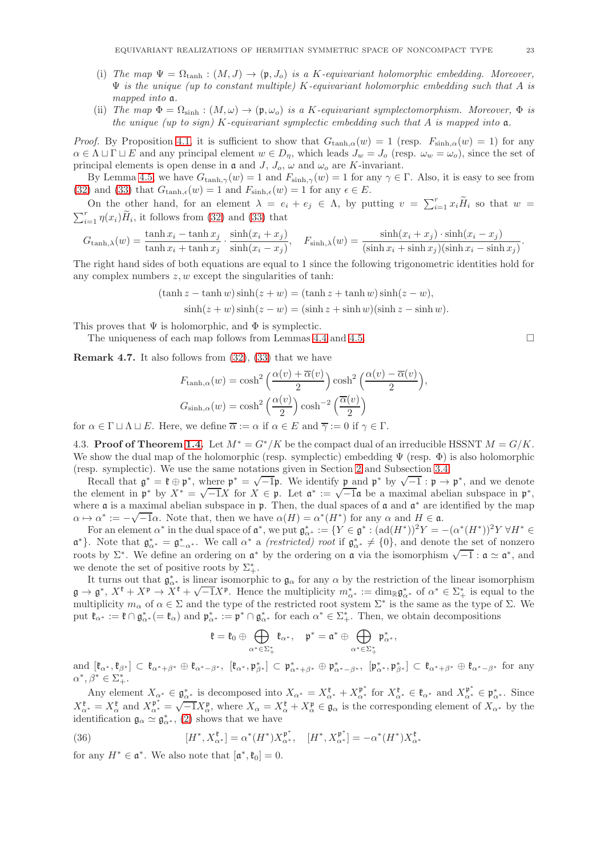- (i) The map  $\Psi = \Omega_{\text{tanh}} : (M, J) \to (\mathfrak{p}, J_o)$  is a K-equivariant holomorphic embedding. Moreover,  $\Psi$  is the unique (up to constant multiple) K-equivariant holomorphic embedding such that A is mapped into a.
- (ii) The map  $\Phi = \Omega_{\text{sinh}} : (M, \omega) \to (\mathfrak{p}, \omega_o)$  is a K-equivariant symplectomorphism. Moreover,  $\Phi$  is the unique (up to sign) K-equivariant symplectic embedding such that A is mapped into  $a$ .

*Proof.* By Proposition [4.1,](#page-18-0) it is sufficient to show that  $G_{\tanh,\alpha}(w) = 1$  (resp.  $F_{\sinh,\alpha}(w) = 1$ ) for any  $\alpha \in \Lambda \sqcup \Gamma \sqcup E$  and any principal element  $w \in D_n$ , which leads  $J_w = J_o$  (resp.  $\omega_w = \omega_o$ ), since the set of principal elements is open dense in  $\mathfrak a$  and  $J$ ,  $J_o$ ,  $\omega$  and  $\omega_o$  are K-invariant.

By Lemma [4.5,](#page-21-1) we have  $G_{\tanh,\gamma}(w) = 1$  and  $F_{\sinh,\gamma}(w) = 1$  for any  $\gamma \in \Gamma$ . Also, it is easy to see from [\(32\)](#page-20-1) and [\(33\)](#page-20-2) that  $G_{\tanh,\epsilon}(w) = 1$  and  $F_{\sinh,\epsilon}(w) = 1$  for any  $\epsilon \in E$ .

On the other hand, for an element  $\lambda = e_i + e_j \in \Lambda$ , by putting  $v = \sum_{i=1}^r x_i \widetilde{H}_i$  so that  $w = \sum_{i=1}^r \eta(x_i) \widetilde{H}_i$ , it follows from (32) and (33) that  $\prod_{i=1}^r \eta(x_i) H_i$ , it follows from [\(32\)](#page-20-1) and [\(33\)](#page-20-2) that

$$
G_{\tanh,\lambda}(w) = \frac{\tanh x_i - \tanh x_j}{\tanh x_i + \tanh x_j} \cdot \frac{\sinh(x_i + x_j)}{\sinh(x_i - x_j)}, \quad F_{\sinh,\lambda}(w) = \frac{\sinh(x_i + x_j) \cdot \sinh(x_i - x_j)}{(\sinh x_i + \sinh x_j)(\sinh x_i - \sinh x_j)}.
$$

The right hand sides of both equations are equal to 1 since the following trigonometric identities hold for any complex numbers  $z, w$  except the singularities of tanh:

$$
(\tanh z - \tanh w)\sinh(z + w) = (\tanh z + \tanh w)\sinh(z - w),
$$

$$
\sinh(z+w)\sinh(z-w) = (\sinh z + \sinh w)(\sinh z - \sinh w).
$$

This proves that  $\Psi$  is holomorphic, and  $\Phi$  is symplectic.

The uniqueness of each map follows from Lemmas [4.4](#page-20-3) and [4.5.](#page-21-1)  $\Box$ 

**Remark 4.7.** It also follows from  $(32)$ ,  $(33)$  that we have

$$
F_{\tanh,\alpha}(w) = \cosh^2\left(\frac{\alpha(v) + \overline{\alpha}(v)}{2}\right) \cosh^2\left(\frac{\alpha(v) - \overline{\alpha}(v)}{2}\right),
$$
  

$$
G_{\sinh,\alpha}(w) = \cosh^2\left(\frac{\alpha(v)}{2}\right) \cosh^{-2}\left(\frac{\overline{\alpha}(v)}{2}\right)
$$

for  $\alpha \in \Gamma \sqcup \Lambda \sqcup E$ . Here, we define  $\overline{\alpha} := \alpha$  if  $\alpha \in E$  and  $\overline{\gamma} := 0$  if  $\gamma \in \Gamma$ .

4.3. Proof of Theorem [1.4.](#page-3-0) Let  $M^* = G^*/K$  be the compact dual of an irreducible HSSNT  $M = G/K$ . We show the dual map of the holomorphic (resp. symplectic) embedding  $\Psi$  (resp.  $\Phi$ ) is also holomorphic (resp. symplectic). We use the same notations given in Section [2](#page-5-0) and Subsection [3.4.](#page-15-1)

Recall that  $\mathfrak{g}^* = \mathfrak{k} \oplus \mathfrak{p}^*$ , where  $\mathfrak{p}^* = \sqrt{-1}\mathfrak{p}$ . We identify  $\mathfrak{p}$  and  $\mathfrak{p}^*$  by  $\sqrt{-1} : \mathfrak{p} \to \mathfrak{p}^*$ , and we denote the element in  $\mathfrak{p}^*$  by  $X^* = \sqrt{-1}X$  for  $X \in \mathfrak{p}$ . Let  $\mathfrak{a}^* := \sqrt{-1}\mathfrak{a}$  be a maximal abelian subspace in  $\mathfrak{p}^*$ , where  $\alpha$  is a maximal abelian subspace in  $\mathfrak{p}$ . Then, the dual spaces of  $\alpha$  and  $\alpha^*$  are identified by the map  $\alpha \mapsto \alpha^* := -\sqrt{-1}\alpha$ . Note that, then we have  $\alpha(H) = \alpha^*(H^*)$  for any  $\alpha$  and  $H \in \mathfrak{a}$ .

For an element  $\alpha^*$  in the dual space of  $\mathfrak{a}^*$ , we put  $\mathfrak{g}_{\alpha^*}^* := \{ Y \in \mathfrak{g}^* : (\text{ad}(H^*))^2 Y = -(\alpha^*(H^*))^2 Y \ \forall H^* \in \mathfrak{g}_{\alpha^*} \}$  $\mathfrak{a}^*$ . Note that  $\mathfrak{g}_{\alpha^*}^* = \mathfrak{g}_{-\alpha^*}^*$ . We call  $\alpha^*$  a *(restricted) root* if  $\mathfrak{g}_{\alpha^*}^* \neq \{0\}$ , and denote the set of nonzero roots by  $\Sigma^*$ . We define an ordering on  $\mathfrak{a}^*$  by the ordering on  $\mathfrak{a}$  via the isomorphism  $\sqrt{-1}$ :  $\mathfrak{a} \simeq \mathfrak{a}^*$ , and we denote the set of positive roots by  $\Sigma_{+}^{*}$ .

It turns out that  $\mathfrak{g}_{\alpha^*}^*$  is linear isomorphic to  $\mathfrak{g}_{\alpha}$  for any  $\alpha$  by the restriction of the linear isomorphism  $\mathfrak{g} \to \mathfrak{g}^*, X^{\mathfrak{k}} + X^{\mathfrak{p}} \to X^{\mathfrak{k}} + \sqrt{-1}X^{\mathfrak{p}}$ . Hence the multiplicity  $m^*_{\alpha^*} := \dim_{\mathbb{R}} \mathfrak{g}^*_{\alpha^*}$  of  $\alpha^* \in \Sigma^*_{+}$  is equal to the multiplicity  $m_{\alpha}$  of  $\alpha \in \Sigma$  and the type of the restricted root system  $\Sigma^*$  is the same as the type of  $\Sigma$ . We put  $\mathfrak{k}_{\alpha^*} := \mathfrak{k} \cap \mathfrak{g}_{\alpha^*}^* (= \mathfrak{k}_{\alpha})$  and  $\mathfrak{p}_{\alpha^*}^* := \mathfrak{p}^* \cap \mathfrak{g}_{\alpha^*}^*$  for each  $\alpha^* \in \Sigma^*_+$ . Then, we obtain decompositions

$$
\mathfrak{k}=\mathfrak{k}_0\oplus\bigoplus_{\alpha^*\in\Sigma^*_+}\mathfrak{k}_{\alpha^*},\quad \mathfrak{p}^*=\mathfrak{a}^*\oplus\bigoplus_{\alpha^*\in\Sigma^*_+}\mathfrak{p}^*_{\alpha^*},
$$

 $\text{and } [\mathfrak{k}_{\alpha^*}, \mathfrak{k}_{\beta^*}] \subset \mathfrak{k}_{\alpha^*+\beta^*} \oplus \mathfrak{k}_{\alpha^*-\beta^*}, \ [\mathfrak{k}_{\alpha^*}, \mathfrak{p}_{\beta^*}] \subset \mathfrak{p}_{\alpha^*+\beta^*}^* \oplus \mathfrak{p}_{\alpha^*-\beta^*}^*, \ [\mathfrak{p}_{\alpha^*}^*, \mathfrak{p}_{\beta^*}^*] \subset \mathfrak{k}_{\alpha^*+\beta^*} \oplus \mathfrak{k}_{\alpha^*-\beta^*} \text{ for any } \alpha^* \in \mathfrak{p}_{\alpha^*+\beta^*}$  $\alpha^*, \beta^* \in \Sigma^*_+.$ 

Any element  $X_{\alpha^*} \in \mathfrak{g}_{\alpha^*}^*$  is decomposed into  $X_{\alpha^*} = X_{\alpha^*}^{\mathfrak{k}} + X_{\alpha^*}^{\mathfrak{p}^*}$  for  $X_{\alpha^*}^{\mathfrak{k}} \in \mathfrak{k}_{\alpha^*}$  and  $X_{\alpha^*}^{\mathfrak{p}^*} \in \mathfrak{p}_{\alpha^*}^*$ . Since  $X_{\alpha^*}^{\mathfrak{k}} = X_{\alpha}^{\mathfrak{k}}$  and  $X_{\alpha^*}^{\mathfrak{p}^*} = \sqrt{-1}X_{\alpha}^{\mathfrak{p}}$ , where  $X_{\alpha} = X_{\alpha}^{\mathfrak{k}} + X_{\alpha}^{\mathfrak{p}} \in \mathfrak{g}_{\alpha}$  is the corresponding element of  $X_{\alpha^*}$  by the identification  $\mathfrak{g}_{\alpha} \simeq \mathfrak{g}_{\alpha^*}^*$ , [\(2\)](#page-5-1) shows that we have

<span id="page-22-0"></span>(36) 
$$
[H^*, X_{\alpha^*}^{\mathfrak{k}}] = \alpha^*(H^*) X_{\alpha^*}^{\mathfrak{p}^*}, \quad [H^*, X_{\alpha^*}^{\mathfrak{p}^*}] = -\alpha^*(H^*) X_{\alpha^*}^{\mathfrak{k}}
$$

for any  $H^* \in \mathfrak{a}^*$ . We also note that  $[\mathfrak{a}^*, \mathfrak{k}_0] = 0$ .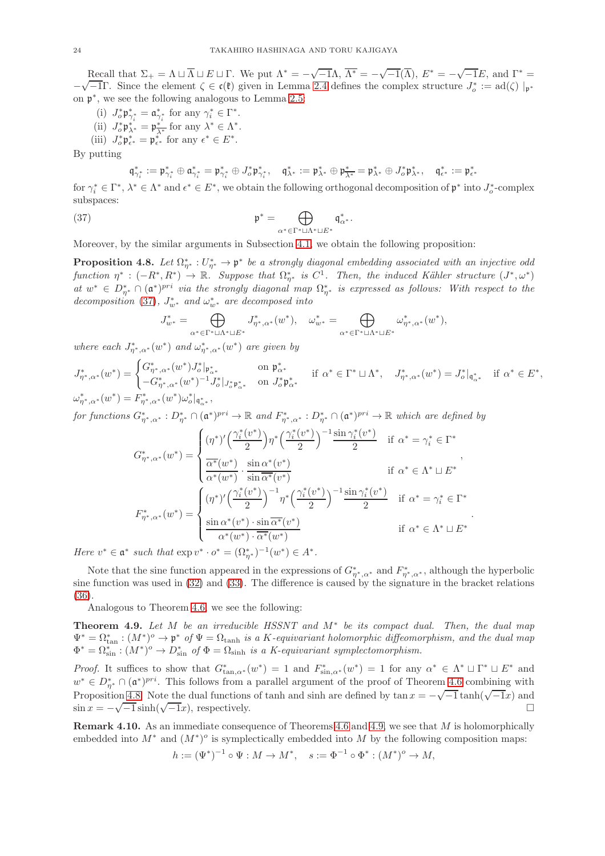Recall that  $\Sigma_+ = \Lambda \sqcup \overline{\Lambda} \sqcup E \sqcup \Gamma$ . We put  $\Lambda^* = -\sqrt{-1}\Lambda$ ,  $\overline{\Lambda^*} = -\sqrt{-1}(\overline{\Lambda})$ ,  $E^* = -\sqrt{-1}E$ , and  $\Gamma^* =$  $-\sqrt{-1}$ Γ. Since the element  $\zeta \in \mathfrak{c}(\mathfrak{k})$  given in Lemma [2.4](#page-7-5) defines the complex structure  $J_o^* := \text{ad}(\zeta) |_{\mathfrak{p}^*}$ on p ∗ , we see the following analogous to Lemma [2.5:](#page-8-2)

- (i)  $J_o^* \mathfrak{p}_{\gamma_i^*}^* = \mathfrak{a}_{\gamma_i^*}^*$  for any  $\gamma_i^* \in \Gamma^*$ .
- (ii)  $J_o^* \mathfrak{p}_{\lambda^*}^* = \mathfrak{p}_{\overline{\lambda^*}}^*$  for any  $\lambda^* \in \Lambda^*$ .
- (iii)  $J_o^* \mathfrak{p}_{\epsilon^*}^* = \mathfrak{p}_{\epsilon^*}^*$  for any  $\epsilon^* \in E^*$ .

By putting

$$
\mathfrak{q}_{\gamma_i^*}^*:=\mathfrak{p}_{\gamma_i^*}^*\oplus \mathfrak{a}_{\gamma_i^*}^*=\mathfrak{p}_{\gamma_i^*}^*\oplus J_o^*\mathfrak{p}_{\gamma_i^*}^*,\quad \mathfrak{q}_{\lambda^*}^*:=\mathfrak{p}_{\lambda^*}^*\oplus \mathfrak{p}_{\overline{\lambda^*}}^*=\mathfrak{p}_{\lambda^*}^*\oplus J_o^*\mathfrak{p}_{\lambda^*}^*,\quad \mathfrak{q}_{\epsilon^*}^*:=\mathfrak{p}_{\epsilon^*}^*
$$

for  $\gamma_i^* \in \Gamma^*$ ,  $\lambda^* \in \Lambda^*$  and  $\epsilon^* \in E^*$ , we obtain the following orthogonal decomposition of  $\mathfrak{p}^*$  into  $J_o^*$ -complex subspaces:

<span id="page-23-3"></span>(37) 
$$
\mathfrak{p}^* = \bigoplus_{\alpha^* \in \Gamma^* \sqcup \Lambda^* \sqcup E^*} \mathfrak{q}_{\alpha^*}^*.
$$

Moreover, by the similar arguments in Subsection [4.1,](#page-18-5) we obtain the following proposition:

<span id="page-23-2"></span>**Proposition 4.8.** Let  $\Omega_{\eta^*}^*: U_{\eta^*}^* \to \mathfrak{p}^*$  be a strongly diagonal embedding associated with an injective odd function  $\eta^*: (-R^*, R^*) \to \mathbb{R}$ . Suppose that  $\Omega_{\eta^*}^*$  is  $C^1$ . Then, the induced Kähler structure  $(J^*, \omega^*)$ at  $w^* \in D_{\eta^*}^* \cap (\mathfrak{a}^*)^{pri}$  via the strongly diagonal map  $\Omega_{\eta^*}^*$  is expressed as follows: With respect to the decomposition [\(37\)](#page-23-3),  $J_{w^*}^*$  and  $\omega_{w^*}^*$  are decomposed into

$$
J^*_{w^*}=\bigoplus_{\alpha^*\in\Gamma^*\sqcup\Lambda^*\sqcup E^*}J^*_{\eta^*,\alpha^*}(w^*),\quad \omega^*_{w^*}=\bigoplus_{\alpha^*\in\Gamma^*\sqcup\Lambda^*\sqcup E^*}\omega^*_{\eta^*,\alpha^*}(w^*),
$$

where each  $J^*_{\eta^*,\alpha^*}(w^*)$  and  $\omega^*_{\eta^*,\alpha^*}(w^*)$  are given by

 $J^*_{\eta^*,\alpha^*}(w^*) = \begin{cases} G^*_{\eta^*,\alpha^*}(w^*) J^*_\sigma |_{\mathfrak{p}^*_{\alpha^*}} & \text{on } \mathfrak{p}^*_{\alpha^*} \\ G^* & (\omega^*)^{-1} I^* \end{cases}$  $-G_{\eta^*,\alpha^*}^*(w^*)^{-1} J_o^* |_{J_o^* \mathfrak{p}_{\alpha^*}^*}$  on  $J_o^* \mathfrak{p}_{\alpha^*}^*$ if  $\alpha^* \in \Gamma^* \sqcup \Lambda^*, \quad J^*_{\eta^*,\alpha^*}(w^*) = J^*_o|_{\mathfrak{q}^*_{\alpha^*}} \quad \text{if } \alpha^* \in E^*,$  $\omega_{\eta^*,\alpha^*}^*(w^*) = F_{\eta^*,\alpha^*}^*(w^*) \omega_o^*|_{\mathfrak{q}_{\alpha^*}^*},$ 

for functions  $G^*_{\eta^*,\alpha^*}: D^*_{\eta^*} \cap (\mathfrak{a}^*)^{pri} \to \mathbb{R}$  and  $F^*_{\eta^*,\alpha^*}: D^*_{\eta^*} \cap (\mathfrak{a}^*)^{pri} \to \mathbb{R}$  which are defined by

$$
G_{\eta^*,\alpha^*}^*(w^*) = \begin{cases} (\eta^*)' \left(\frac{\gamma_i^*(v^*)}{2}\right) \eta^* \left(\frac{\gamma_i^*(v^*)}{2}\right)^{-1} \frac{\sin \gamma_i^*(v^*)}{2} & \text{if } \alpha^* = \gamma_i^* \in \Gamma^*\\ \frac{\alpha^*(w^*)}{\alpha^*(w^*)} \cdot \frac{\sin \alpha^*(v^*)}{\sin \overline{\alpha^*(v^*)}} & \text{if } \alpha^* \in \Lambda^* \sqcup E^*\\ \frac{(\eta^*)' \left(\frac{\gamma_i^*(v^*)}{2}\right)^{-1} \eta^* \left(\frac{\gamma_i^*(v^*)}{2}\right)^{-1} \frac{\sin \gamma_i^*(v^*)}{2} & \text{if } \alpha^* = \gamma_i^* \in \Gamma^*\\ \frac{\sin \alpha^*(v^*) \cdot \sin \overline{\alpha^*(v^*)}}{\alpha^*(w^*) \cdot \overline{\alpha^*(w^*)}} & \text{if } \alpha^* \in \Lambda^* \sqcup E^*\\ \frac{\sin \alpha^*(v^*) \cdot \sin \overline{\alpha^*(v^*)}}{\alpha^*(w^*) \cdot \overline{\alpha^*(w^*)}} & \text{if } \alpha^* \in \Lambda^* \sqcup E^* \end{cases}.
$$

Here  $v^* \in \mathfrak{a}^*$  such that  $\exp v^* \cdot o^* = (\Omega_{\eta^*}^*)^{-1}(w^*) \in A^*$ .

Note that the sine function appeared in the expressions of  $G^*_{\eta^*,\alpha^*}$  and  $F^*_{\eta^*,\alpha^*}$ , although the hyperbolic sine function was used in [\(32\)](#page-20-1) and [\(33\)](#page-20-2). The difference is caused by the signature in the bracket relations [\(36\)](#page-22-0).

Analogous to Theorem [4.6,](#page-21-0) we see the following:

<span id="page-23-0"></span>**Theorem 4.9.** Let M be an irreducible HSSNT and  $M^*$  be its compact dual. Then, the dual map  $\Psi^* = \Omega_{\tan}^* : (M^*)^o \to \mathfrak{p}^*$  of  $\Psi = \Omega_{\tanh}$  is a K-equivariant holomorphic diffeomorphism, and the dual map  $\Phi^* = \Omega_{\sin}^* : (M^*)^o \to D_{\sin}^*$  of  $\Phi = \Omega_{\sinh}$  is a K-equivariant symplectomorphism.

*Proof.* It suffices to show that  $G^*_{\tan,\alpha^*}(w^*) = 1$  and  $F^*_{\sin,\alpha^*}(w^*) = 1$  for any  $\alpha^* \in \Lambda^* \sqcup \Gamma^* \sqcup E^*$  and  $w^* \in D^*_{\eta^*} \cap (\mathfrak{a}^*)^{pri}$ . This follows from a parallel argument of the proof of Theorem [4.6](#page-21-0) combining with Proposition [4.8.](#page-23-2) Note the dual functions of tanh and sinh are defined by tan  $x = -\sqrt{-1} \tanh(\sqrt{-1}x)$  and  $\sin x = -\sqrt{-1} \sinh(\sqrt{-1}x)$ , respectively.

<span id="page-23-1"></span>Remark 4.10. As an immediate consequence of Theorems [4.6](#page-21-0) and [4.9,](#page-23-0) we see that M is holomorphically embedded into  $M^*$  and  $(M^*)^o$  is symplectically embedded into M by the following composition maps:

$$
h := (\Psi^*)^{-1} \circ \Psi : M \to M^*, \quad s := \Phi^{-1} \circ \Phi^* : (M^*)^o \to M,
$$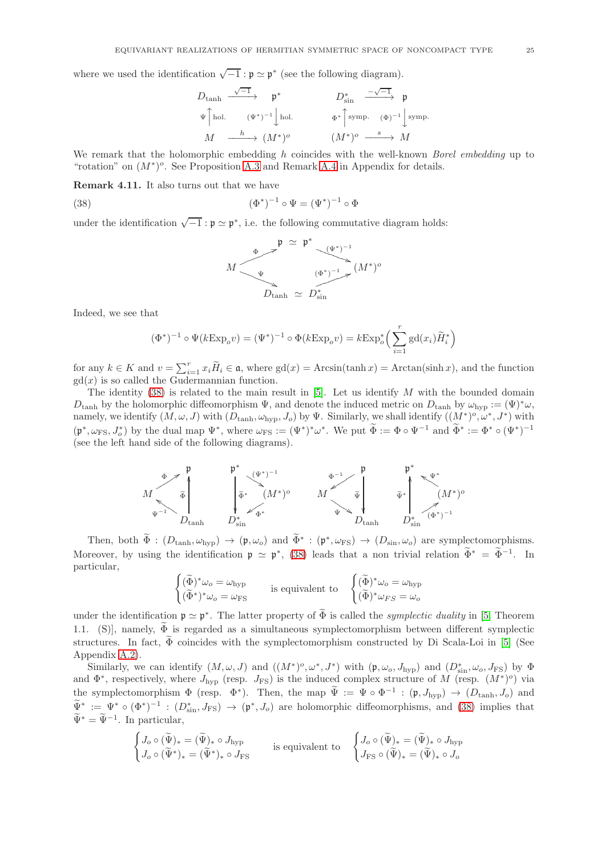where we used the identification  $\sqrt{-1} : \mathfrak{p} \simeq \mathfrak{p}^*$  (see the following diagram).

$$
\begin{array}{ccc}\nD_{\tanh} & \xrightarrow{\sqrt{-1}} & \mathfrak{p}^* & D_{\sin}^* & \xrightarrow{-\sqrt{-1}} \mathfrak{p} \\
\text{ }^{\psi}\upharpoonright_{\text{hol.}} & (\Psi^*)^{-1}\downarrow_{\text{hol.}} & \Phi^*\upharpoonright_{\text{symp.}} & (\Phi)^{-1}\downarrow_{\text{symp.}} \\
M & \xrightarrow{h} & (M^*)^o & (M^*)^o & \xrightarrow{s} M\n\end{array}
$$

We remark that the holomorphic embedding h coincides with the well-known *Borel embedding* up to "rotation" on  $(M^*)^o$ . See Proposition A.3 and Remark [A.4](#page-33-1) in Appendix for details.

<span id="page-24-0"></span>Remark 4.11. It also turns out that we have

<span id="page-24-1"></span>(38) 
$$
(\Phi^*)^{-1} \circ \Psi = (\Psi^*)^{-1} \circ \Phi
$$

under the identification  $\sqrt{-1}$ :  $\mathfrak{p} \simeq \mathfrak{p}^*$ , i.e. the following commutative diagram holds:

$$
M \longrightarrow^{\Phi} \longrightarrow^{\mathfrak{p}} \cong \mathfrak{p}^* \longrightarrow^{\left(\Psi^*\right)^{-1}} \mathfrak{p}^* \longrightarrow^{\left(\Psi^*\right)^{-1}} \mathfrak{p}^* \longrightarrow^{\left(\Psi^*\right)^{-1}} \mathfrak{p}^* \longrightarrow^{\left(\Psi^*\right)^{-1}} \mathfrak{p}^* \longrightarrow^{\left(\Psi^*\right)^{-1}} \mathfrak{p}^* \longrightarrow^{\left(\Psi^*\right)^{-1}} \mathfrak{p}^* \longrightarrow^{\left(\Psi^*\right)^{-1}} \mathfrak{p}^* \longrightarrow^{\left(\Psi^*\right)^{-1}} \mathfrak{p}^* \longrightarrow^{\left(\Psi^*\right)^{-1}} \mathfrak{p}^* \longrightarrow^{\left(\Psi^*\right)^{-1}} \mathfrak{p}^* \longrightarrow^{\left(\Psi^*\right)^{-1}} \mathfrak{p}^* \longrightarrow^{\left(\Psi^*\right)^{-1}} \mathfrak{p}^* \longrightarrow^{\left(\Psi^*\right)^{-1}} \mathfrak{p}^* \longrightarrow^{\left(\Psi^*\right)^{-1}} \mathfrak{p}^* \longrightarrow^{\left(\Psi^*\right)^{-1}} \mathfrak{p}^* \longrightarrow^{\left(\Psi^*\right)^{-1}} \mathfrak{p}^* \longrightarrow^{\left(\Psi^*\right)^{-1}} \mathfrak{p}^* \longrightarrow^{\left(\Psi^*\right)^{-1}} \mathfrak{p}^* \longrightarrow^{\left(\Psi^*\right)^{-1}} \mathfrak{p}^* \longrightarrow^{\left(\Psi^*\right)^{-1}} \mathfrak{p}^* \longrightarrow^{\left(\Psi^*\right)^{-1}} \mathfrak{p}^* \longrightarrow^{\left(\Psi^*\right)^{-1}} \mathfrak{p}^* \longrightarrow^{\left(\Psi^*\right)^{-1}} \mathfrak{p}^* \longrightarrow^{\left(\Psi^*\right)^{-1}} \mathfrak{p}^* \longrightarrow^{\left(\Psi^*\right)^{-1}} \mathfrak{p}^* \longrightarrow^{\left(\Psi^*\right)^{-1}} \mathfrak{p}^* \longrightarrow^{\left(\Psi^*\right)^{-1}} \mathfrak{p}^* \longrightarrow^{\left(\Psi^*\right)^{-1}} \mathfrak{p}^* \longrightarrow^{\left(\Psi^*\right)^{-1}} \mathfrak{p}^* \longrightarrow^{\left(\Psi^*\right)^{-1}} \mathfrak{p}^* \longrightarrow^{\left(\Psi^*\right)^{-1}} \mathfrak{p}^* \longrightarrow^{\left(\Psi^*\right)^{-1}} \mathfr
$$

Indeed, we see that

$$
(\Phi^*)^{-1} \circ \Psi(k \to \mathbf{p}_o v) = (\Psi^*)^{-1} \circ \Phi(k \to \mathbf{p}_o v) = k \to \mathbf{p}_o^* \left( \sum_{i=1}^r \mathrm{gd}(x_i) \widetilde{H}_i^* \right)
$$

for any  $k \in K$  and  $v = \sum_{i=1}^r x_i \widetilde{H}_i \in \mathfrak{a}$ , where  $gd(x) = Arcsin(tanh x) = Arctan(\sinh x)$ , and the function  $gd(x)$  is so called the Gudermannian function.

The identity  $(38)$  is related to the main result in [\[5\]](#page-35-1). Let us identify M with the bounded domain  $D_{\tanh}$  by the holomorphic diffeomorphism  $\Psi$ , and denote the induced metric on  $D_{\tanh}$  by  $\omega_{\text{hvp}} := (\Psi)^* \omega$ , namely, we identify  $(M, \omega, J)$  with  $(D_{tanh}, \omega_{hyp}, J_o)$  by  $\Psi$ . Similarly, we shall identify  $((M^*)^o, \omega^*, J^*)$  with  $(\mathfrak{p}^*, \omega_{\text{FS}}, J_o^*)$  by the dual map  $\Psi^*$ , where  $\omega_{\text{FS}} := (\Psi^*)^* \omega^*$ . We put  $\Phi := \Phi \circ \Psi^{-1}$  and  $\Phi^* := \Phi^* \circ (\Psi^*)^{-1}$ (see the left hand side of the following diagrams).



Then, both  $\Phi : (D_{\tanh}, \omega_{\text{hyp}}) \to (\mathfrak{p}, \omega_o)$  and  $\Phi^* : (\mathfrak{p}^*, \omega_{\text{FS}}) \to (D_{\sin}, \omega_o)$  are symplectomorphisms. Moreover, by using the identification  $\mathfrak{p} \simeq \mathfrak{p}^*$ , [\(38\)](#page-24-1) leads that a non trivial relation  $\Phi^* = \Phi^{-1}$ . In particular,

$$
\begin{cases} (\widetilde{\Phi})^*\omega_o = \omega_{\text{hyp}} \\ (\widetilde{\Phi}^*)^*\omega_o = \omega_{\text{FS}} \end{cases}
$$
 is equivalent to 
$$
\begin{cases} (\widetilde{\Phi})^*\omega_o = \omega_{\text{hyp}} \\ (\widetilde{\Phi})^*\omega_{FS} = \omega_o \end{cases}
$$

under the identification  $\mathfrak{p} \simeq \mathfrak{p}^*$ . The latter property of  $\Phi$  is called the *symplectic duality* in [\[5,](#page-35-1) Theorem 1.1. (S)], namely,  $\widetilde{\Phi}$  is regarded as a simultaneous symplectomorphism between different symplectic structures. In fact,  $\widetilde{\Phi}$  coincides with the symplectomorphism constructed by Di Scala-Loi in [\[5\]](#page-35-1) (See Appendix [A.2\)](#page-33-0).

Similarly, we can identify  $(M, \omega, J)$  and  $((M^*)^o, \omega^*, J^*)$  with  $(\mathfrak{p}, \omega_o, J_{hyp})$  and  $(D^*_{\sin}, \omega_o, J_{FS})$  by  $\Phi$ and  $\Phi^*$ , respectively, where  $J_{\rm hyp}$  (resp.  $J_{\rm FS}$ ) is the induced complex structure of M (resp.  $(M^*)^o$ ) via the symplectomorphism  $\Phi$  (resp.  $\Phi^*$ ). Then, the map  $\Psi := \Psi \circ \Phi^{-1} : (\mathfrak{p}, J_{\text{hyp}}) \to (D_{\text{tanh}}, J_o)$  and  $\Psi^* := \Psi^* \circ (\Phi^*)^{-1} : (D_{\sin}^*, J_{\text{FS}}) \to (\mathfrak{p}^*, J_o)$  are holomorphic diffeomorphisms, and [\(38\)](#page-24-1) implies that  $\widetilde{\Psi}^* = \widetilde{\Psi}^{-1}$ . In particular,

$$
\begin{cases} J_o \circ (\widetilde{\Psi})_* = (\widetilde{\Psi})_* \circ J_{\text{hyp}} \\ J_o \circ (\widetilde{\Psi}^*)_* = (\widetilde{\Psi}^*)_* \circ J_{\text{FS}} \end{cases} \quad \text{is equivalent to} \quad \begin{cases} J_o \circ (\widetilde{\Psi})_* = (\widetilde{\Psi})_* \circ J_{\text{hyp}} \\ J_{\text{FS}} \circ (\widetilde{\Psi})_* = (\widetilde{\Psi})_* \circ J_o \end{cases}
$$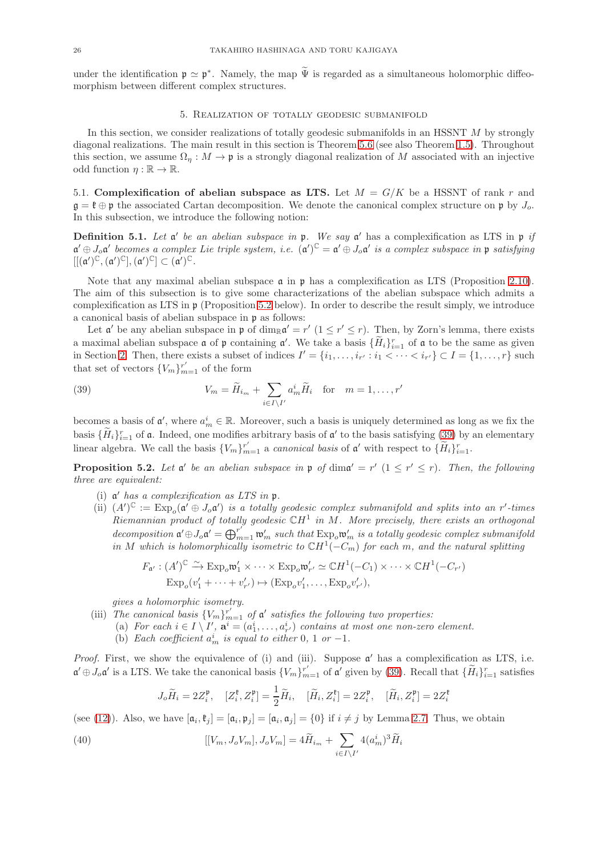<span id="page-25-0"></span>under the identification  $\mathfrak{p} \simeq \mathfrak{p}^*$ . Namely, the map  $\Psi$  is regarded as a simultaneous holomorphic diffeomorphism between different complex structures.

#### 5. Realization of totally geodesic submanifold

In this section, we consider realizations of totally geodesic submanifolds in an HSSNT M by strongly diagonal realizations. The main result in this section is Theorem [5.6](#page-27-0) (see also Theorem [1.5\)](#page-4-0). Throughout this section, we assume  $\Omega_n : M \to \mathfrak{p}$  is a strongly diagonal realization of M associated with an injective odd function  $\eta : \mathbb{R} \to \mathbb{R}$ .

5.1. Complexification of abelian subspace as LTS. Let  $M = G/K$  be a HSSNT of rank r and  $\mathfrak{g} = \mathfrak{k} \oplus \mathfrak{p}$  the associated Cartan decomposition. We denote the canonical complex structure on  $\mathfrak{p}$  by  $J_o$ . In this subsection, we introduce the following notion:

**Definition 5.1.** Let a' be an abelian subspace in  $\mathfrak{p}$ . We say a' has a complexification as LTS in  $\mathfrak{p}$  if  $\mathfrak{a}' \oplus J_o \mathfrak{a}'$  becomes a complex Lie triple system, i.e.  $(\mathfrak{a}')^{\mathbb{C}} = \mathfrak{a}' \oplus J_o \mathfrak{a}'$  is a complex subspace in  $\mathfrak{p}$  satisfying  $[[(\mathfrak{a}')^\mathbb{C},(\mathfrak{a}')^\mathbb{C}],(\mathfrak{a}')^\mathbb{C}] \subset (\mathfrak{a}')^\mathbb{C}.$ 

Note that any maximal abelian subspace  $\alpha$  in  $\beta$  has a complexification as LTS (Proposition [2.10\)](#page-10-0). The aim of this subsection is to give some characterizations of the abelian subspace which admits a complexification as LTS in  $\mathfrak p$  (Proposition [5.2](#page-25-1) below). In order to describe the result simply, we introduce a canonical basis of abelian subspace in p as follows:

Let  $\mathfrak{a}'$  be any abelian subspace in  $\mathfrak{p}$  of  $\dim_{\mathbb{R}} \mathfrak{a}' = r'$   $(1 \leq r' \leq r)$ . Then, by Zorn's lemma, there exists a maximal abelian subspace  $\mathfrak a$  of  $\mathfrak p$  containing  $\mathfrak a'$ . We take a basis  $\{H_i\}_{i=1}^r$  of  $\mathfrak a$  to be the same as given in Section [2.](#page-5-0) Then, there exists a subset of indices  $I' = \{i_1, \ldots, i_{r'} : i_1 < \cdots < i_{r'}\} \subset I = \{1, \ldots, r\}$  such that set of vectors  $\{V_m\}_{m=1}^{r'}$  of the form

<span id="page-25-2"></span>(39) 
$$
V_m = \widetilde{H}_{i_m} + \sum_{i \in I \setminus I'} a_m^i \widetilde{H}_i \quad \text{for} \quad m = 1, \dots, r'
$$

becomes a basis of  $\mathfrak{a}'$ , where  $a_m^i \in \mathbb{R}$ . Moreover, such a basis is uniquely determined as long as we fix the basis  $\{H_i\}_{i=1}^r$  of **a**. Indeed, one modifies arbitrary basis of **a'** to the basis satisfying [\(39\)](#page-25-2) by an elementary linear algebra. We call the basis  ${V_m}_{m=1}^{r'}$  a *canonical basis* of  $\mathfrak{a}'$  with respect to  ${\{\widetilde{H}_i\}}_{i=1}^{r}$ .

<span id="page-25-1"></span>**Proposition 5.2.** Let  $\mathfrak{a}'$  be an abelian subspace in  $\mathfrak{p}$  of  $\dim \mathfrak{a}' = r'$   $(1 \leq r' \leq r)$ . Then, the following three are equivalent:

- (i)  $\mathfrak{a}'$  has a complexification as LTS in  $\mathfrak{p}$ .
- (ii)  $(A')^{\mathbb{C}} := \text{Exp}_o(\mathfrak{a}' \oplus J_o \mathfrak{a}')$  is a totally geodesic complex submanifold and splits into an r'-times Riemannian product of totally geodesic  $\mathbb{C}H^1$  in M. More precisely, there exists an orthogonal decomposition  $\mathfrak{a}' \oplus J_o \mathfrak{a}' = \bigoplus_{m=1}^{r'} \mathfrak{w}'_m$  such that  $\text{Exp}_o \mathfrak{w}'_m$  is a totally geodesic complex submanifold in M which is holomorphically isometric to  $\mathbb{C}H^1(-C_m)$  for each m, and the natural splitting

$$
F_{\mathfrak{a}'} : (A')^{\mathbb{C}} \xrightarrow{\sim} \operatorname{Exp}_{o} \mathfrak{w}'_{1} \times \cdots \times \operatorname{Exp}_{o} \mathfrak{w}'_{r'} \simeq \mathbb{C}H^{1}(-C_{1}) \times \cdots \times \mathbb{C}H^{1}(-C_{r'})
$$
  

$$
\operatorname{Exp}_{o}(v'_{1} + \cdots + v'_{r'}) \mapsto (\operatorname{Exp}_{o} v'_{1}, \dots, \operatorname{Exp}_{o} v'_{r'}),
$$

gives a holomorphic isometry.

- (iii) The canonical basis  ${V_m}_{m=1}^{r'}$  of  $\mathfrak a'$  satisfies the following two properties:
	- (a) For each  $i \in I \setminus I'$ ,  $\mathbf{a}^i = (a_1^i, \ldots, a_{r'}^i)$  contains at most one non-zero element.
	- (b) Each coefficient  $a_m^i$  is equal to either 0, 1 or -1.

*Proof.* First, we show the equivalence of (i) and (iii). Suppose  $\alpha'$  has a complexification as LTS, i.e.  $\mathfrak{a}' \oplus J_o \mathfrak{a}'$  is a LTS. We take the canonical basis  $\{V_m\}_{m=1}^{r'}$  of  $\mathfrak{a}'$  given by [\(39\)](#page-25-2). Recall that  $\{\widetilde{H}_i\}_{i=1}^r$  satisfies

$$
J_o\widetilde{H}_i = 2Z_i^{\mathfrak{p}}, \quad [Z_i^{\mathfrak{k}}, Z_i^{\mathfrak{p}}] = \frac{1}{2}\widetilde{H}_i, \quad [\widetilde{H}_i, Z_i^{\mathfrak{k}}] = 2Z_i^{\mathfrak{p}}, \quad [\widetilde{H}_i, Z_i^{\mathfrak{p}}] = 2Z_i^{\mathfrak{k}}
$$

(see [\(12\)](#page-9-1)). Also, we have  $[\mathfrak{a}_i, \mathfrak{k}_j] = [\mathfrak{a}_i, \mathfrak{p}_j] = [\mathfrak{a}_i, \mathfrak{a}_j] = \{0\}$  if  $i \neq j$  by Lemma [2.7.](#page-8-5) Thus, we obtain

<span id="page-25-3"></span>(40) 
$$
[[V_m, J_o V_m], J_o V_m] = 4\widetilde{H}_{i_m} + \sum_{i \in I \setminus I'} 4(a_m^i)^3 \widetilde{H}_i
$$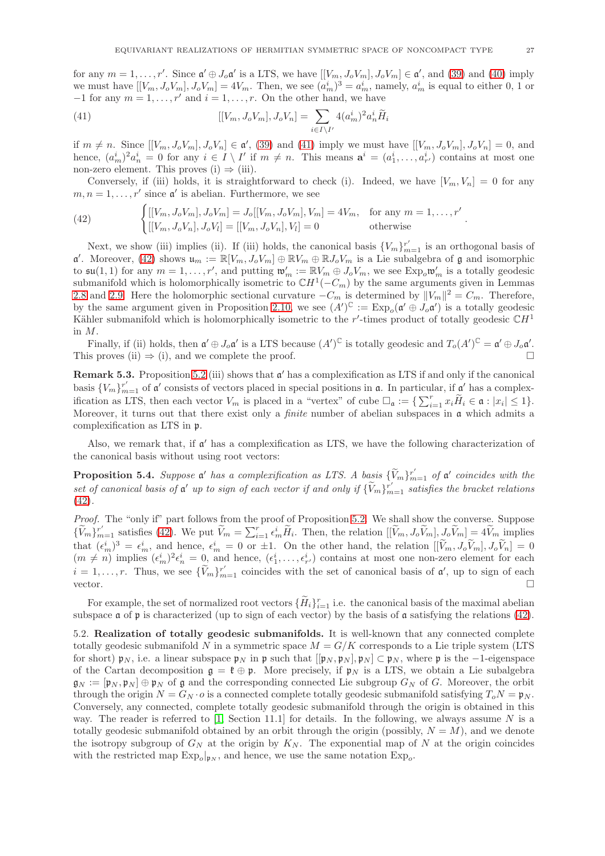for any  $m = 1, \ldots, r'$ . Since  $\mathfrak{a}' \oplus J_o \mathfrak{a}'$  is a LTS, we have  $[[V_m, J_oV_m], J_oV_m] \in \mathfrak{a}'$ , and [\(39\)](#page-25-2) and [\(40\)](#page-25-3) imply we must have  $[[V_m, J_oV_m], J_oV_m] = 4V_m$ . Then, we see  $(a_m^i)^3 = a_m^i$ , namely,  $a_m^i$  is equal to either 0, 1 or  $-1$  for any  $m = 1, \ldots, r'$  and  $i = 1, \ldots, r$ . On the other hand, we have

<span id="page-26-1"></span>(41) 
$$
[[V_m, J_o V_m], J_o V_n] = \sum_{i \in I \setminus I'} 4(a_m^i)^2 a_n^i \widetilde{H}_i
$$

if  $m \neq n$ . Since  $[[V_m, J_oV_m], J_oV_n] \in \mathfrak{a}'$ , [\(39\)](#page-25-2) and [\(41\)](#page-26-1) imply we must have  $[[V_m, J_oV_m], J_oV_n] = 0$ , and hence,  $(a_m^i)^2 a_n^i = 0$  for any  $i \in I \setminus I'$  if  $m \neq n$ . This means  $\mathbf{a}^i = (a_1^i, \ldots, a_{r'}^i)$  contains at most one non-zero element. This proves (i)  $\Rightarrow$  (iii).

Conversely, if (iii) holds, it is straightforward to check (i). Indeed, we have  $[V_m, V_n] = 0$  for any  $m, n = 1, \ldots, r'$  since  $\mathfrak{a}'$  is abelian. Furthermore, we see

<span id="page-26-2"></span>(42) 
$$
\begin{cases}\n[[V_m, J_o V_m], J_o V_m] = J_o[[V_m, J_o V_m], V_m] = 4V_m, & \text{for any } m = 1, ..., r' \\
[[V_m, J_o V_n], J_o V_l] = [[V_m, J_o V_n], V_l] = 0 & \text{otherwise}\n\end{cases}
$$

Next, we show (iii) implies (ii). If (iii) holds, the canonical basis  ${V_m}_{m=1}^{r'}$  is an orthogonal basis of  $\mathfrak{a}'$ . Moreover, [\(42\)](#page-26-2) shows  $\mathfrak{u}_m := \mathbb{R}[V_m, J_oV_m] \oplus \mathbb{R}V_m \oplus \mathbb{R}J_oV_m$  is a Lie subalgebra of  $\mathfrak{g}$  and isomorphic to  $\mathfrak{su}(1,1)$  for any  $m=1,\ldots,r'$ , and putting  $\mathfrak{w}'_m := \mathbb{R}V_m \oplus J_oV_m$ , we see  $\text{Exp}_o\mathfrak{w}'_m$  is a totally geodesic submanifold which is holomorphically isometric to  $\mathbb{C}H^1(-C_m)$  by the same arguments given in Lemmas [2.8](#page-9-3) and [2.9.](#page-9-5) Here the holomorphic sectional curvature  $-C_m$  is determined by  $||V_m||^2 = C_m$ . Therefore, by the same argument given in Proposition [2.10,](#page-10-0) we see  $(A')^{\mathbb{C}} := \text{Exp}_o(\mathfrak{a}' \oplus J_o\mathfrak{a}')$  is a totally geodesic Kähler submanifold which is holomorphically isometric to the r'-times product of totally geodesic  $\mathbb{C}H^1$ in M.

Finally, if (ii) holds, then  $\mathfrak{a}' \oplus J_o \mathfrak{a}'$  is a LTS because  $(A')^{\mathbb{C}}$  is totally geodesic and  $T_o(A')^{\mathbb{C}} = \mathfrak{a}' \oplus J_o \mathfrak{a}'.$ This proves (ii)  $\Rightarrow$  (i), and we complete the proof.

<span id="page-26-3"></span>**Remark 5.3.** Proposition [5.2](#page-25-1) (iii) shows that  $\mathfrak{a}'$  has a complexification as LTS if and only if the canonical basis  $\{V_m\}_{m=1}^{r'}$  of  $\mathfrak{a}'$  consists of vectors placed in special positions in  $\mathfrak{a}$ . In particular, if  $\mathfrak{a}'$  has a complexification as LTS, then each vector  $V_m$  is placed in a "vertex" of cube  $\Box_{\mathfrak{a}} := \{ \sum_{i=1}^r x_i \widetilde{H}_i \in \mathfrak{a} : |x_i| \leq 1 \}.$ Moreover, it turns out that there exist only a *finite* number of abelian subspaces in  $\alpha$  which admits a complexification as LTS in p.

Also, we remark that, if  $\mathfrak{a}'$  has a complexification as LTS, we have the following characterization of the canonical basis without using root vectors:

<span id="page-26-4"></span>**Proposition 5.4.** Suppose  $\mathfrak{a}'$  has a complexification as LTS. A basis  $\{\widetilde{V}_m\}_{m=1}^{r'}$  of  $\mathfrak{a}'$  coincides with the set of canonical basis of  $\mathfrak{a}'$  up to sign of each vector if and only if  $\{\widetilde{V}_m\}_{m=1}^{r'}$  satisfies the bracket relations  $(42)$ .

Proof. The "only if" part follows from the proof of Proposition [5.2.](#page-25-1) We shall show the converse. Suppose  $\{\widetilde{V}_m\}_{m=1}^{r'}$  satisfies [\(42\)](#page-26-2). We put  $\widetilde{V}_m = \sum_{i=1}^{r} \epsilon_m^i \widetilde{H}_i$ . Then, the relation  $[[\widetilde{V}_m, J_o \widetilde{V}_m], J_o \widetilde{V}_m] = 4 \widetilde{V}_m$  implies that  $(\epsilon_m^i)^3 = \epsilon_m^i$ , and hence,  $\epsilon_m^i = 0$  or  $\pm 1$ . On the other hand, the relation  $[[\tilde{V}_m, J_o\tilde{V}_m], J_o\tilde{V}_n] = 0$  $(m \neq n)$  implies  $(\epsilon_m^i)^2 \epsilon_n^i = 0$ , and hence,  $(\epsilon_1^i, \ldots, \epsilon_{r'}^i)$  contains at most one non-zero element for each  $i = 1, \ldots, r$ . Thus, we see  $\{\tilde{V}_m\}_{m=1}^{r'}$  coincides with the set of canonical basis of  $\mathfrak{a}'$ , up to sign of each vector.  $\square$ 

For example, the set of normalized root vectors  $\{H_i\}_{i=1}^r$  i.e. the canonical basis of the maximal abelian subspace  $\alpha$  of  $\beta$  is characterized (up to sign of each vector) by the basis of  $\alpha$  satisfying the relations [\(42\)](#page-26-2).

<span id="page-26-0"></span>5.2. Realization of totally geodesic submanifolds. It is well-known that any connected complete totally geodesic submanifold N in a symmetric space  $M = G/K$  corresponds to a Lie triple system (LTS for short)  $\mathfrak{p}_N$ , i.e. a linear subspace  $\mathfrak{p}_N$  in  $\mathfrak{p}$  such that  $[[\mathfrak{p}_N, \mathfrak{p}_N], \mathfrak{p}_N] \subset \mathfrak{p}_N$ , where  $\mathfrak{p}$  is the  $-1$ -eigenspace of the Cartan decomposition  $\mathfrak{g} = \mathfrak{k} \oplus \mathfrak{p}$ . More precisely, if  $\mathfrak{p}_N$  is a LTS, we obtain a Lie subalgebra  $\mathfrak{g}_N := [\mathfrak{p}_N, \mathfrak{p}_N] \oplus \mathfrak{p}_N$  of  $\mathfrak{g}$  and the corresponding connected Lie subgroup  $G_N$  of G. Moreover, the orbit through the origin  $N = G_N \cdot o$  is a connected complete totally geodesic submanifold satisfying  $T_o N = \mathfrak{p}_N$ . Conversely, any connected, complete totally geodesic submanifold through the origin is obtained in this way. The reader is referred to [\[1,](#page-35-3) Section 11.1] for details. In the following, we always assume N is a totally geodesic submanifold obtained by an orbit through the origin (possibly,  $N = M$ ), and we denote the isotropy subgroup of  $G_N$  at the origin by  $K_N$ . The exponential map of N at the origin coincides with the restricted map  $Exp_o|_{\mathfrak{p}_N}$ , and hence, we use the same notation  $Exp_o$ .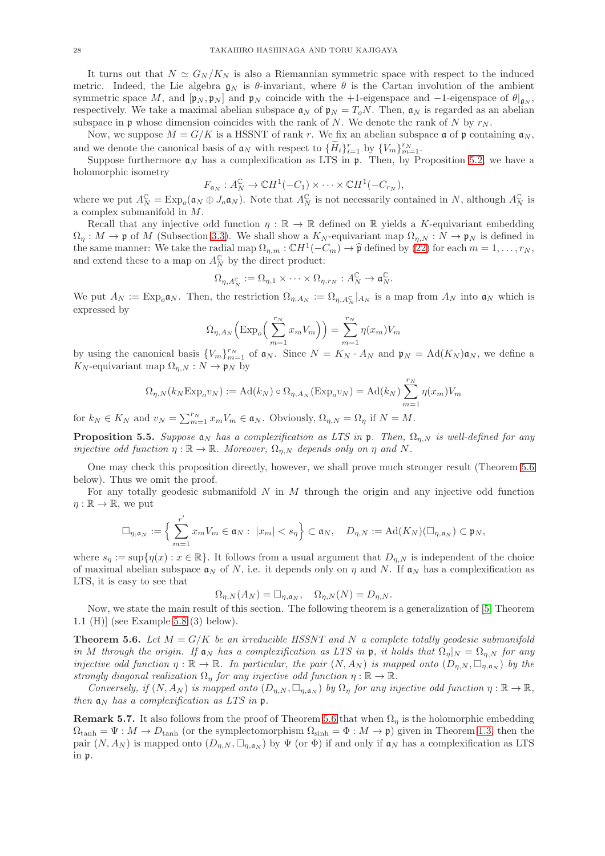It turns out that  $N \simeq G_N/K_N$  is also a Riemannian symmetric space with respect to the induced metric. Indeed, the Lie algebra  $g_N$  is  $\theta$ -invariant, where  $\theta$  is the Cartan involution of the ambient symmetric space M, and  $[p_N, p_N]$  and  $p_N$  coincide with the +1-eigenspace and -1-eigenspace of  $\theta|_{q_N}$ , respectively. We take a maximal abelian subspace  $\mathfrak{a}_N$  of  $\mathfrak{p}_N = T_oN$ . Then,  $\mathfrak{a}_N$  is regarded as an abelian subspace in p whose dimension coincides with the rank of N. We denote the rank of N by  $r_N$ .

Now, we suppose  $M = G/K$  is a HSSNT of rank r. We fix an abelian subspace  $\mathfrak a$  of  $\mathfrak p$  containing  $\mathfrak a_N$ , and we denote the canonical basis of  $a_N$  with respect to  $\{\widetilde{H}_i\}_{i=1}^r$  by  $\{V_m\}_{m=1}^{r_N}$ .

Suppose furthermore  $a_N$  has a complexification as LTS in  $\mathfrak{p}$ . Then, by Proposition [5.2,](#page-25-1) we have a holomorphic isometry

$$
F_{\mathfrak{a}_N}: A_N^{\mathbb{C}} \to \mathbb{C}H^1(-C_1) \times \cdots \times \mathbb{C}H^1(-C_{r_N}),
$$

where we put  $A_N^{\mathbb{C}} = \text{Exp}_o(\mathfrak{a}_N \oplus J_o \mathfrak{a}_N)$ . Note that  $A_N^{\mathbb{C}}$  is not necessarily contained in N, although  $A_N^{\mathbb{C}}$  is a complex submanifold in M.

Recall that any injective odd function  $\eta : \mathbb{R} \to \mathbb{R}$  defined on  $\mathbb{R}$  yields a K-equivariant embedding  $\Omega_n : M \to \mathfrak{p}$  of M (Subsection [3.3\)](#page-14-3). We shall show a  $K_N$ -equivariant map  $\Omega_{n,N} : N \to \mathfrak{p}_N$  is defined in the same manner: We take the radial map  $\Omega_{\eta,m} : \mathbb{C}H^1(-C_m) \to \hat{\mathfrak{p}}$  defined by [\(22\)](#page-14-1) for each  $m = 1, \ldots, r_N$ , and extend these to a map on  $A_N^{\mathbb{C}}$  by the direct product:

$$
\Omega_{\eta,A_N^{\mathbb{C}}} := \Omega_{\eta,1} \times \cdots \times \Omega_{\eta,r_N} : A_N^{\mathbb{C}} \to \mathfrak{a}_N^{\mathbb{C}}.
$$

We put  $A_N := \text{Exp}_{o} \mathfrak{a}_N$ . Then, the restriction  $\Omega_{\eta, A_N} := \Omega_{\eta, A_N^C}|_{A_N}$  is a map from  $A_N$  into  $\mathfrak{a}_N$  which is expressed by

$$
\Omega_{\eta, A_N} \left( \text{Exp}_o \left( \sum_{m=1}^{r_N} x_m V_m \right) \right) = \sum_{m=1}^{r_N} \eta(x_m) V_m
$$

by using the canonical basis  ${V_m}_{m=1}^{r_N}$  of  $\mathfrak{a}_N$ . Since  $N = K_N \cdot A_N$  and  $\mathfrak{p}_N = \text{Ad}(K_N) \mathfrak{a}_N$ , we define a  $K_N$ -equivariant map  $\Omega_{\eta,N} : N \to \mathfrak{p}_N$  by

$$
\Omega_{\eta,N}(k_N \operatorname{Exp}_o v_N) := \operatorname{Ad}(k_N) \circ \Omega_{\eta, A_N}(\operatorname{Exp}_o v_N) = \operatorname{Ad}(k_N) \sum_{m=1}^{r_N} \eta(x_m) V_m
$$

for  $k_N \in K_N$  and  $v_N = \sum_{m=1}^{r_N} x_m V_m \in \mathfrak{a}_N$ . Obviously,  $\Omega_{\eta, N} = \Omega_{\eta}$  if  $N = M$ .

**Proposition 5.5.** Suppose  $a_N$  has a complexification as LTS in  $\mathfrak{p}$ . Then,  $\Omega_{\eta,N}$  is well-defined for any injective odd function  $\eta : \mathbb{R} \to \mathbb{R}$ . Moreover,  $\Omega_{\eta,N}$  depends only on  $\eta$  and N.

One may check this proposition directly, however, we shall prove much stronger result (Theorem [5.6](#page-27-0) below). Thus we omit the proof.

For any totally geodesic submanifold  $N$  in  $M$  through the origin and any injective odd function  $\eta: \mathbb{R} \to \mathbb{R}$ , we put

$$
\Box_{\eta,\mathfrak{a}_N} := \Big\{\sum_{m=1}^{r'} x_m V_m \in \mathfrak{a}_N : \ |x_m| < s_\eta \Big\} \subset \mathfrak{a}_N, \quad D_{\eta,N} := \mathrm{Ad}(K_N)(\Box_{\eta,\mathfrak{a}_N}) \subset \mathfrak{p}_N,
$$

where  $s_n := \sup\{\eta(x) : x \in \mathbb{R}\}.$  It follows from a usual argument that  $D_{\eta,N}$  is independent of the choice of maximal abelian subspace  $a_N$  of N, i.e. it depends only on  $\eta$  and N. If  $a_N$  has a complexification as LTS, it is easy to see that

$$
\Omega_{\eta,N}(A_N) = \Box_{\eta,\mathfrak{a}_N}, \quad \Omega_{\eta,N}(N) = D_{\eta,N}.
$$

Now, we state the main result of this section. The following theorem is a generalization of [\[5,](#page-35-1) Theorem 1.1 (H)] (see Example [5.8](#page-28-0) (3) below).

<span id="page-27-0"></span>**Theorem 5.6.** Let  $M = G/K$  be an irreducible HSSNT and N a complete totally geodesic submanifold in M through the origin. If  $\mathfrak{a}_N$  has a complexification as LTS in p, it holds that  $\Omega_n|_N = \Omega_n|_N$  for any injective odd function  $\eta : \mathbb{R} \to \mathbb{R}$ . In particular, the pair  $(N, A_N)$  is mapped onto  $(D_{\eta,N}, \Box_{\eta,a_N})$  by the strongly diagonal realization  $\Omega_n$  for any injective odd function  $\eta : \mathbb{R} \to \mathbb{R}$ .

Conversely, if  $(N, A_N)$  is mapped onto  $(D_{\eta,N}, \Box_{\eta,\mathfrak{a}_N})$  by  $\Omega_{\eta}$  for any injective odd function  $\eta : \mathbb{R} \to \mathbb{R}$ , then  $a_N$  has a complexification as LTS in  $\mathfrak{p}$ .

**Remark 5.7.** It also follows from the proof of Theorem [5.6](#page-27-0) that when  $\Omega_n$  is the holomorphic embedding  $\Omega_{\tanh} = \Psi : M \to D_{\tanh}$  (or the symplectomorphism  $\Omega_{\text{sinh}} = \Phi : M \to \mathfrak{p}$ ) given in Theorem [1.3,](#page-2-0) then the pair  $(N, A_N)$  is mapped onto  $(D_{\eta,N}, \Box_{\eta,\mathfrak{a}_N})$  by  $\Psi$  (or  $\Phi$ ) if and only if  $\mathfrak{a}_N$  has a complexification as LTS in p.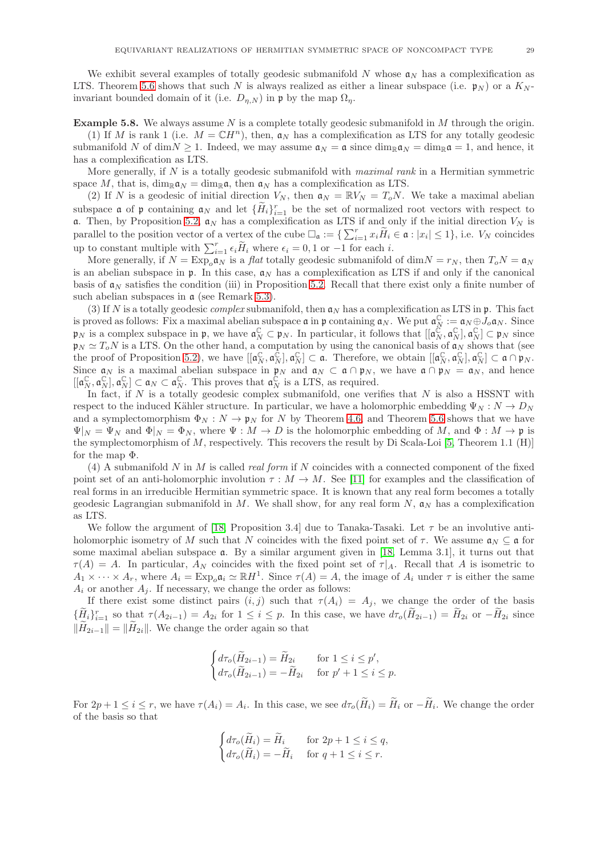We exhibit several examples of totally geodesic submanifold N whose  $\mathfrak{a}_N$  has a complexification as LTS. Theorem [5.6](#page-27-0) shows that such N is always realized as either a linear subspace (i.e.  $\mathfrak{p}_N$ ) or a  $K_N$ invariant bounded domain of it (i.e.  $D_{\eta,N}$ ) in p by the map  $\Omega_{\eta}$ .

<span id="page-28-0"></span>**Example 5.8.** We always assume  $N$  is a complete totally geodesic submanifold in  $M$  through the origin.

(1) If M is rank 1 (i.e.  $M = \mathbb{C}H^n$ ), then,  $\mathfrak{a}_N$  has a complexification as LTS for any totally geodesic submanifold N of dim $N \ge 1$ . Indeed, we may assume  $\mathfrak{a}_N = \mathfrak{a}$  since  $\dim_{\mathbb{R}} \mathfrak{a}_N = \dim_{\mathbb{R}} \mathfrak{a} = 1$ , and hence, it has a complexification as LTS.

More generally, if  $N$  is a totally geodesic submanifold with *maximal rank* in a Hermitian symmetric space M, that is,  $\dim_{\mathbb{R}} a_N = \dim_{\mathbb{R}} a$ , then  $a_N$  has a complexification as LTS.

(2) If N is a geodesic of initial direction  $V_N$ , then  $\mathfrak{a}_N = \mathbb{R}V_N = T_oN$ . We take a maximal abelian subspace **a** of **p** containing  $a_N$  and let  $\{\tilde{H}_i\}_{i=1}^r$  be the set of normalized root vectors with respect to a. Then, by Proposition [5.2,](#page-25-1)  $a_N$  has a complexification as LTS if and only if the initial direction  $V_N$  is parallel to the position vector of a vertex of the cube  $\Box_{\mathfrak{a}} := \{ \sum_{i=1}^r x_i \widetilde{H}_i \in \mathfrak{a} : |x_i| \leq 1 \}$ , i.e.  $V_N$  coincides up to constant multiple with  $\sum_{i=1}^r \epsilon_i \widetilde{H}_i$  where  $\epsilon_i = 0, 1$  or  $-1$  for each *i*.

More generally, if  $N = \text{Exp}_{o} \mathfrak{a}_{N}$  is a *flat* totally geodesic submanifold of dim $N = r_N$ , then  $T_o N = \mathfrak{a}_{N}$ is an abelian subspace in p. In this case,  $a_N$  has a complexification as LTS if and only if the canonical basis of  $a_N$  satisfies the condition (iii) in Proposition [5.2.](#page-25-1) Recall that there exist only a finite number of such abelian subspaces in  $\alpha$  (see Remark [5.3\)](#page-26-3).

(3) If N is a totally geodesic *complex* submanifold, then  $a_N$  has a complexification as LTS in p. This fact is proved as follows: Fix a maximal abelian subspace  $\mathfrak{a}$  in  $\mathfrak{p}$  containing  $\mathfrak{a}_N$ . We put  $\mathfrak{a}_N^{\mathbb{C}} := \mathfrak{a}_N \oplus J_o \mathfrak{a}_N$ . Since  $\mathfrak{p}_N$  is a complex subspace in  $\mathfrak{p}$ , we have  $\mathfrak{a}_N^{\mathbb{C}} \subset \mathfrak{p}_N$ . In particular, it follows that  $[[\mathfrak{a}_N^{\mathbb{C}}, \mathfrak{a}_N^{\mathbb{C}}], \mathfrak{a}_N^{\mathbb{C}}] \subset \mathfrak{p}_N$  since  $\mathfrak{p}_N \simeq T_oN$  is a LTS. On the other hand, a computation by using the canonical basis of  $\mathfrak{a}_N$  shows that (see the proof of Proposition [5.2\)](#page-25-1), we have  $[[\mathfrak{a}_N^{\mathbb{C}}, \mathfrak{a}_N^{\mathbb{C}}], \mathfrak{a}_N^{\mathbb{C}}] \subset \mathfrak{a}$ . Therefore, we obtain  $[[\mathfrak{a}_N^{\mathbb{C}}, \mathfrak{a}_N^{\mathbb{C}}], \mathfrak{a}_N^{\mathbb{C}}] \subset \mathfrak{a} \cap \mathfrak{p}_N$ . Since  $\mathfrak{a}_N$  is a maximal abelian subspace in  $\mathfrak{p}_N$  and  $\mathfrak{a}_N \subset \mathfrak{a} \cap \mathfrak{p}_N$ , we have  $\mathfrak{a} \cap \mathfrak{p}_N = \mathfrak{a}_N$ , and hence  $[[\mathfrak{a}_N^{\mathbb{C}}, \mathfrak{a}_N^{\mathbb{C}}] \subset \mathfrak{a}_N \subset \mathfrak{a}_N^{\mathbb{C}}$ . This proves that  $\mathfrak{a}_N^{\mathbb{C}}$  is a LTS, as required.

In fact, if  $N$  is a totally geodesic complex submanifold, one verifies that  $N$  is also a HSSNT with respect to the induced Kähler structure. In particular, we have a holomorphic embedding  $\Psi_N : N \to D_N$ and a symplectomorphism  $\Phi_N : N \to \mathfrak{p}_N$  for N by Theorem [4.6,](#page-21-0) and Theorem [5.6](#page-27-0) shows that we have  $\Psi|_N = \Psi_N$  and  $\Phi|_N = \Phi_N$ , where  $\Psi : M \to D$  is the holomorphic embedding of M, and  $\Phi : M \to \mathfrak{p}$  is the symplectomorphism of  $M$ , respectively. This recovers the result by Di Scala-Loi [\[5,](#page-35-1) Theorem 1.1 (H)] for the map Φ.

(4) A submanifold N in M is called *real form* if N coincides with a connected component of the fixed point set of an anti-holomorphic involution  $\tau : M \to M$ . See [\[11\]](#page-36-10) for examples and the classification of real forms in an irreducible Hermitian symmetric space. It is known that any real form becomes a totally geodesic Lagrangian submanifold in M. We shall show, for any real form N,  $a_N$  has a complexification as LTS.

We follow the argument of [\[18,](#page-36-11) Proposition 3.4] due to Tanaka-Tasaki. Let  $\tau$  be an involutive antiholomorphic isometry of M such that N coincides with the fixed point set of  $\tau$ . We assume  $\mathfrak{a}_N \subseteq \mathfrak{a}$  for some maximal abelian subspace a. By a similar argument given in [\[18,](#page-36-11) Lemma 3.1], it turns out that  $\tau(A) = A$ . In particular,  $A_N$  coincides with the fixed point set of  $\tau|_A$ . Recall that A is isometric to  $A_1 \times \cdots \times A_r$ , where  $A_i = \text{Exp}_o \mathfrak{a}_i \simeq \mathbb{R}H^1$ . Since  $\tau(A) = A$ , the image of  $A_i$  under  $\tau$  is either the same  $A_i$  or another  $A_j$ . If necessary, we change the order as follows:

If there exist some distinct pairs  $(i, j)$  such that  $\tau(A_i) = A_j$ , we change the order of the basis  $\{\widetilde{H}_i\}_{i=1}^r$  so that  $\tau(A_{2i-1}) = A_{2i}$  for  $1 \leq i \leq p$ . In this case, we have  $d\tau_o(\widetilde{H}_{2i-1}) = \widetilde{H}_{2i}$  or  $-\widetilde{H}_{2i}$  since  $\|\widetilde{H}_{2i-1}\| = \|\widetilde{H}_{2i}\|$ . We change the order again so that

$$
\begin{cases} d\tau_o(\widetilde{H}_{2i-1}) = \widetilde{H}_{2i} & \text{for } 1 \leq i \leq p', \\ d\tau_o(\widetilde{H}_{2i-1}) = -\widetilde{H}_{2i} & \text{for } p'+1 \leq i \leq p. \end{cases}
$$

For  $2p + 1 \le i \le r$ , we have  $\tau(A_i) = A_i$ . In this case, we see  $d\tau_o(H_i) = H_i$  or  $-H_i$ . We change the order of the basis so that

$$
\begin{cases} d\tau_o(\widetilde{H}_i) = \widetilde{H}_i & \text{for } 2p+1 \leq i \leq q, \\ d\tau_o(\widetilde{H}_i) = -\widetilde{H}_i & \text{for } q+1 \leq i \leq r. \end{cases}
$$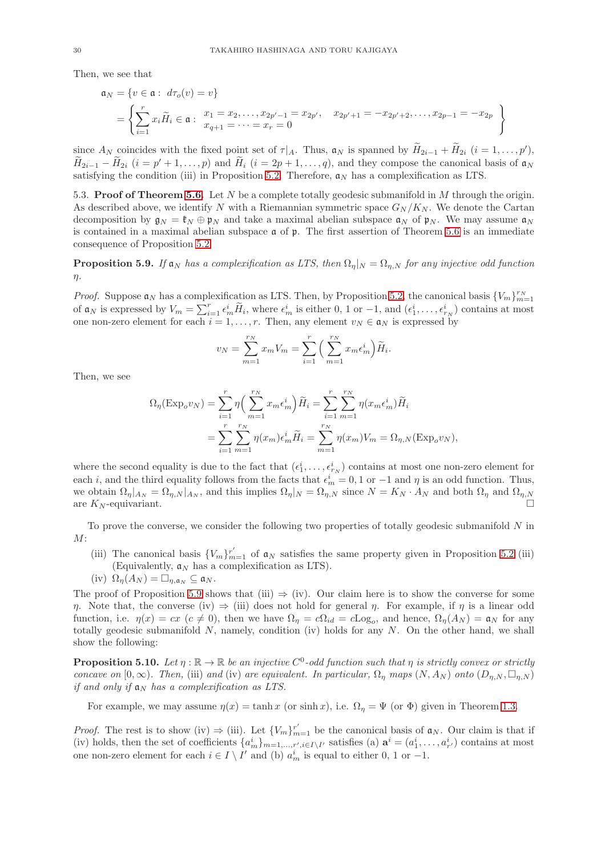Then, we see that

$$
\mathfrak{a}_N = \{ v \in \mathfrak{a} : d\tau_o(v) = v \}
$$
  
= 
$$
\left\{ \sum_{i=1}^r x_i \widetilde{H}_i \in \mathfrak{a} : \begin{array}{l} x_1 = x_2, \dots, x_{2p'-1} = x_{2p'}, \quad x_{2p'+1} = -x_{2p'+2}, \dots, x_{2p-1} = -x_{2p} \\ x_{q+1} = \dots = x_r = 0 \end{array} \right\}
$$

since  $A_N$  coincides with the fixed point set of  $\tau|_A$ . Thus,  $\mathfrak{a}_N$  is spanned by  $H_{2i-1} + H_{2i}$   $(i = 1, \ldots, p')$ ,  $H_{2i-1} - H_{2i}$   $(i = p' + 1, \ldots, p)$  and  $H_i$   $(i = 2p + 1, \ldots, q)$ , and they compose the canonical basis of  $\mathfrak{a}_N$ satisfying the condition (iii) in Proposition [5.2.](#page-25-1) Therefore,  $a_N$  has a complexification as LTS.

5.3. Proof of Theorem [5.6.](#page-27-0) Let  $N$  be a complete totally geodesic submanifold in  $M$  through the origin. As described above, we identify N with a Riemannian symmetric space  $G_N/K_N$ . We denote the Cartan decomposition by  $\mathfrak{g}_N = \mathfrak{k}_N \oplus \mathfrak{p}_N$  and take a maximal abelian subspace  $\mathfrak{a}_N$  of  $\mathfrak{p}_N$ . We may assume  $\mathfrak{a}_N$ is contained in a maximal abelian subspace  $\mathfrak a$  of  $\mathfrak p$ . The first assertion of Theorem [5.6](#page-27-0) is an immediate consequence of Proposition [5.2:](#page-25-1)

<span id="page-29-0"></span>**Proposition 5.9.** If  $a_N$  has a complexification as LTS, then  $\Omega_n|_N = \Omega_{n,N}$  for any injective odd function  $\eta$ .

*Proof.* Suppose  $a_N$  has a complexification as LTS. Then, by Proposition [5.2,](#page-25-1) the canonical basis  $\{V_m\}_{m=1}^{r_N}$ of  $\mathfrak{a}_N$  is expressed by  $V_m = \sum_{i=1}^r \epsilon_m^i \widetilde{H}_i$ , where  $\epsilon_m^i$  is either 0, 1 or -1, and  $(\epsilon_1^i, \ldots, \epsilon_{r_N}^i)$  contains at most one non-zero element for each  $i = 1, \ldots, r$ . Then, any element  $v_N \in \mathfrak{a}_N$  is expressed by

$$
v_N = \sum_{m=1}^{r_N} x_m V_m = \sum_{i=1}^{r} \left( \sum_{m=1}^{r_N} x_m \epsilon_m^i \right) \widetilde{H}_i.
$$

Then, we see

$$
\Omega_{\eta}(\text{Exp}_{o}v_{N}) = \sum_{i=1}^{r} \eta \left( \sum_{m=1}^{r_{N}} x_{m} \epsilon_{m}^{i} \right) \widetilde{H}_{i} = \sum_{i=1}^{r} \sum_{m=1}^{r_{N}} \eta (x_{m} \epsilon_{m}^{i}) \widetilde{H}_{i}
$$

$$
= \sum_{i=1}^{r} \sum_{m=1}^{r_{N}} \eta (x_{m}) \epsilon_{m}^{i} \widetilde{H}_{i} = \sum_{m=1}^{r_{N}} \eta (x_{m}) V_{m} = \Omega_{\eta, N} (\text{Exp}_{o}v_{N}),
$$

where the second equality is due to the fact that  $(\epsilon_1^i, \ldots, \epsilon_{r_N}^i)$  contains at most one non-zero element for each *i*, and the third equality follows from the facts that  $\epsilon_m^i = 0, 1$  or  $-1$  and  $\eta$  is an odd function. Thus, we obtain  $\Omega_{\eta}|_{A_N} = \Omega_{\eta,N}|_{A_N}$ , and this implies  $\Omega_{\eta}|_N = \Omega_{\eta,N}$  since  $N = K_N \cdot A_N$  and both  $\Omega_{\eta}$  and  $\Omega_{\eta,N}$ are  $K_N$ -equivariant.

To prove the converse, we consider the following two properties of totally geodesic submanifold  $N$  in  $M$ :

- (iii) The canonical basis  ${V_m}_{m=1}^{r'}$  of  $\mathfrak{a}_N$  satisfies the same property given in Proposition [5.2](#page-25-1) (iii) (Equivalently,  $a_N$  has a complexification as LTS).
- (iv)  $\Omega_n(A_N) = \square_{n,\mathfrak{a}_N} \subseteq \mathfrak{a}_N$ .

The proof of Proposition [5.9](#page-29-0) shows that (iii)  $\Rightarrow$  (iv). Our claim here is to show the converse for some η. Note that, the converse (iv)  $\Rightarrow$  (iii) does not hold for general η. For example, if η is a linear odd function, i.e.  $\eta(x) = cx \ (c \neq 0)$ , then we have  $\Omega_{\eta} = c\Omega_{id} = c\text{Log}_{o}$ , and hence,  $\Omega_{\eta}(A_{N}) = \mathfrak{a}_{N}$  for any totally geodesic submanifold  $N$ , namely, condition (iv) holds for any  $N$ . On the other hand, we shall show the following:

**Proposition 5.10.** Let  $\eta : \mathbb{R} \to \mathbb{R}$  be an injective  $C^0$ -odd function such that  $\eta$  is strictly convex or strictly concave on  $[0, \infty)$ . Then, (iii) and (iv) are equivalent. In particular,  $\Omega_{\eta}$  maps  $(N, A_N)$  onto  $(D_{\eta,N}, \Box_{\eta,N})$ if and only if  $a_N$  has a complexification as LTS.

For example, we may assume  $\eta(x) = \tanh x$  (or sinh x), i.e.  $\Omega_n = \Psi$  (or  $\Phi$ ) given in Theorem [1.3.](#page-2-0)

*Proof.* The rest is to show (iv)  $\Rightarrow$  (iii). Let  $\{V_m\}_{m=1}^{r'}$  be the canonical basis of  $\mathfrak{a}_N$ . Our claim is that if (iv) holds, then the set of coefficients  $\{a_m^i\}_{m=1,\dots,r',i\in I\setminus I'}$  satisfies (a)  $\mathbf{a}^i=(a_1^i,\dots,a_{r'}^i)$  contains at most one non-zero element for each  $i \in I \setminus I'$  and (b)  $a_m^i$  is equal to either 0, 1 or -1.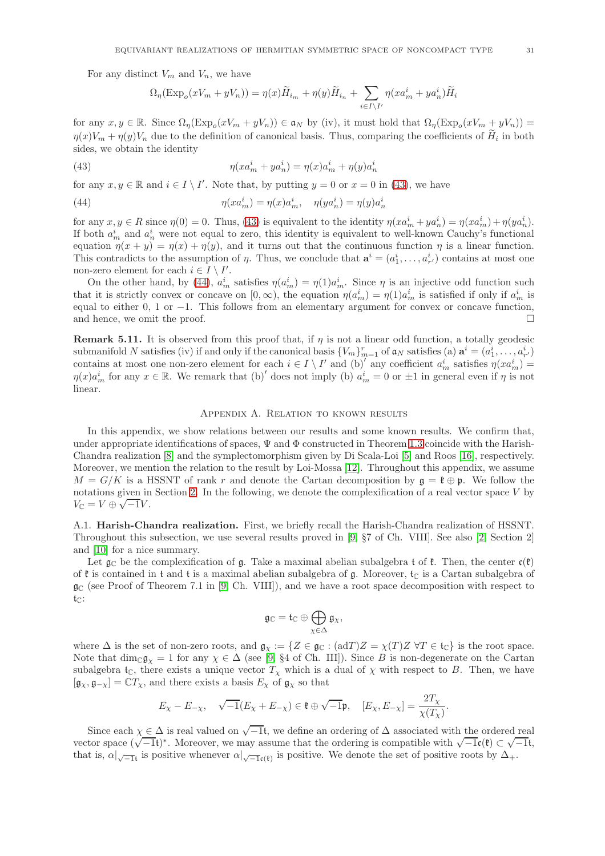For any distinct  $V_m$  and  $V_n$ , we have

$$
\Omega_{\eta}(\text{Exp}_o(xV_m + yV_n)) = \eta(x)\widetilde{H}_{i_m} + \eta(y)\widetilde{H}_{i_n} + \sum_{i \in I \setminus I'} \eta(xa_m^i + ya_n^i)\widetilde{H}_i
$$

for any  $x, y \in \mathbb{R}$ . Since  $\Omega_{\eta}(\text{Exp}_{o}(xV_m + yV_n)) \in \mathfrak{a}_N$  by (iv), it must hold that  $\Omega_{\eta}(\text{Exp}_{o}(xV_m + yV_n)) =$  $\eta(x)V_m + \eta(y)V_n$  due to the definition of canonical basis. Thus, comparing the coefficients of  $H_i$  in both sides, we obtain the identity

<span id="page-30-1"></span>(43) 
$$
\eta(xa_m^i + ya_n^i) = \eta(x)a_m^i + \eta(y)a_n^i
$$

for any  $x, y \in \mathbb{R}$  and  $i \in I \setminus I'$ . Note that, by putting  $y = 0$  or  $x = 0$  in [\(43\)](#page-30-1), we have

<span id="page-30-2"></span>(44) 
$$
\eta(xa_m^i) = \eta(x)a_m^i, \quad \eta(ya_n^i) = \eta(y)a_n^i
$$

for any  $x, y \in R$  since  $\eta(0) = 0$ . Thus, [\(43\)](#page-30-1) is equivalent to the identity  $\eta(xa_m^i + ya_n^i) = \eta(xa_m^i) + \eta(ya_n^i)$ . If both  $a_m^i$  and  $a_n^i$  were not equal to zero, this identity is equivalent to well-known Cauchy's functional equation  $\eta(x + y) = \eta(x) + \eta(y)$ , and it turns out that the continuous function  $\eta$  is a linear function. This contradicts to the assumption of  $\eta$ . Thus, we conclude that  $\mathbf{a}^i = (a_1^i, \dots, a_{r'}^i)$  contains at most one non-zero element for each  $i \in I \setminus I'$ .

On the other hand, by [\(44\)](#page-30-2),  $a_m^i$  satisfies  $\eta(a_m^i) = \eta(1)a_m^i$ . Since  $\eta$  is an injective odd function such that it is strictly convex or concave on  $[0, \infty)$ , the equation  $\eta(a_m^i) = \eta(1)a_m^i$  is satisfied if only if  $a_m^i$  is equal to either 0, 1 or −1. This follows from an elementary argument for convex or concave function, and hence we omit the proof and hence, we omit the proof.

**Remark 5.11.** It is observed from this proof that, if  $\eta$  is not a linear odd function, a totally geodesic submanifold N satisfies (iv) if and only if the canonical basis  ${V_m}_{m=1}^r$  of  $\mathfrak{a}_N$  satisfies (a)  $\mathbf{a}^i = (a_1^i, \ldots, a_{r'}^i)$ contains at most one non-zero element for each  $i \in I \setminus I'$  and  $(b)'$  any coefficient  $a_m^i$  satisfies  $\eta(xa_m^i)$  $\eta(x)a_m^i$  for any  $x \in \mathbb{R}$ . We remark that (b)' does not imply (b)  $a_m^i = 0$  or  $\pm 1$  in general even if  $\eta$  is not linear.

#### Appendix A. Relation to known results

In this appendix, we show relations between our results and some known results. We confirm that, under appropriate identifications of spaces,  $\Psi$  and  $\Phi$  constructed in Theorem [1.3](#page-2-0) coincide with the Harish-Chandra realization [\[8\]](#page-36-0) and the symplectomorphism given by Di Scala-Loi [\[5\]](#page-35-1) and Roos [\[16\]](#page-36-3), respectively. Moreover, we mention the relation to the result by Loi-Mossa [\[12\]](#page-36-5). Throughout this appendix, we assume  $M = G/K$  is a HSSNT of rank r and denote the Cartan decomposition by  $\mathfrak{g} = \mathfrak{k} \oplus \mathfrak{p}$ . We follow the notations given in Section [2.](#page-5-0) In the following, we denote the complexification of a real vector space V by  $V_{\mathbb{C}} = V \oplus \sqrt{-1}V.$ 

<span id="page-30-0"></span>A.1. Harish-Chandra realization. First, we briefly recall the Harish-Chandra realization of HSSNT. Throughout this subsection, we use several results proved in [\[9,](#page-36-1) §7 of Ch. VIII]. See also [\[2,](#page-35-6) Section 2] and [\[10\]](#page-36-12) for a nice summary.

Let  $\mathfrak{g}_{\mathbb{C}}$  be the complexification of  $\mathfrak{g}$ . Take a maximal abelian subalgebra t of  $\mathfrak{k}$ . Then, the center  $\mathfrak{c}(\mathfrak{k})$ of  $\mathfrak k$  is contained in  $\mathfrak t$  and  $\mathfrak t$  is a maximal abelian subalgebra of  $\mathfrak g$ . Moreover,  $\mathfrak t_{\mathbb C}$  is a Cartan subalgebra of  $\mathfrak{g}_{\mathbb{C}}$  (see Proof of Theorem 7.1 in [\[9,](#page-36-1) Ch. VIII]), and we have a root space decomposition with respect to  $t_{\mathbb{C}}$ :

$$
\mathfrak{g}_\mathbb{C}=\mathfrak{t}_\mathbb{C}\oplus\bigoplus_{\chi\in\Delta}\mathfrak{g}_\chi,
$$

where  $\Delta$  is the set of non-zero roots, and  $\mathfrak{g}_{\chi} := \{ Z \in \mathfrak{g}_{\mathbb{C}} : (\text{ad}T)Z = \chi(T)Z \,\forall T \in \mathfrak{t}_{\mathbb{C}} \}$  is the root space. Note that  $\dim_{\mathbb{C}} \mathfrak{g}_{\gamma} = 1$  for any  $\chi \in \Delta$  (see [\[9,](#page-36-1) §4 of Ch. III]). Since B is non-degenerate on the Cartan subalgebra t<sub>C</sub>, there exists a unique vector  $T<sub>\chi</sub>$  which is a dual of  $\chi$  with respect to B. Then, we have  $[\mathfrak{g}_{\chi}, \mathfrak{g}_{-\chi}] = \mathbb{C}T_{\chi}$ , and there exists a basis  $E_{\chi}$  of  $\mathfrak{g}_{\chi}$  so that

$$
E_{\chi}-E_{-\chi},\quad \sqrt{-1}(E_{\chi}+E_{-\chi})\in \mathfrak{k}\oplus \sqrt{-1}\mathfrak{p},\quad [E_{\chi},E_{-\chi}]=\frac{2T_{\chi}}{\chi(T_{\chi})}.
$$

Since each  $\chi \in \Delta$  is real valued on  $\sqrt{-1}$ t, we define an ordering of  $\Delta$  associated with the ordered real vector space  $(\sqrt{-1}t)^*$ . Moreover, we may assume that the ordering is compatible with  $\sqrt{-1}c(\ell) \subset \sqrt{-1}t$ , that is,  $\alpha|_{\sqrt{-1}t}$  is positive whenever  $\alpha|_{\sqrt{-1}t}$  is positive. We denote the set of positive roots by  $\Delta_+$ .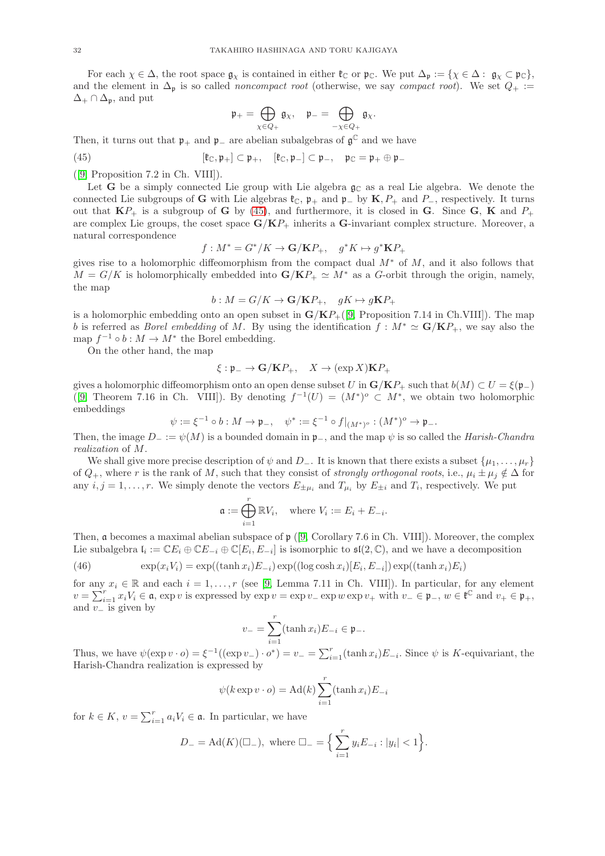For each  $\chi \in \Delta$ , the root space  $\mathfrak{g}_{\chi}$  is contained in either  $\mathfrak{k}_{\mathbb{C}}$  or  $\mathfrak{p}_{\mathbb{C}}$ . We put  $\Delta_{\mathfrak{p}} := {\chi \in \Delta : \mathfrak{g}_{\chi} \subset \mathfrak{p}_{\mathbb{C}}}$ , and the element in  $\Delta_p$  is so called *noncompact root* (otherwise, we say *compact root*). We set  $Q_+ :=$  $\Delta_+ \cap \Delta_{\mathfrak{p}}$ , and put

$$
\mathfrak{p}_+=\bigoplus_{\chi\in Q_+}\mathfrak{g}_\chi,\quad \mathfrak{p}_-=\bigoplus_{-\chi\in Q_+}\mathfrak{g}_\chi.
$$

Then, it turns out that  $\mathfrak{p}_+$  and  $\mathfrak{p}_-$  are abelian subalgebras of  $\mathfrak{g}^\mathbb{C}$  and we have

<span id="page-31-0"></span>(45) 
$$
[\mathfrak{k}_{\mathbb{C}}, \mathfrak{p}_{+}] \subset \mathfrak{p}_{+}, \quad [\mathfrak{k}_{\mathbb{C}}, \mathfrak{p}_{-}] \subset \mathfrak{p}_{-}, \quad \mathfrak{p}_{\mathbb{C}} = \mathfrak{p}_{+} \oplus \mathfrak{p}_{-}
$$

([\[9,](#page-36-1) Proposition 7.2 in Ch. VIII]).

Let G be a simply connected Lie group with Lie algebra  $\mathfrak{g}_{\mathbb{C}}$  as a real Lie algebra. We denote the connected Lie subgroups of G with Lie algebras  $\mathfrak{k}_\mathbb{C}$ ,  $\mathfrak{p}_+$  and  $\mathfrak{p}_-$  by  $\mathbf{K}, P_+$  and  $P_-$ , respectively. It turns out that  $\mathbf{K}P_+$  is a subgroup of **G** by [\(45\)](#page-31-0), and furthermore, it is closed in **G**. Since **G**, **K** and  $P_+$ are complex Lie groups, the coset space  $G/KP_+$  inherits a G-invariant complex structure. Moreover, a natural correspondence

$$
f: M^* = G^*/K \to \mathbf{G/KP_+}, \quad g^*K \mapsto g^*\mathbf{KP_+}
$$

gives rise to a holomorphic diffeomorphism from the compact dual  $M^*$  of M, and it also follows that  $M = G/K$  is holomorphically embedded into  $G/KP_+ \simeq M^*$  as a G-orbit through the origin, namely, the map

$$
b: M = G/K \to \mathbf{G/KP_+}, \quad gK \mapsto g\mathbf{KP_+}
$$

is a holomorphic embedding onto an open subset in  $G/KP_+([9, Proposition 7.14$  $G/KP_+([9, Proposition 7.14$  $G/KP_+([9, Proposition 7.14$  in Ch.VIII]). The map b is referred as *Borel embedding* of M. By using the identification  $f : M^* \simeq G/KP_+$ , we say also the map  $f^{-1} \circ b : M \to M^*$  the Borel embedding.

On the other hand, the map

$$
\xi: \mathfrak{p}_- \to \mathbf{G}/\mathbf{K}P_+, \quad X \to (\exp X)\mathbf{K}P_+
$$

gives a holomorphic diffeomorphism onto an open dense subset U in  $\mathbf{G}/\mathbf{K}P_+$  such that  $b(M) \subset U = \mathcal{E}(\mathfrak{p}_-)$ ([\[9,](#page-36-1) Theorem 7.16 in Ch. VIII]). By denoting  $f^{-1}(U) = (M^*)^{\circ} \subset M^*$ , we obtain two holomorphic embeddings

$$
\psi := \xi^{-1} \circ b : M \to \mathfrak{p}_{-}, \quad \psi^* := \xi^{-1} \circ f|_{(M^*)^o} : (M^*)^o \to \mathfrak{p}_{-}.
$$

Then, the image  $D_- := \psi(M)$  is a bounded domain in  $\mathfrak{p}_-,$  and the map  $\psi$  is so called the *Harish-Chandra* realization of M.

We shall give more precise description of  $\psi$  and D<sub>−</sub>. It is known that there exists a subset  $\{\mu_1, \ldots, \mu_r\}$ of  $Q_+$ , where r is the rank of M, such that they consist of *strongly orthogonal roots*, i.e.,  $\mu_i \pm \mu_j \notin \Delta$  for any  $i, j = 1, \ldots, r$ . We simply denote the vectors  $E_{\pm \mu_i}$  and  $T_{\mu_i}$  by  $E_{\pm i}$  and  $T_i$ , respectively. We put

$$
\mathfrak{a} := \bigoplus_{i=1}^r \mathbb{R} V_i, \quad \text{where } V_i := E_i + E_{-i}.
$$

Then, a becomes a maximal abelian subspace of p ([\[9,](#page-36-1) Corollary 7.6 in Ch. VIII]). Moreover, the complex Lie subalgebra  $\mathfrak{l}_i := \mathbb{C} E_i \oplus \mathbb{C} E_{-i} \oplus \mathbb{C} [E_i, E_{-i}]$  is isomorphic to  $\mathfrak{sl}(2, \mathbb{C})$ , and we have a decomposition

<span id="page-31-1"></span>(46) 
$$
\exp(x_i V_i) = \exp((\tanh x_i) E_{-i}) \exp((\log \cosh x_i) [E_i, E_{-i}]) \exp((\tanh x_i) E_i)
$$

for any  $x_i \in \mathbb{R}$  and each  $i = 1, \ldots, r$  (see [\[9,](#page-36-1) Lemma 7.11 in Ch. VIII]). In particular, for any element  $v = \sum_{i=1}^r x_i V_i \in \mathfrak{a}$ , exp v is expressed by  $\exp v = \exp v - \exp w \exp v + \text{ with } v - \in \mathfrak{p}_-, w \in \mathfrak{k}^\mathbb{C}$  and  $v_+ \in \mathfrak{p}_+,$ and  $v_$  is given by

$$
v_{-} = \sum_{i=1}^{r} (\tanh x_i) E_{-i} \in \mathfrak{p}_{-}.
$$

Thus, we have  $\psi(\exp v \cdot o) = \xi^{-1}((\exp v_-) \cdot o^*) = v_- = \sum_{i=1}^r (\tanh x_i) E_{-i}$ . Since  $\psi$  is K-equivariant, the Harish-Chandra realization is expressed by

$$
\psi(k \exp v \cdot o) = \mathrm{Ad}(k) \sum_{i=1}^{r} (\tanh x_i) E_{-i}
$$

for  $k \in K$ ,  $v = \sum_{i=1}^r a_i V_i \in \mathfrak{a}$ . In particular, we have

$$
D_{-} = \text{Ad}(K)(\Box_{-}), \text{ where } \Box_{-} = \Big\{ \sum_{i=1}^{r} y_i E_{-i} : |y_i| < 1 \Big\}.
$$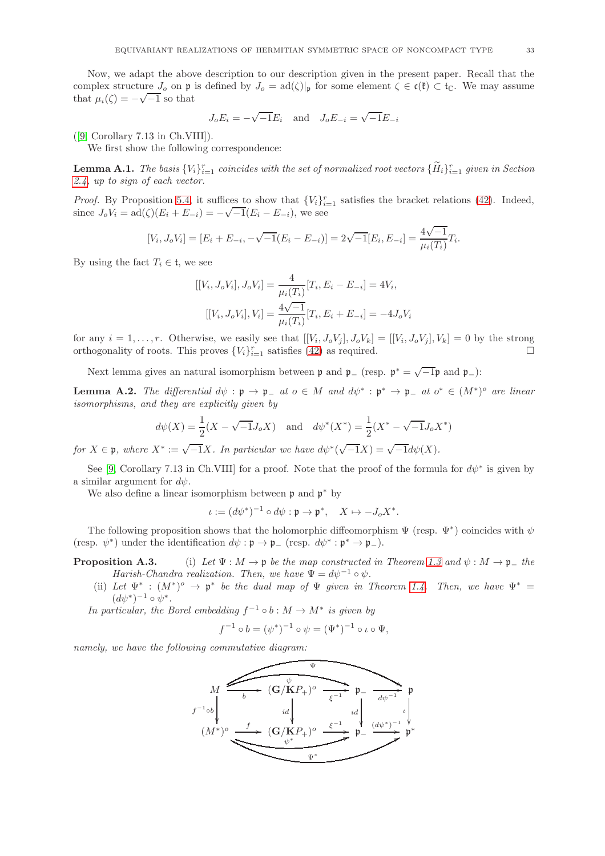Now, we adapt the above description to our description given in the present paper. Recall that the complex structure  $J_0$  on p is defined by  $J_0 = \text{ad}(\zeta)|_p$  for some element  $\zeta \in \mathfrak{c}(\mathfrak{k}) \subset \mathfrak{t}_\mathbb{C}$ . We may assume that  $\mu_i(\zeta) = -\sqrt{-1}$  so that

$$
J_oE_i=-\sqrt{-1}E_i\quad\text{and}\quad J_oE_{-i}=\sqrt{-1}E_{-i}
$$

 $([9, Corollary 7.13 in Ch.VIII]).$  $([9, Corollary 7.13 in Ch.VIII]).$  $([9, Corollary 7.13 in Ch.VIII]).$ 

We first show the following correspondence:

<span id="page-32-0"></span>**Lemma A.1.** The basis  $\{V_i\}_{i=1}^r$  coincides with the set of normalized root vectors  $\{\tilde{H}_i\}_{i=1}^r$  given in Section [2.4,](#page-8-4) up to sign of each vector.

*Proof.* By Proposition [5.4,](#page-26-4) it suffices to show that  $\{V_i\}_{i=1}^r$  satisfies the bracket relations [\(42\)](#page-26-2). Indeed, since  $J_o V_i = \text{ad}(\zeta)(E_i + E_{-i}) = -\sqrt{-1}(E_i - E_{-i}),$  we see

$$
[V_i, J_o V_i] = [E_i + E_{-i}, -\sqrt{-1}(E_i - E_{-i})] = 2\sqrt{-1}[E_i, E_{-i}] = \frac{4\sqrt{-1}}{\mu_i(T_i)}T_i.
$$

By using the fact  $T_i \in \mathfrak{t}$ , we see

$$
[[V_i, J_o V_i], J_o V_i] = \frac{4}{\mu_i(T_i)} [T_i, E_i - E_{-i}] = 4V_i,
$$
  

$$
[[V_i, J_o V_i], V_i] = \frac{4\sqrt{-1}}{\mu_i(T_i)} [T_i, E_i + E_{-i}] = -4J_o V_i
$$

for any  $i = 1, \ldots, r$ . Otherwise, we easily see that  $[[V_i, J_o V_j], J_o V_k] = [[V_i, J_o V_j], V_k] = 0$  by the strong orthogonality of roots. This proves  ${V_i}_{i=1}^r$  satisfies [\(42\)](#page-26-2) as required.

Next lemma gives an natural isomorphism between  $\mathfrak p$  and  $\mathfrak p_-\,$  (resp.  $\mathfrak p^*=\sqrt{-1}\mathfrak p$  and  $\mathfrak p_-\,$ ):

**Lemma A.2.** The differential  $d\psi : \mathfrak{p} \to \mathfrak{p}_{-}$  at  $o \in M$  and  $d\psi^* : \mathfrak{p}^* \to \mathfrak{p}_{-}$  at  $o^* \in (M^*)^o$  are linear isomorphisms, and they are explicitly given by

$$
d\psi(X) = \frac{1}{2}(X - \sqrt{-1}J_oX)
$$
 and  $d\psi^*(X^*) = \frac{1}{2}(X^* - \sqrt{-1}J_oX^*)$ 

for  $X \in \mathfrak{p}$ , where  $X^* := \sqrt{-1}X$ . In particular we have  $d\psi^*(\sqrt{-1}X) = \sqrt{-1}d\psi(X)$ .

See [\[9,](#page-36-1) Corollary 7.13 in Ch.VIII] for a proof. Note that the proof of the formula for  $d\psi^*$  is given by a similar argument for  $d\psi$ .

We also define a linear isomorphism between  $\mathfrak p$  and  $\mathfrak p^*$  by

 $\iota := (d\psi^*)^{-1} \circ d\psi : \mathfrak{p} \to \mathfrak{p}^*, \quad X \mapsto -J_o X^*.$ 

The following proposition shows that the holomorphic diffeomorphism  $\Psi$  (resp.  $\Psi^*$ ) coincides with  $\psi$ (resp.  $\psi^*$ ) under the identification  $d\psi : \mathfrak{p} \to \mathfrak{p}_-$  (resp.  $d\psi^* : \mathfrak{p}^* \to \mathfrak{p}_-$ ).

## **Proposition A.3.** (i) Let  $\Psi : M \to \mathfrak{p}$  be the map constructed in Theorem [1.3](#page-2-0) and  $\psi : M \to \mathfrak{p}_-$  the Harish-Chandra realization. Then, we have  $\Psi = d\psi^{-1} \circ \psi$ .

(ii) Let  $\Psi^* : (M^*)^o \to \mathfrak{p}^*$  be the dual map of  $\Psi$  given in Theorem [1.4.](#page-3-0) Then, we have  $\Psi^* =$  $(d\psi^*)^{-1} \circ \psi^*.$ 

In particular, the Borel embedding  $f^{-1} \circ b : M \to M^*$  is given by

$$
f^{-1} \circ b = (\psi^*)^{-1} \circ \psi = (\Psi^*)^{-1} \circ \iota \circ \Psi,
$$

namely, we have the following commutative diagram:

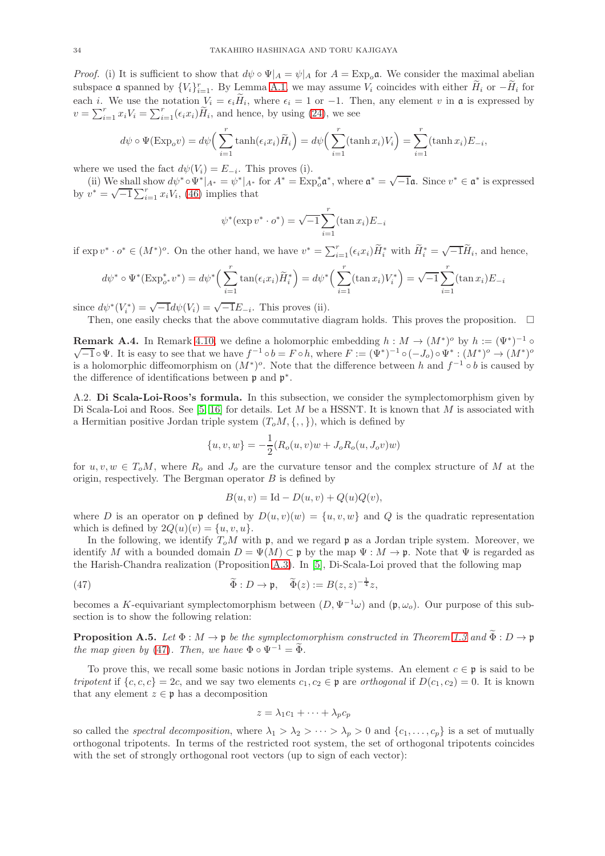*Proof.* (i) It is sufficient to show that  $d\psi \circ \Psi|_A = \psi|_A$  for  $A = \text{Exp}_o \mathfrak{a}$ . We consider the maximal abelian subspace  $\mathfrak a$  spanned by  $\{V_i\}_{i=1}^r$ . By Lemma [A.1,](#page-32-0) we may assume  $V_i$  coincides with either  $\widetilde{H}_i$  or  $-\widetilde{H}_i$  for each *i*. We use the notation  $V_i = \epsilon_i H_i$ , where  $\epsilon_i = 1$  or  $-1$ . Then, any element v in **a** is expressed by  $v = \sum_{i=1}^r x_i V_i = \sum_{i=1}^r (\epsilon_i x_i) \widetilde{H}_i$ , and hence, by using [\(24\)](#page-17-1), we see

$$
d\psi \circ \Psi(\text{Exp}_o v) = d\psi \left( \sum_{i=1}^r \tanh(\epsilon_i x_i) \widetilde{H}_i \right) = d\psi \left( \sum_{i=1}^r (\tanh x_i) V_i \right) = \sum_{i=1}^r (\tanh x_i) E_{-i},
$$

where we used the fact  $d\psi(V_i) = E_{-i}$ . This proves (i).

(ii) We shall show  $d\psi^* \circ \Psi^*|_{A^*} = \psi^*|_{A^*}$  for  $A^* = \text{Exp}_o^* \mathfrak{a}^*$ , where  $\mathfrak{a}^* = \sqrt{-1} \mathfrak{a}$ . Since  $v^* \in \mathfrak{a}^*$  is expressed by  $v^* = \sqrt{-1} \sum_{i=1}^r x_i V_i$ , [\(46\)](#page-31-1) implies that

$$
\psi^*(\exp v^* \cdot o^*) = \sqrt{-1} \sum_{i=1}^r (\tan x_i) E_{-i}
$$

if  $\exp v^* \cdot o^* \in (M^*)^o$ . On the other hand, we have  $v^* = \sum_{i=1}^r (\epsilon_i x_i) \widetilde{H}_i^*$  with  $\widetilde{H}_i^* = \sqrt{-1} \widetilde{H}_i$ , and hence,

$$
d\psi^* \circ \Psi^*(\text{Exp}_{o^*}^* v^*) = d\psi^* \left( \sum_{i=1}^r \tan(\epsilon_i x_i) \widetilde{H}_i^* \right) = d\psi^* \left( \sum_{i=1}^r (\tan x_i) V_i^* \right) = \sqrt{-1} \sum_{i=1}^r (\tan x_i) E_{-i}
$$

since  $d\psi^*(V_i^*) = \sqrt{-1}d\psi(V_i) = \sqrt{-1}E_{-i}$ . This proves (ii).

Then, one easily checks that the above commutative diagram holds. This proves the proposition.  $\Box$ 

<span id="page-33-1"></span>**Remark A.4.** In Remark [4.10,](#page-23-1) we define a holomorphic embedding  $h : M \to (M^*)^o$  by  $h := (\Psi^*)^{-1} \circ$  $\overline{-1} \circ \Psi$ . It is easy to see that we have  $f^{-1} \circ b = F \circ h$ , where  $F := (\Psi^*)^{-1} \circ (-J_o) \circ \Psi^* : (M^*)^o \to (M^*)^o$ is a holomorphic diffeomorphism on  $(M^*)^o$ . Note that the difference between h and  $f^{-1} \circ b$  is caused by the difference of identifications between  $\mathfrak p$  and  $\mathfrak p^*$ .

<span id="page-33-0"></span>A.2. Di Scala-Loi-Roos's formula. In this subsection, we consider the symplectomorphism given by Di Scala-Loi and Roos. See  $[5, 16]$  $[5, 16]$  for details. Let M be a HSSNT. It is known that M is associated with a Hermitian positive Jordan triple system  $(T_0M, \{ , , \})$ , which is defined by

$$
\{u, v, w\} = -\frac{1}{2}(R_o(u, v)w + J_oR_o(u, J_o v)w)
$$

for  $u, v, w \in T_0M$ , where  $R_0$  and  $J_0$  are the curvature tensor and the complex structure of M at the origin, respectively. The Bergman operator  $B$  is defined by

$$
B(u, v) = \mathrm{Id} - D(u, v) + Q(u)Q(v),
$$

where D is an operator on p defined by  $D(u, v)(w) = \{u, v, w\}$  and Q is the quadratic representation which is defined by  $2Q(u)(v) = \{u, v, u\}.$ 

In the following, we identify  $T_0M$  with p, and we regard p as a Jordan triple system. Moreover, we identify M with a bounded domain  $D = \Psi(M) \subset \mathfrak{p}$  by the map  $\Psi : M \to \mathfrak{p}$ . Note that  $\Psi$  is regarded as the Harish-Chandra realization (Proposition A.3). In [\[5\]](#page-35-1), Di-Scala-Loi proved that the following map

<span id="page-33-2"></span>(47) 
$$
\widetilde{\Phi}: D \to \mathfrak{p}, \quad \widetilde{\Phi}(z) := B(z, z)^{-\frac{1}{4}}z,
$$

becomes a K-equivariant symplectomorphism between  $(D, \Psi^{-1}\omega)$  and  $(\mathfrak{p}, \omega_o)$ . Our purpose of this subsection is to show the following relation:

<span id="page-33-3"></span>**Proposition A.5.** Let  $\Phi : M \to \mathfrak{p}$  be the symplectomorphism constructed in Theorem [1.3](#page-2-0) and  $\widetilde{\Phi} : D \to \mathfrak{p}$ the map given by [\(47\)](#page-33-2). Then, we have  $\Phi \circ \Psi^{-1} = \widetilde{\Phi}$ .

To prove this, we recall some basic notions in Jordan triple systems. An element  $c \in \mathfrak{p}$  is said to be tripotent if  $\{c, c, c\} = 2c$ , and we say two elements  $c_1, c_2 \in \mathfrak{p}$  are orthogonal if  $D(c_1, c_2) = 0$ . It is known that any element  $z \in \mathfrak{p}$  has a decomposition

$$
z = \lambda_1 c_1 + \dots + \lambda_p c_p
$$

so called the *spectral decomposition*, where  $\lambda_1 > \lambda_2 > \cdots > \lambda_p > 0$  and  $\{c_1, \ldots, c_p\}$  is a set of mutually orthogonal tripotents. In terms of the restricted root system, the set of orthogonal tripotents coincides with the set of strongly orthogonal root vectors (up to sign of each vector):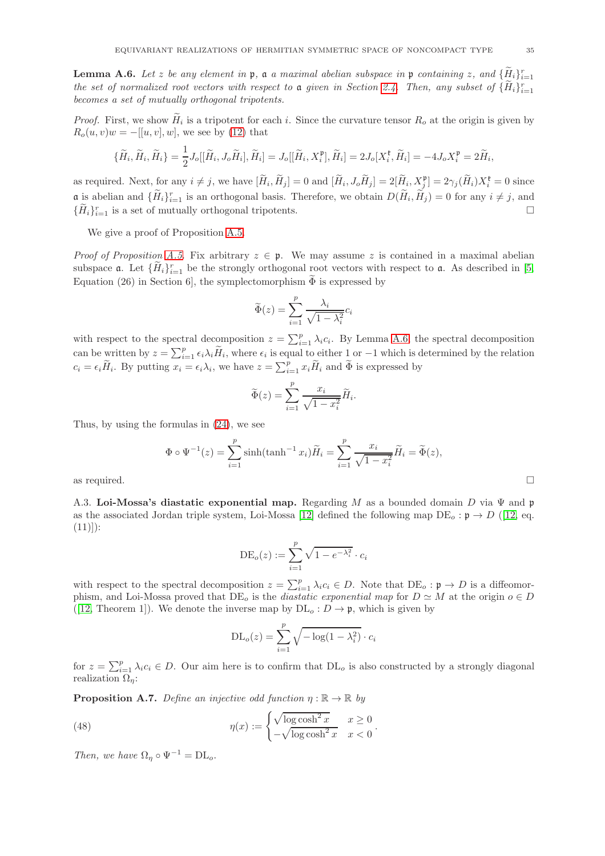<span id="page-34-1"></span>**Lemma A.6.** Let z be any element in  $\mathfrak{p}$ , a a maximal abelian subspace in  $\mathfrak{p}$  containing z, and  $\{\tilde{H}_i\}_{i=1}^r$ the set of normalized root vectors with respect to a given in Section [2.4.](#page-8-4) Then, any subset of  $\{\tilde{H}_i\}_{i=1}^r$ becomes a set of mutually orthogonal tripotents.

*Proof.* First, we show  $H_i$  is a tripotent for each i. Since the curvature tensor  $R_o$  at the origin is given by  $R_o(u, v)w = -[[u, v], w]$ , we see by [\(12\)](#page-9-1) that

$$
\{\widetilde{H}_i, \widetilde{H}_i, \widetilde{H}_i\} = \frac{1}{2} J_o[[\widetilde{H}_i, J_o \widetilde{H}_i], \widetilde{H}_i] = J_o[[\widetilde{H}_i, X_i^{\mathfrak{p}}], \widetilde{H}_i] = 2 J_o[X_i^{\mathfrak{k}}, \widetilde{H}_i] = -4 J_o X_i^{\mathfrak{p}} = 2 \widetilde{H}_i,
$$

as required. Next, for any  $i \neq j$ , we have  $[\widetilde{H}_i, \widetilde{H}_j] = 0$  and  $[\widetilde{H}_i, J_o \widetilde{H}_j] = 2[\widetilde{H}_i, X_j^{\mathfrak{p}}] = 2\gamma_j(\widetilde{H}_i)X_i^{\mathfrak{k}} = 0$  since  $\mathfrak{a}$  is abelian and  $\{\tilde{H}_i\}_{i=1}^r$  is an orthogonal basis. Therefore, we obtain  $D(\tilde{H}_i, \tilde{H}_j) = 0$  for any  $i \neq j$ , and  $\{\widetilde{H}_i\}_{i=1}^r$  is a set of mutually orthogonal tripotents.

We give a proof of Proposition [A.5.](#page-33-3)

*Proof of Proposition [A.5.](#page-33-3)* Fix arbitrary  $z \in \mathfrak{p}$ . We may assume z is contained in a maximal abelian subspace **a**. Let  ${\{\widetilde{H}_i\}}_{i=1}^r$  be the strongly orthogonal root vectors with respect to **a**. As described in [\[5,](#page-35-1) Equation (26) in Section 6, the symplectomorphism  $\Phi$  is expressed by

$$
\widetilde{\Phi}(z) = \sum_{i=1}^{p} \frac{\lambda_i}{\sqrt{1 - \lambda_i^2}} c_i
$$

with respect to the spectral decomposition  $z = \sum_{i=1}^{p} \lambda_i c_i$ . By Lemma [A.6,](#page-34-1) the spectral decomposition can be written by  $z = \sum_{i=1}^p \epsilon_i \lambda_i \widetilde{H}_i$ , where  $\epsilon_i$  is equal to either 1 or  $-1$  which is determined by the relation  $c_i = \epsilon_i \widetilde{H}_i$ . By putting  $x_i = \epsilon_i \lambda_i$ , we have  $z = \sum_{i=1}^p x_i \widetilde{H}_i$  and  $\widetilde{\Phi}$  is expressed by

$$
\widetilde{\Phi}(z) = \sum_{i=1}^{p} \frac{x_i}{\sqrt{1 - x_i^2}} \widetilde{H}_i.
$$

Thus, by using the formulas in [\(24\)](#page-17-1), we see

$$
\Phi \circ \Psi^{-1}(z) = \sum_{i=1}^{p} \sinh(\tanh^{-1} x_i) \widetilde{H}_i = \sum_{i=1}^{p} \frac{x_i}{\sqrt{1 - x_i^2}} \widetilde{H}_i = \widetilde{\Phi}(z),
$$
 as required.

<span id="page-34-0"></span>

A.3. Loi-Mossa's diastatic exponential map. Regarding M as a bounded domain D via  $\Psi$  and p as the associated Jordan triple system, Loi-Mossa [\[12\]](#page-36-5) defined the following map  $DE<sub>o</sub> : \mathfrak{p} \to D$  ([\[12,](#page-36-5) eq.  $(11))$ :

$$
\mathrm{DE}_o(z) := \sum_{i=1}^p \sqrt{1 - e^{-\lambda_i^2}} \cdot c_i
$$

with respect to the spectral decomposition  $z = \sum_{i=1}^{p} \lambda_i c_i \in D$ . Note that  $DE_o: \mathfrak{p} \to D$  is a diffeomorphism, and Loi-Mossa proved that  $DE_o$  is the *diastatic exponential map* for  $D \simeq M$  at the origin  $o \in D$ ([\[12,](#page-36-5) Theorem 1]). We denote the inverse map by  $DL<sub>o</sub> : D \rightarrow \mathfrak{p}$ , which is given by

$$
DL_o(z) = \sum_{i=1}^{p} \sqrt{-\log(1 - \lambda_i^2)} \cdot c_i
$$

for  $z = \sum_{i=1}^{p} \lambda_i c_i \in D$ . Our aim here is to confirm that  $DL<sub>o</sub>$  is also constructed by a strongly diagonal realization  $\Omega_n$ :

**Proposition A.7.** Define an injective odd function  $\eta : \mathbb{R} \to \mathbb{R}$  by

<span id="page-34-2"></span>(48) 
$$
\eta(x) := \begin{cases} \sqrt{\log \cosh^2 x} & x \ge 0 \\ -\sqrt{\log \cosh^2 x} & x < 0 \end{cases}.
$$

Then, we have  $\Omega_n \circ \Psi^{-1} = \mathrm{DL}_o$ .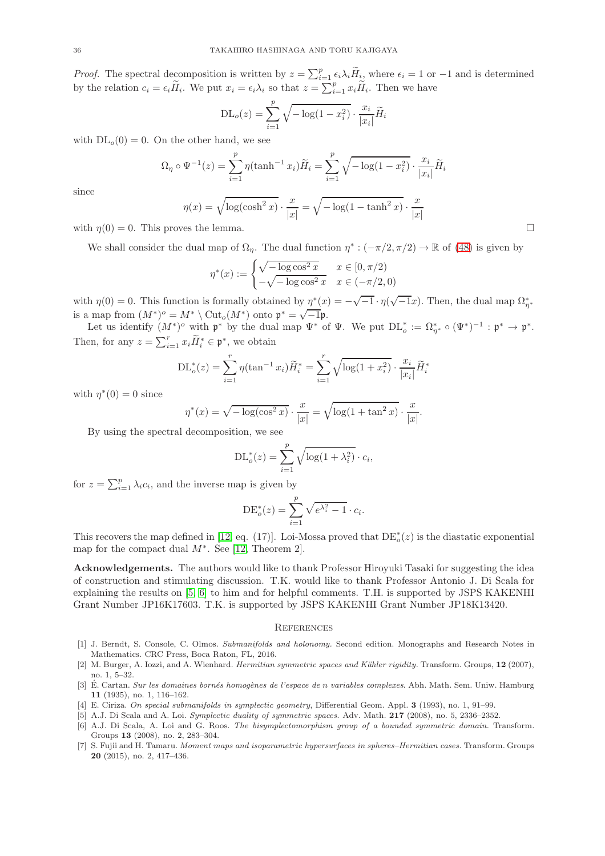*Proof.* The spectral decomposition is written by  $z = \sum_{i=1}^{p} \epsilon_i \lambda_i \widetilde{H}_{i}$ , where  $\epsilon_i = 1$  or  $-1$  and is determined by the relation  $c_i = \epsilon_i \widetilde{H}_i$ . We put  $x_i = \epsilon_i \lambda_i$  so that  $z = \sum_{i=1}^p x_i \widetilde{H}_i$ . Then we have

$$
DL_o(z) = \sum_{i=1}^{p} \sqrt{-\log(1 - x_i^2)} \cdot \frac{x_i}{|x_i|} \widetilde{H}_i
$$

with  $DL<sub>o</sub>(0) = 0$ . On the other hand, we see

$$
\Omega_{\eta} \circ \Psi^{-1}(z) = \sum_{i=1}^{p} \eta(\tanh^{-1} x_i) \widetilde{H}_i = \sum_{i=1}^{p} \sqrt{-\log(1 - x_i^2)} \cdot \frac{x_i}{|x_i|} \widetilde{H}_i
$$

$$
p(x) = \sqrt{\log(\cosh^2 x)} \quad x = \sqrt{-\log(1 - \tanh^2 x)} \quad x
$$

since

$$
\eta(x) = \sqrt{\log(\cosh^2 x) \cdot \frac{x}{|x|}} = \sqrt{-\log(1 - \tanh^2 x) \cdot \frac{x}{|x|}}
$$

with  $\eta(0) = 0$ . This proves the lemma.

We shall consider the dual map of  $\Omega_{\eta}$ . The dual function  $\eta^*: (-\pi/2, \pi/2) \to \mathbb{R}$  of [\(48\)](#page-34-2) is given by

$$
\eta^*(x) := \begin{cases} \sqrt{-\log \cos^2 x} & x \in [0, \pi/2) \\ -\sqrt{-\log \cos^2 x} & x \in (-\pi/2, 0) \end{cases}
$$

with  $\eta(0) = 0$ . This function is formally obtained by  $\eta^*(x) = -\sqrt{-1} \cdot \eta(\sqrt{-1}x)$ . Then, the dual map  $\Omega_{\eta^*}^*$ is a map from  $(M^*)^o = M^* \setminus \text{Cut}_o(M^*)$  onto  $\mathfrak{p}^* = \sqrt{-1}\mathfrak{p}$ .

Let us identify  $(M^*)^o$  with  $\mathfrak{p}^*$  by the dual map  $\Psi^*$  of  $\Psi$ . We put  $DL_o^* := \Omega_{\eta^*}^* \circ (\Psi^*)^{-1} : \mathfrak{p}^* \to \mathfrak{p}^*.$ Then, for any  $z = \sum_{i=1}^r x_i \widetilde{H}_i^* \in \mathfrak{p}^*$ , we obtain

$$
DL_o^*(z) = \sum_{i=1}^r \eta(\tan^{-1} x_i) \widetilde{H}_i^* = \sum_{i=1}^r \sqrt{\log(1 + x_i^2)} \cdot \frac{x_i}{|x_i|} \widetilde{H}_i^*
$$

with  $\eta^*(0) = 0$  since

$$
\eta^*(x) = \sqrt{-\log(\cos^2 x)} \cdot \frac{x}{|x|} = \sqrt{\log(1 + \tan^2 x)} \cdot \frac{x}{|x|}.
$$

By using the spectral decomposition, we see

$$
\mathrm{DL}_o^*(z) = \sum_{i=1}^p \sqrt{\log(1 + \lambda_i^2)} \cdot c_i,
$$

for  $z = \sum_{i=1}^{p} \lambda_i c_i$ , and the inverse map is given by

$$
DE_o^*(z) = \sum_{i=1}^p \sqrt{e^{\lambda_i^2} - 1} \cdot c_i.
$$

This recovers the map defined in [\[12,](#page-36-5) eq. (17)]. Loi-Mossa proved that  $DE^*_{o}(z)$  is the diastatic exponential map for the compact dual  $M^*$ . See [\[12,](#page-36-5) Theorem 2].

Acknowledgements. The authors would like to thank Professor Hiroyuki Tasaki for suggesting the idea of construction and stimulating discussion. T.K. would like to thank Professor Antonio J. Di Scala for explaining the results on [\[5,](#page-35-1) [6\]](#page-35-2) to him and for helpful comments. T.H. is supported by JSPS KAKENHI Grant Number JP16K17603. T.K. is supported by JSPS KAKENHI Grant Number JP18K13420.

### **REFERENCES**

- <span id="page-35-3"></span>[1] J. Berndt, S. Console, C. Olmos. Submanifolds and holonomy. Second edition. Monographs and Research Notes in Mathematics. CRC Press, Boca Raton, FL, 2016.
- <span id="page-35-6"></span>[2] M. Burger, A. Iozzi, and A. Wienhard. *Hermitian symmetric spaces and Kähler rigidity*. Transform. Groups, 12 (2007), no. 1, 5–32.
- <span id="page-35-0"></span>[3] É. Cartan. Sur les domaines bornés homogènes de l'espace de n variables complexes. Abh. Math. Sem. Uniw. Hamburg 11 (1935), no. 1, 116–162.
- <span id="page-35-4"></span><span id="page-35-1"></span>[4] E. Ciriza. On special submanifolds in symplectic geometry, Differential Geom. Appl. 3 (1993), no. 1, 91–99.
- <span id="page-35-2"></span>[5] A.J. Di Scala and A. Loi. Symplectic duality of symmetric spaces. Adv. Math. 217 (2008), no. 5, 2336–2352.
- [6] A.J. Di Scala, A. Loi and G. Roos. The bisymplectomorphism group of a bounded symmetric domain. Transform. Groups 13 (2008), no. 2, 283–304.
- <span id="page-35-5"></span>[7] S. Fujii and H. Tamaru. Moment maps and isoparametric hypersurfaces in spheres–Hermitian cases. Transform. Groups 20 (2015), no. 2, 417–436.